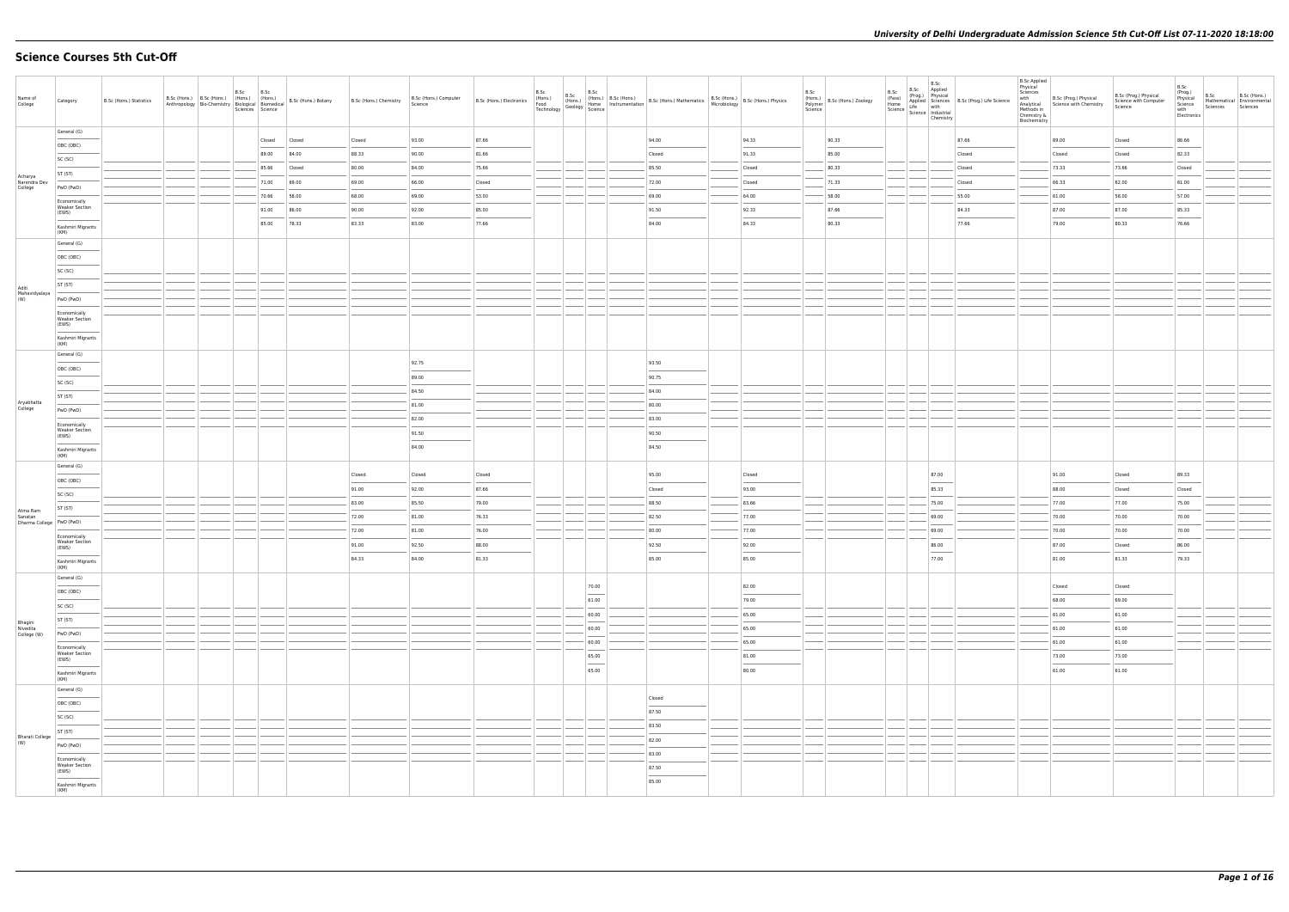# **Science Courses 5th Cut-Off**

| $\begin{tabular}{l} a Sc & B.Sc & Appilea \\ (Pass) & (Propg.) & Physical \\ Home & Superlied & Sciences & B.Sc (Prog.) Life Science \\ Science & with \\ Science & Chemistry \\ \end{tabular}$<br>General (G)<br>93.00<br>87.66<br>94.00<br>94.33<br>90.33<br>87.66<br>89.00<br>Closed<br>Closed<br>Closed<br>OBC (OBC)<br>88.33<br>90.00<br>91.33<br>85.00<br>84.00<br>81.66<br>Closed<br>Closed<br>89.00<br>Closed<br>SC (SC)<br>80.00<br>84.00<br>75.66<br>85.50<br>Closed<br>80.33<br>73.33<br>85.66<br>Closed<br>Closed<br>ST (ST)<br>Acharya<br>69.00<br>69.00<br>72.00<br>71.33<br>Narendra Dev<br>71.00<br>66.00<br>Closed<br>66.33<br>Closed<br>Closed<br>College<br>PwD (PwD)<br>68.00<br>69.00<br>53.00<br>69.00<br>64.00<br>58.00<br>55.00<br>61.00<br>70.66<br>58.00<br>Economically<br><b>Weaker Section</b> | Closed<br>86.66<br>82.33<br>Closed<br>73.66<br>Closed<br>62.00<br>61.00<br>58.00<br>57.00<br>87.00<br>85.33<br>76.66<br>80.33 |
|-----------------------------------------------------------------------------------------------------------------------------------------------------------------------------------------------------------------------------------------------------------------------------------------------------------------------------------------------------------------------------------------------------------------------------------------------------------------------------------------------------------------------------------------------------------------------------------------------------------------------------------------------------------------------------------------------------------------------------------------------------------------------------------------------------------------------------|-------------------------------------------------------------------------------------------------------------------------------|
|                                                                                                                                                                                                                                                                                                                                                                                                                                                                                                                                                                                                                                                                                                                                                                                                                             |                                                                                                                               |
|                                                                                                                                                                                                                                                                                                                                                                                                                                                                                                                                                                                                                                                                                                                                                                                                                             |                                                                                                                               |
|                                                                                                                                                                                                                                                                                                                                                                                                                                                                                                                                                                                                                                                                                                                                                                                                                             |                                                                                                                               |
|                                                                                                                                                                                                                                                                                                                                                                                                                                                                                                                                                                                                                                                                                                                                                                                                                             |                                                                                                                               |
|                                                                                                                                                                                                                                                                                                                                                                                                                                                                                                                                                                                                                                                                                                                                                                                                                             |                                                                                                                               |
| 91.00<br>86.00<br>90.00<br>92.00<br>85.00<br>91.50<br>92.33<br>87.66<br>84.33<br>87.00                                                                                                                                                                                                                                                                                                                                                                                                                                                                                                                                                                                                                                                                                                                                      |                                                                                                                               |
| (EWS)<br>78.33<br>83.33<br>83.00<br>77.66<br>84.33<br>80.33<br>77.66<br>79.00<br>85.00<br>84.00<br>Kashmiri Migrants                                                                                                                                                                                                                                                                                                                                                                                                                                                                                                                                                                                                                                                                                                        |                                                                                                                               |
| (KM)                                                                                                                                                                                                                                                                                                                                                                                                                                                                                                                                                                                                                                                                                                                                                                                                                        |                                                                                                                               |
| General (G)                                                                                                                                                                                                                                                                                                                                                                                                                                                                                                                                                                                                                                                                                                                                                                                                                 |                                                                                                                               |
| OBC (OBC)                                                                                                                                                                                                                                                                                                                                                                                                                                                                                                                                                                                                                                                                                                                                                                                                                   |                                                                                                                               |
| SC (SC)                                                                                                                                                                                                                                                                                                                                                                                                                                                                                                                                                                                                                                                                                                                                                                                                                     |                                                                                                                               |
| ST (ST)<br>Aditi<br>Mahavidyalaya<br>(W)                                                                                                                                                                                                                                                                                                                                                                                                                                                                                                                                                                                                                                                                                                                                                                                    |                                                                                                                               |
| PwD (PwD)                                                                                                                                                                                                                                                                                                                                                                                                                                                                                                                                                                                                                                                                                                                                                                                                                   |                                                                                                                               |
| Economically<br><b>Weaker Section</b><br>(EWS)                                                                                                                                                                                                                                                                                                                                                                                                                                                                                                                                                                                                                                                                                                                                                                              |                                                                                                                               |
| Kashmiri Migrants<br>(KM)                                                                                                                                                                                                                                                                                                                                                                                                                                                                                                                                                                                                                                                                                                                                                                                                   |                                                                                                                               |
| General (G)                                                                                                                                                                                                                                                                                                                                                                                                                                                                                                                                                                                                                                                                                                                                                                                                                 |                                                                                                                               |
| 92.75<br>93.50<br>OBC (OBC)                                                                                                                                                                                                                                                                                                                                                                                                                                                                                                                                                                                                                                                                                                                                                                                                 |                                                                                                                               |
| 89.00<br>90.75<br>SC (SC)                                                                                                                                                                                                                                                                                                                                                                                                                                                                                                                                                                                                                                                                                                                                                                                                   |                                                                                                                               |
| 84.00<br>84.50<br>ST (ST)<br>Aryabhatta                                                                                                                                                                                                                                                                                                                                                                                                                                                                                                                                                                                                                                                                                                                                                                                     |                                                                                                                               |
| 81.00<br>80.00<br>College<br>PwD (PwD)                                                                                                                                                                                                                                                                                                                                                                                                                                                                                                                                                                                                                                                                                                                                                                                      |                                                                                                                               |
| 82.00<br>83.00<br>Economically<br><b>Weaker Section</b>                                                                                                                                                                                                                                                                                                                                                                                                                                                                                                                                                                                                                                                                                                                                                                     |                                                                                                                               |
| 91.50<br>90.50<br>(EWS)<br>$\sim$<br>84.00<br>84.50                                                                                                                                                                                                                                                                                                                                                                                                                                                                                                                                                                                                                                                                                                                                                                         |                                                                                                                               |
| Kashmiri Migrants<br>(KM)                                                                                                                                                                                                                                                                                                                                                                                                                                                                                                                                                                                                                                                                                                                                                                                                   |                                                                                                                               |
| General (G)<br>95.00<br>Closed<br>87.00<br>91.00<br>Closed<br>Closed<br>Closed                                                                                                                                                                                                                                                                                                                                                                                                                                                                                                                                                                                                                                                                                                                                              | 89.33<br>Closed                                                                                                               |
| OBC (OBC)<br>92.00<br>87.66<br>93.00<br>85.33<br>88.00<br>91.00<br>Closed                                                                                                                                                                                                                                                                                                                                                                                                                                                                                                                                                                                                                                                                                                                                                   | Closed<br>Closed                                                                                                              |
| SC (SC)<br>83.00<br>85.50<br>79.00<br>88.50<br>83.66<br>75.00<br>77.00                                                                                                                                                                                                                                                                                                                                                                                                                                                                                                                                                                                                                                                                                                                                                      | 77.00<br>75.00                                                                                                                |
| ST (ST)<br>Atma Ram<br>Sanatan<br>72.00<br>81.00<br>76.33<br>82.50<br>77.00<br>69.00<br>70.00                                                                                                                                                                                                                                                                                                                                                                                                                                                                                                                                                                                                                                                                                                                               | 70.00<br>70.00                                                                                                                |
| Dharma College   PwD (PwD)<br>72.00<br>77.00<br>81.00<br>76.00<br>80.00<br>69.00<br>70.00                                                                                                                                                                                                                                                                                                                                                                                                                                                                                                                                                                                                                                                                                                                                   | 70.00<br>70.00                                                                                                                |
| Economically<br><b>Weaker Section</b><br>91.00<br>92.50<br>88.00<br>92.50<br>92.00<br>86.00<br>87.00                                                                                                                                                                                                                                                                                                                                                                                                                                                                                                                                                                                                                                                                                                                        | 86.00<br>Closed                                                                                                               |
| (EWS)<br>77.00<br>84.33<br>84.00<br>81.33<br>85.00<br>85.00<br>81.00                                                                                                                                                                                                                                                                                                                                                                                                                                                                                                                                                                                                                                                                                                                                                        | 81.33<br>79.33                                                                                                                |
| Kashmiri Migrants<br>(KM)                                                                                                                                                                                                                                                                                                                                                                                                                                                                                                                                                                                                                                                                                                                                                                                                   |                                                                                                                               |
| General (G)<br>70.00<br>82.00<br>Closed                                                                                                                                                                                                                                                                                                                                                                                                                                                                                                                                                                                                                                                                                                                                                                                     | Closed                                                                                                                        |
| OBC (OBC)<br>$\sim$<br>61.00<br>79.00<br>68.00                                                                                                                                                                                                                                                                                                                                                                                                                                                                                                                                                                                                                                                                                                                                                                              | 69.00                                                                                                                         |
| SC (SC)<br>61.00<br>60.00<br>65.00                                                                                                                                                                                                                                                                                                                                                                                                                                                                                                                                                                                                                                                                                                                                                                                          | 61.00                                                                                                                         |
| ST (ST)<br>Bhagini<br>Nivedita<br>College (W)<br>60.00<br>65.00<br>61.00                                                                                                                                                                                                                                                                                                                                                                                                                                                                                                                                                                                                                                                                                                                                                    | 61.00                                                                                                                         |
| PwD (PwD)<br>60.00<br>65.00<br>61.00                                                                                                                                                                                                                                                                                                                                                                                                                                                                                                                                                                                                                                                                                                                                                                                        | 61.00                                                                                                                         |
| Economically<br><b>Weaker Section</b><br>65.00<br>73.00<br>81.00<br>(EWS)                                                                                                                                                                                                                                                                                                                                                                                                                                                                                                                                                                                                                                                                                                                                                   | 73.00                                                                                                                         |
| $\overline{\phantom{a}}$<br>$\frac{1}{2}$<br>$\sim$<br>65.00<br>80.00<br>61.00<br>Kashmiri Migrants                                                                                                                                                                                                                                                                                                                                                                                                                                                                                                                                                                                                                                                                                                                         | 61.00                                                                                                                         |
| (KM)                                                                                                                                                                                                                                                                                                                                                                                                                                                                                                                                                                                                                                                                                                                                                                                                                        |                                                                                                                               |
| General (G)<br>Closed                                                                                                                                                                                                                                                                                                                                                                                                                                                                                                                                                                                                                                                                                                                                                                                                       |                                                                                                                               |
| OBC (OBC)<br>87.50                                                                                                                                                                                                                                                                                                                                                                                                                                                                                                                                                                                                                                                                                                                                                                                                          |                                                                                                                               |
| SC (SC)<br>83.50                                                                                                                                                                                                                                                                                                                                                                                                                                                                                                                                                                                                                                                                                                                                                                                                            |                                                                                                                               |
| ST (ST)<br><b>Bharati College</b><br>82.00<br>(W)                                                                                                                                                                                                                                                                                                                                                                                                                                                                                                                                                                                                                                                                                                                                                                           |                                                                                                                               |
| PwD (PwD)<br>83.00                                                                                                                                                                                                                                                                                                                                                                                                                                                                                                                                                                                                                                                                                                                                                                                                          |                                                                                                                               |
| Economically<br><b>Weaker Section</b><br>87.50<br>(EWS)                                                                                                                                                                                                                                                                                                                                                                                                                                                                                                                                                                                                                                                                                                                                                                     |                                                                                                                               |
| $\frac{1}{2} \left( \frac{1}{2} \right) \left( \frac{1}{2} \right) \left( \frac{1}{2} \right) \left( \frac{1}{2} \right) \left( \frac{1}{2} \right) \left( \frac{1}{2} \right) \left( \frac{1}{2} \right) \left( \frac{1}{2} \right) \left( \frac{1}{2} \right) \left( \frac{1}{2} \right) \left( \frac{1}{2} \right) \left( \frac{1}{2} \right) \left( \frac{1}{2} \right) \left( \frac{1}{2} \right) \left( \frac{1}{2} \right) \left( \frac{1}{2} \right) \left( \frac$<br>85.00<br>Kashmiri Migrants<br>(KM)                                                                                                                                                                                                                                                                                                            |                                                                                                                               |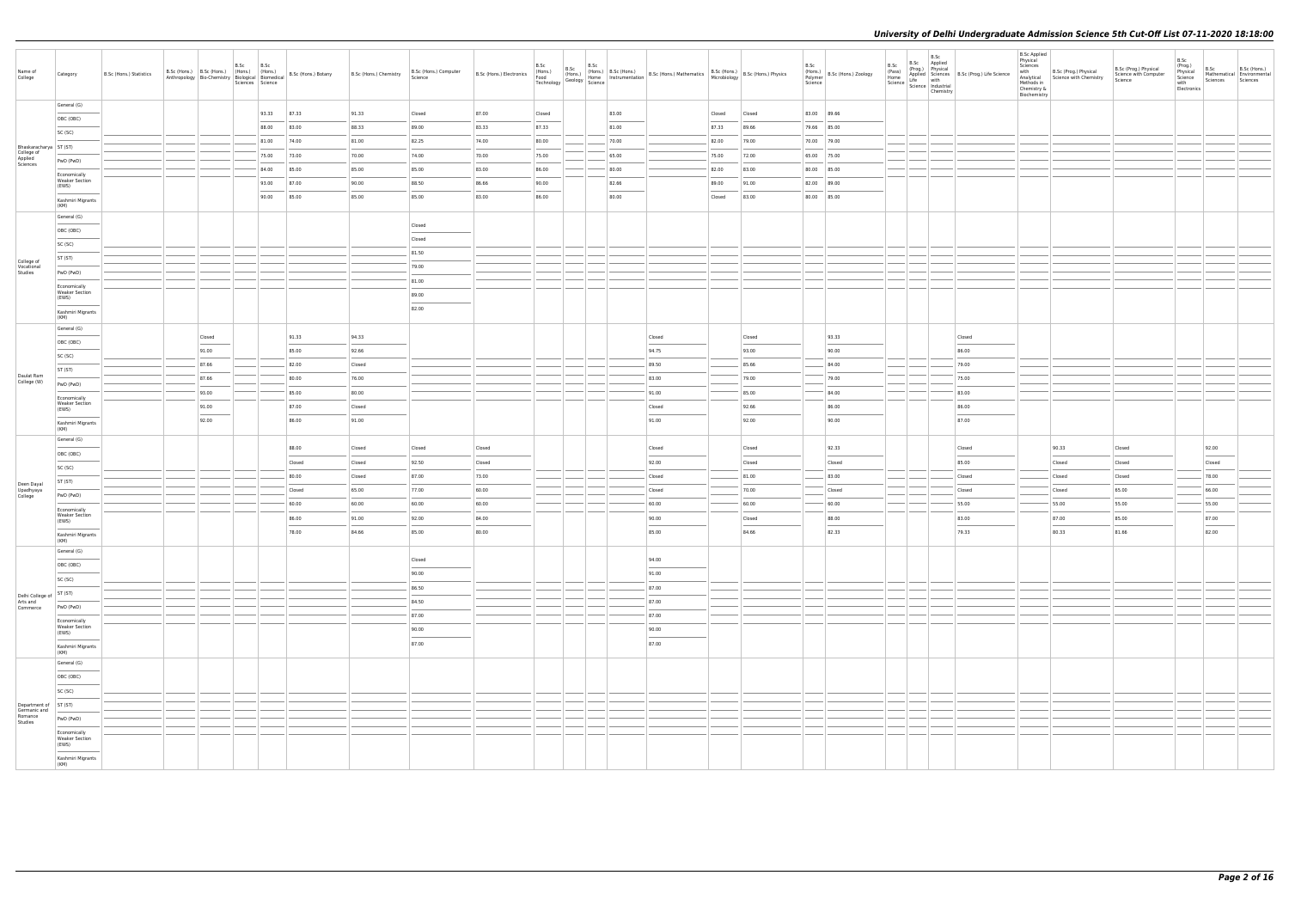| Name of<br>College                    | Category                                                                                                                                                                                                                                                                                                                                                                                                                                                                                                | B.Sc (Hons.) Statistics |                | B.Sc | B.Sc<br>Sciences Science | B.Sc (Hons.) B.Sc (Hons.) (Hons.) (Hons.) (Hons.) B.Sc (Hons.) Botany<br>Anthropology Bio-Chemistry Biological Biomedical B.Sc (Hons.) Botany | B.Sc (Hons.) Chemistry | B.Sc (Hons.) Computer<br>Science                                                                                                                                                                                                                                                                                                                                                                                                                                                     | B.Sc (Hons.) Electronics (Hons.) | B.Sc<br>B.Sc<br>(Hons.)<br>Technology | B.Sc<br>$\frac{1}{\sqrt{2}}$ Geology $\frac{1}{\sqrt{2}}$ Science | (Hons.) B.Sc (Hons.) | (Hons.) B.Sc (Hons.)<br>Home Instrumentation B.Sc (Hons.) Mathematics B.Sc (Hons.) B.Sc (Hons.) Physics                                                                                                                                                                                                                                                                                                                                                                             |        |                | B.Sc<br>(Hons.)<br>Science | (Hons.)<br>Polymer   B.Sc (Hons.) Zoology | B.Sc<br>Chemistry | B.Sc B.Sc Applied<br>(Prog.) Physical<br>Home Applied Science<br>Home Science Industrial<br>Science Industrial<br>Science Industrial<br>The Channel Chandra Condition<br>Science Industrial<br>Channel Chandra Channel Channel Channel Channel | <b>B.Sc Applied</b><br>Physical<br>Sciences<br>with<br>Analytical<br>Methods in<br>Chemistry &<br>Biochemistry | B.Sc (Prog.) Physical<br>Science with Chemistry | B.Sc (Prog.) Physical<br>Science with Computer<br>Science | B.Sc<br>(Prog.)<br>Physical<br>Science<br>with<br>Electronics | B.Sc<br>Sciences                  | B.Sc (Hons.)<br>Mathematical Environmental<br>Sciences |
|---------------------------------------|---------------------------------------------------------------------------------------------------------------------------------------------------------------------------------------------------------------------------------------------------------------------------------------------------------------------------------------------------------------------------------------------------------------------------------------------------------------------------------------------------------|-------------------------|----------------|------|--------------------------|-----------------------------------------------------------------------------------------------------------------------------------------------|------------------------|--------------------------------------------------------------------------------------------------------------------------------------------------------------------------------------------------------------------------------------------------------------------------------------------------------------------------------------------------------------------------------------------------------------------------------------------------------------------------------------|----------------------------------|---------------------------------------|-------------------------------------------------------------------|----------------------|-------------------------------------------------------------------------------------------------------------------------------------------------------------------------------------------------------------------------------------------------------------------------------------------------------------------------------------------------------------------------------------------------------------------------------------------------------------------------------------|--------|----------------|----------------------------|-------------------------------------------|-------------------|------------------------------------------------------------------------------------------------------------------------------------------------------------------------------------------------------------------------------------------------|----------------------------------------------------------------------------------------------------------------|-------------------------------------------------|-----------------------------------------------------------|---------------------------------------------------------------|-----------------------------------|--------------------------------------------------------|
|                                       | General (G)                                                                                                                                                                                                                                                                                                                                                                                                                                                                                             |                         |                |      | 93.33                    | 87.33                                                                                                                                         | 91.33                  | Closed                                                                                                                                                                                                                                                                                                                                                                                                                                                                               | 87.00                            |                                       |                                                                   | 83.00                |                                                                                                                                                                                                                                                                                                                                                                                                                                                                                     | Closed | Closed         |                            | 83.00 89.66                               |                   |                                                                                                                                                                                                                                                |                                                                                                                |                                                 |                                                           |                                                               |                                   |                                                        |
|                                       | OBC (OBC)                                                                                                                                                                                                                                                                                                                                                                                                                                                                                               |                         |                |      | 88.00                    | 83.00                                                                                                                                         | 88.33                  | 89.00                                                                                                                                                                                                                                                                                                                                                                                                                                                                                | 83.33                            | Closed<br>87.33                       |                                                                   | 81.00                |                                                                                                                                                                                                                                                                                                                                                                                                                                                                                     | 87.33  | 89.66          |                            | 79.66 85.00                               |                   |                                                                                                                                                                                                                                                |                                                                                                                |                                                 |                                                           |                                                               |                                   |                                                        |
|                                       | SC (SC)                                                                                                                                                                                                                                                                                                                                                                                                                                                                                                 |                         |                |      | 81.00                    | 74.00                                                                                                                                         | 81.00                  | 82.25                                                                                                                                                                                                                                                                                                                                                                                                                                                                                | 74.00                            | 80.00                                 |                                                                   | 70.00                |                                                                                                                                                                                                                                                                                                                                                                                                                                                                                     | 82.00  | 79.00          |                            | 70.00 79.00                               |                   |                                                                                                                                                                                                                                                |                                                                                                                |                                                 |                                                           |                                                               |                                   |                                                        |
| Bhaskaracharya ST (ST)                |                                                                                                                                                                                                                                                                                                                                                                                                                                                                                                         |                         |                |      | 75.00                    | 73.00                                                                                                                                         | 70.00                  | 74.00                                                                                                                                                                                                                                                                                                                                                                                                                                                                                | 70.00                            | 75.00                                 |                                                                   | 65.00                |                                                                                                                                                                                                                                                                                                                                                                                                                                                                                     | 75.00  | 72.00          |                            | 65.00 75.00                               |                   |                                                                                                                                                                                                                                                |                                                                                                                |                                                 |                                                           |                                                               |                                   |                                                        |
| College of<br>Applied<br>Sciences     | PwD (PwD)                                                                                                                                                                                                                                                                                                                                                                                                                                                                                               |                         |                |      | 84.00                    | 85.00                                                                                                                                         | 85.00                  | 85.00                                                                                                                                                                                                                                                                                                                                                                                                                                                                                | 83.00                            | 86.00                                 |                                                                   | 80.00                |                                                                                                                                                                                                                                                                                                                                                                                                                                                                                     | 82.00  | 83.00          |                            | 80.00 85.00                               |                   |                                                                                                                                                                                                                                                |                                                                                                                |                                                 |                                                           |                                                               |                                   |                                                        |
|                                       | Economically<br><b>Weaker Section</b><br>(EWS)                                                                                                                                                                                                                                                                                                                                                                                                                                                          |                         |                |      | 93.00                    | 87.00                                                                                                                                         | 90.00                  | 88.50                                                                                                                                                                                                                                                                                                                                                                                                                                                                                | 86.66                            | 90.00                                 |                                                                   | 82.66                |                                                                                                                                                                                                                                                                                                                                                                                                                                                                                     | 89.00  | 91.00          |                            | 82.00 89.00                               |                   |                                                                                                                                                                                                                                                |                                                                                                                |                                                 |                                                           |                                                               |                                   |                                                        |
|                                       | Kashmiri Migrants                                                                                                                                                                                                                                                                                                                                                                                                                                                                                       |                         |                |      | 90.00                    | 85.00                                                                                                                                         | 85.00                  | 85.00                                                                                                                                                                                                                                                                                                                                                                                                                                                                                | 83.00                            | 86.00                                 |                                                                   | 80.00                |                                                                                                                                                                                                                                                                                                                                                                                                                                                                                     | Closed | 83.00          |                            | 80.00 85.00                               |                   |                                                                                                                                                                                                                                                |                                                                                                                |                                                 |                                                           |                                                               |                                   |                                                        |
|                                       | (KM)<br>General (G)                                                                                                                                                                                                                                                                                                                                                                                                                                                                                     |                         |                |      |                          |                                                                                                                                               |                        |                                                                                                                                                                                                                                                                                                                                                                                                                                                                                      |                                  |                                       |                                                                   |                      |                                                                                                                                                                                                                                                                                                                                                                                                                                                                                     |        |                |                            |                                           |                   |                                                                                                                                                                                                                                                |                                                                                                                |                                                 |                                                           |                                                               |                                   |                                                        |
|                                       | OBC (OBC)                                                                                                                                                                                                                                                                                                                                                                                                                                                                                               |                         |                |      |                          |                                                                                                                                               |                        | Closed                                                                                                                                                                                                                                                                                                                                                                                                                                                                               |                                  |                                       |                                                                   |                      |                                                                                                                                                                                                                                                                                                                                                                                                                                                                                     |        |                |                            |                                           |                   |                                                                                                                                                                                                                                                |                                                                                                                |                                                 |                                                           |                                                               |                                   |                                                        |
|                                       | SC (SC)                                                                                                                                                                                                                                                                                                                                                                                                                                                                                                 |                         |                |      |                          |                                                                                                                                               |                        | Closed                                                                                                                                                                                                                                                                                                                                                                                                                                                                               |                                  |                                       |                                                                   |                      |                                                                                                                                                                                                                                                                                                                                                                                                                                                                                     |        |                |                            |                                           |                   |                                                                                                                                                                                                                                                |                                                                                                                |                                                 |                                                           |                                                               |                                   |                                                        |
|                                       | ST (ST)                                                                                                                                                                                                                                                                                                                                                                                                                                                                                                 |                         |                |      |                          |                                                                                                                                               |                        | 81.50                                                                                                                                                                                                                                                                                                                                                                                                                                                                                |                                  |                                       |                                                                   |                      |                                                                                                                                                                                                                                                                                                                                                                                                                                                                                     |        |                |                            |                                           |                   |                                                                                                                                                                                                                                                |                                                                                                                |                                                 |                                                           |                                                               |                                   |                                                        |
| College of<br>Vocational<br>Studies   | PwD (PwD)                                                                                                                                                                                                                                                                                                                                                                                                                                                                                               |                         |                |      |                          |                                                                                                                                               |                        | 79.00                                                                                                                                                                                                                                                                                                                                                                                                                                                                                |                                  |                                       |                                                                   |                      |                                                                                                                                                                                                                                                                                                                                                                                                                                                                                     |        |                |                            |                                           |                   |                                                                                                                                                                                                                                                |                                                                                                                |                                                 |                                                           |                                                               |                                   |                                                        |
|                                       | Economically                                                                                                                                                                                                                                                                                                                                                                                                                                                                                            |                         |                |      |                          |                                                                                                                                               |                        | 81.00                                                                                                                                                                                                                                                                                                                                                                                                                                                                                |                                  |                                       |                                                                   |                      |                                                                                                                                                                                                                                                                                                                                                                                                                                                                                     |        |                |                            |                                           |                   |                                                                                                                                                                                                                                                |                                                                                                                |                                                 |                                                           |                                                               |                                   |                                                        |
|                                       | <b>Weaker Section</b><br>(EWS)                                                                                                                                                                                                                                                                                                                                                                                                                                                                          |                         |                |      |                          |                                                                                                                                               |                        | 89.00                                                                                                                                                                                                                                                                                                                                                                                                                                                                                |                                  |                                       |                                                                   |                      |                                                                                                                                                                                                                                                                                                                                                                                                                                                                                     |        |                |                            |                                           |                   |                                                                                                                                                                                                                                                |                                                                                                                |                                                 |                                                           |                                                               |                                   |                                                        |
|                                       | Kashmiri Migrants<br>(KM)                                                                                                                                                                                                                                                                                                                                                                                                                                                                               |                         |                |      |                          |                                                                                                                                               |                        | 82.00                                                                                                                                                                                                                                                                                                                                                                                                                                                                                |                                  |                                       |                                                                   |                      |                                                                                                                                                                                                                                                                                                                                                                                                                                                                                     |        |                |                            |                                           |                   |                                                                                                                                                                                                                                                |                                                                                                                |                                                 |                                                           |                                                               |                                   |                                                        |
|                                       | General (G)                                                                                                                                                                                                                                                                                                                                                                                                                                                                                             |                         |                |      |                          |                                                                                                                                               |                        |                                                                                                                                                                                                                                                                                                                                                                                                                                                                                      |                                  |                                       |                                                                   |                      |                                                                                                                                                                                                                                                                                                                                                                                                                                                                                     |        |                |                            |                                           |                   |                                                                                                                                                                                                                                                |                                                                                                                |                                                 |                                                           |                                                               |                                   |                                                        |
|                                       | OBC (OBC)                                                                                                                                                                                                                                                                                                                                                                                                                                                                                               |                         | Closed         |      |                          | 91.33                                                                                                                                         | 94.33                  |                                                                                                                                                                                                                                                                                                                                                                                                                                                                                      |                                  |                                       |                                                                   |                      | Closed                                                                                                                                                                                                                                                                                                                                                                                                                                                                              |        | Closed         |                            | 93.33                                     |                   | Closed                                                                                                                                                                                                                                         |                                                                                                                |                                                 |                                                           |                                                               |                                   |                                                        |
|                                       | SC (SC)                                                                                                                                                                                                                                                                                                                                                                                                                                                                                                 |                         | 91.00          |      |                          | 85.00                                                                                                                                         | 92.66                  |                                                                                                                                                                                                                                                                                                                                                                                                                                                                                      |                                  |                                       |                                                                   |                      | 94.75                                                                                                                                                                                                                                                                                                                                                                                                                                                                               |        | 93.00          |                            | 90.00                                     |                   | 86.00                                                                                                                                                                                                                                          |                                                                                                                |                                                 |                                                           |                                                               |                                   |                                                        |
| Daulat Ram                            | ST (ST)                                                                                                                                                                                                                                                                                                                                                                                                                                                                                                 |                         | 87.66          |      |                          | 82.00                                                                                                                                         | Closed                 |                                                                                                                                                                                                                                                                                                                                                                                                                                                                                      |                                  |                                       |                                                                   |                      | 89.50                                                                                                                                                                                                                                                                                                                                                                                                                                                                               |        | 85.66          |                            | 84.00                                     |                   | 79.00                                                                                                                                                                                                                                          |                                                                                                                |                                                 |                                                           |                                                               |                                   |                                                        |
| College (W)                           | PwD (PwD)                                                                                                                                                                                                                                                                                                                                                                                                                                                                                               |                         | 87.66<br>93.00 |      |                          | 80.00<br>85.00                                                                                                                                | 76.00<br>80.00         |                                                                                                                                                                                                                                                                                                                                                                                                                                                                                      |                                  |                                       |                                                                   |                      | 83.00<br>91.00                                                                                                                                                                                                                                                                                                                                                                                                                                                                      |        | 79.00<br>85.00 |                            | 79.00<br>84.00                            |                   | 75.00<br>83.00                                                                                                                                                                                                                                 |                                                                                                                |                                                 |                                                           |                                                               |                                   |                                                        |
|                                       | Economically<br><b>Weaker Section</b>                                                                                                                                                                                                                                                                                                                                                                                                                                                                   |                         | 91.00          |      |                          | 87.00                                                                                                                                         | Closed                 |                                                                                                                                                                                                                                                                                                                                                                                                                                                                                      |                                  |                                       |                                                                   |                      | Closed                                                                                                                                                                                                                                                                                                                                                                                                                                                                              |        | 92.66          |                            | 86.00                                     |                   | 86.00                                                                                                                                                                                                                                          |                                                                                                                |                                                 |                                                           |                                                               |                                   |                                                        |
|                                       | (EWS)                                                                                                                                                                                                                                                                                                                                                                                                                                                                                                   |                         | 92.00          |      |                          | 86.00                                                                                                                                         | 91.00                  |                                                                                                                                                                                                                                                                                                                                                                                                                                                                                      |                                  |                                       |                                                                   |                      | 91.00                                                                                                                                                                                                                                                                                                                                                                                                                                                                               |        | 92.00          |                            | 90.00                                     |                   | 87.00                                                                                                                                                                                                                                          |                                                                                                                |                                                 |                                                           |                                                               |                                   |                                                        |
|                                       | Kashmiri Migrants<br>(KM)                                                                                                                                                                                                                                                                                                                                                                                                                                                                               |                         |                |      |                          |                                                                                                                                               |                        |                                                                                                                                                                                                                                                                                                                                                                                                                                                                                      |                                  |                                       |                                                                   |                      |                                                                                                                                                                                                                                                                                                                                                                                                                                                                                     |        |                |                            |                                           |                   |                                                                                                                                                                                                                                                |                                                                                                                |                                                 |                                                           |                                                               |                                   |                                                        |
|                                       | General (G)<br>OBC (OBC)                                                                                                                                                                                                                                                                                                                                                                                                                                                                                |                         |                |      |                          | 88.00                                                                                                                                         | Closed                 | Closed                                                                                                                                                                                                                                                                                                                                                                                                                                                                               | Closed                           |                                       |                                                                   |                      | Closed                                                                                                                                                                                                                                                                                                                                                                                                                                                                              |        | Closed         |                            | 92.33                                     |                   | Closed                                                                                                                                                                                                                                         |                                                                                                                | 90.33                                           | Closed                                                    |                                                               | 92.00                             |                                                        |
|                                       | SC (SC)                                                                                                                                                                                                                                                                                                                                                                                                                                                                                                 |                         |                |      |                          | Closed                                                                                                                                        | Closed                 | 92.50                                                                                                                                                                                                                                                                                                                                                                                                                                                                                | Closed                           |                                       |                                                                   |                      | 92.00                                                                                                                                                                                                                                                                                                                                                                                                                                                                               |        | Closed         |                            | Closed                                    |                   | 85.00                                                                                                                                                                                                                                          |                                                                                                                | Closed                                          | Closed                                                    |                                                               | Closed                            |                                                        |
|                                       | ST (ST)                                                                                                                                                                                                                                                                                                                                                                                                                                                                                                 |                         |                |      |                          | 80.00                                                                                                                                         | Closed                 | 87.00                                                                                                                                                                                                                                                                                                                                                                                                                                                                                | 73.00                            |                                       |                                                                   |                      | Closed                                                                                                                                                                                                                                                                                                                                                                                                                                                                              |        | 81.00          |                            | 83.00                                     |                   | Closed                                                                                                                                                                                                                                         |                                                                                                                | Closed                                          | Closed                                                    |                                                               | 78.00                             |                                                        |
| Deen Dayal<br>Upadhyaya<br>College    | PwD (PwD)                                                                                                                                                                                                                                                                                                                                                                                                                                                                                               |                         |                |      |                          | Closed                                                                                                                                        | 65.00                  | 77.00                                                                                                                                                                                                                                                                                                                                                                                                                                                                                | 60.00                            |                                       |                                                                   |                      | Closed                                                                                                                                                                                                                                                                                                                                                                                                                                                                              |        | 70.00          |                            | Closed                                    |                   | Closed                                                                                                                                                                                                                                         |                                                                                                                | Closed                                          | 65.00                                                     |                                                               | 66.00                             |                                                        |
|                                       | Economically                                                                                                                                                                                                                                                                                                                                                                                                                                                                                            |                         |                |      |                          | 60.00                                                                                                                                         | 60.00                  | 60.00                                                                                                                                                                                                                                                                                                                                                                                                                                                                                | 60.00                            |                                       |                                                                   |                      | 60.00                                                                                                                                                                                                                                                                                                                                                                                                                                                                               |        | 60.00          |                            | 60.00                                     |                   | 55.00                                                                                                                                                                                                                                          |                                                                                                                | 55.00                                           | 55.00                                                     |                                                               | 55.00                             |                                                        |
|                                       | <b>Weaker Section</b><br>(EWS)                                                                                                                                                                                                                                                                                                                                                                                                                                                                          |                         |                |      |                          | 86.00                                                                                                                                         | 91.00                  | 92.00                                                                                                                                                                                                                                                                                                                                                                                                                                                                                | 84.00                            |                                       |                                                                   |                      | 90.00                                                                                                                                                                                                                                                                                                                                                                                                                                                                               |        | Closed         |                            | 88.00                                     |                   | 83.00                                                                                                                                                                                                                                          |                                                                                                                | 87.00<br>$\sim$                                 | 85.00                                                     |                                                               | 87.00<br>$\overline{\phantom{a}}$ |                                                        |
|                                       | $\frac{1}{2} \left( \frac{1}{2} \right) \left( \frac{1}{2} \right) \left( \frac{1}{2} \right) \left( \frac{1}{2} \right) \left( \frac{1}{2} \right) \left( \frac{1}{2} \right) \left( \frac{1}{2} \right) \left( \frac{1}{2} \right) \left( \frac{1}{2} \right) \left( \frac{1}{2} \right) \left( \frac{1}{2} \right) \left( \frac{1}{2} \right) \left( \frac{1}{2} \right) \left( \frac{1}{2} \right) \left( \frac{1}{2} \right) \left( \frac{1}{2} \right) \left( \frac$<br>Kashmiri Migrants<br>(KM) |                         |                |      |                          | 78.00                                                                                                                                         | 84.66                  | 85.00                                                                                                                                                                                                                                                                                                                                                                                                                                                                                | 80.00                            |                                       |                                                                   |                      | 85.00                                                                                                                                                                                                                                                                                                                                                                                                                                                                               |        | 84.66          |                            | 82.33                                     |                   | 79.33                                                                                                                                                                                                                                          |                                                                                                                | 80.33                                           | 81.66                                                     |                                                               | 82.00                             |                                                        |
|                                       | General (G)                                                                                                                                                                                                                                                                                                                                                                                                                                                                                             |                         |                |      |                          |                                                                                                                                               |                        |                                                                                                                                                                                                                                                                                                                                                                                                                                                                                      |                                  |                                       |                                                                   |                      |                                                                                                                                                                                                                                                                                                                                                                                                                                                                                     |        |                |                            |                                           |                   |                                                                                                                                                                                                                                                |                                                                                                                |                                                 |                                                           |                                                               |                                   |                                                        |
|                                       | OBC (OBC)<br><b>Contract Contract</b>                                                                                                                                                                                                                                                                                                                                                                                                                                                                   |                         |                |      |                          |                                                                                                                                               |                        | Closed<br>$\frac{1}{2} \left( \frac{1}{2} \right) \left( \frac{1}{2} \right) \left( \frac{1}{2} \right) \left( \frac{1}{2} \right) \left( \frac{1}{2} \right) \left( \frac{1}{2} \right) \left( \frac{1}{2} \right) \left( \frac{1}{2} \right) \left( \frac{1}{2} \right) \left( \frac{1}{2} \right) \left( \frac{1}{2} \right) \left( \frac{1}{2} \right) \left( \frac{1}{2} \right) \left( \frac{1}{2} \right) \left( \frac{1}{2} \right) \left( \frac{1}{2} \right) \left( \frac$ |                                  |                                       |                                                                   |                      | 94.00<br>$\frac{1}{2} \left( \frac{1}{2} \right) \left( \frac{1}{2} \right) \left( \frac{1}{2} \right) \left( \frac{1}{2} \right) \left( \frac{1}{2} \right) \left( \frac{1}{2} \right) \left( \frac{1}{2} \right) \left( \frac{1}{2} \right) \left( \frac{1}{2} \right) \left( \frac{1}{2} \right) \left( \frac{1}{2} \right) \left( \frac{1}{2} \right) \left( \frac{1}{2} \right) \left( \frac{1}{2} \right) \left( \frac{1}{2} \right) \left( \frac{1}{2} \right) \left( \frac$ |        |                |                            |                                           |                   |                                                                                                                                                                                                                                                |                                                                                                                |                                                 |                                                           |                                                               |                                   |                                                        |
|                                       | SC (SC)                                                                                                                                                                                                                                                                                                                                                                                                                                                                                                 |                         |                |      |                          |                                                                                                                                               |                        | 90.00                                                                                                                                                                                                                                                                                                                                                                                                                                                                                |                                  |                                       |                                                                   |                      | 91.00                                                                                                                                                                                                                                                                                                                                                                                                                                                                               |        |                |                            |                                           |                   |                                                                                                                                                                                                                                                |                                                                                                                |                                                 |                                                           |                                                               |                                   |                                                        |
| Delhi College of<br>Arts and          | ST (ST)                                                                                                                                                                                                                                                                                                                                                                                                                                                                                                 |                         |                |      |                          |                                                                                                                                               |                        | 86.50<br>84.50                                                                                                                                                                                                                                                                                                                                                                                                                                                                       |                                  |                                       |                                                                   |                      | 87.00<br>87.00                                                                                                                                                                                                                                                                                                                                                                                                                                                                      |        |                |                            |                                           |                   |                                                                                                                                                                                                                                                |                                                                                                                |                                                 |                                                           |                                                               |                                   |                                                        |
| Commerce                              | PwD (PwD)                                                                                                                                                                                                                                                                                                                                                                                                                                                                                               |                         |                |      |                          |                                                                                                                                               |                        | 87.00                                                                                                                                                                                                                                                                                                                                                                                                                                                                                |                                  |                                       |                                                                   |                      | 87.00                                                                                                                                                                                                                                                                                                                                                                                                                                                                               |        |                |                            |                                           |                   |                                                                                                                                                                                                                                                |                                                                                                                |                                                 |                                                           |                                                               |                                   |                                                        |
|                                       | Economically<br><b>Weaker Section</b>                                                                                                                                                                                                                                                                                                                                                                                                                                                                   |                         |                |      |                          |                                                                                                                                               |                        | 90.00                                                                                                                                                                                                                                                                                                                                                                                                                                                                                |                                  |                                       |                                                                   |                      | 90.00                                                                                                                                                                                                                                                                                                                                                                                                                                                                               |        |                |                            |                                           |                   |                                                                                                                                                                                                                                                |                                                                                                                |                                                 |                                                           |                                                               |                                   |                                                        |
|                                       | (EWS)<br><b>STATISTICS</b>                                                                                                                                                                                                                                                                                                                                                                                                                                                                              |                         |                |      |                          |                                                                                                                                               |                        | 87.00                                                                                                                                                                                                                                                                                                                                                                                                                                                                                |                                  |                                       |                                                                   |                      | $\frac{1}{2} \left( \frac{1}{2} \right) \left( \frac{1}{2} \right) \left( \frac{1}{2} \right) \left( \frac{1}{2} \right) \left( \frac{1}{2} \right) \left( \frac{1}{2} \right) \left( \frac{1}{2} \right) \left( \frac{1}{2} \right) \left( \frac{1}{2} \right) \left( \frac{1}{2} \right) \left( \frac{1}{2} \right) \left( \frac{1}{2} \right) \left( \frac{1}{2} \right) \left( \frac{1}{2} \right) \left( \frac{1}{2} \right) \left( \frac{1}{2} \right) \left( \frac$<br>87.00 |        |                |                            |                                           |                   |                                                                                                                                                                                                                                                |                                                                                                                |                                                 |                                                           |                                                               |                                   |                                                        |
|                                       | Kashmiri Migrants<br>(KM)                                                                                                                                                                                                                                                                                                                                                                                                                                                                               |                         |                |      |                          |                                                                                                                                               |                        |                                                                                                                                                                                                                                                                                                                                                                                                                                                                                      |                                  |                                       |                                                                   |                      |                                                                                                                                                                                                                                                                                                                                                                                                                                                                                     |        |                |                            |                                           |                   |                                                                                                                                                                                                                                                |                                                                                                                |                                                 |                                                           |                                                               |                                   |                                                        |
|                                       | General (G)                                                                                                                                                                                                                                                                                                                                                                                                                                                                                             |                         |                |      |                          |                                                                                                                                               |                        |                                                                                                                                                                                                                                                                                                                                                                                                                                                                                      |                                  |                                       |                                                                   |                      |                                                                                                                                                                                                                                                                                                                                                                                                                                                                                     |        |                |                            |                                           |                   |                                                                                                                                                                                                                                                |                                                                                                                |                                                 |                                                           |                                                               |                                   |                                                        |
|                                       | OBC (OBC)<br>$\frac{1}{2} \left( \frac{1}{2} \right) \left( \frac{1}{2} \right) \left( \frac{1}{2} \right) \left( \frac{1}{2} \right) \left( \frac{1}{2} \right) \left( \frac{1}{2} \right) \left( \frac{1}{2} \right) \left( \frac{1}{2} \right) \left( \frac{1}{2} \right) \left( \frac{1}{2} \right) \left( \frac{1}{2} \right) \left( \frac{1}{2} \right) \left( \frac{1}{2} \right) \left( \frac{1}{2} \right) \left( \frac{1}{2} \right) \left( \frac{1}{2} \right) \left( \frac$                 |                         |                |      |                          |                                                                                                                                               |                        |                                                                                                                                                                                                                                                                                                                                                                                                                                                                                      |                                  |                                       |                                                                   |                      |                                                                                                                                                                                                                                                                                                                                                                                                                                                                                     |        |                |                            |                                           |                   |                                                                                                                                                                                                                                                |                                                                                                                |                                                 |                                                           |                                                               |                                   |                                                        |
|                                       | SC (SC)                                                                                                                                                                                                                                                                                                                                                                                                                                                                                                 |                         |                |      |                          |                                                                                                                                               |                        |                                                                                                                                                                                                                                                                                                                                                                                                                                                                                      |                                  |                                       |                                                                   |                      |                                                                                                                                                                                                                                                                                                                                                                                                                                                                                     |        |                |                            |                                           |                   |                                                                                                                                                                                                                                                |                                                                                                                |                                                 |                                                           |                                                               |                                   |                                                        |
| Department of ST (ST)<br>Germanic and |                                                                                                                                                                                                                                                                                                                                                                                                                                                                                                         |                         |                |      |                          |                                                                                                                                               |                        |                                                                                                                                                                                                                                                                                                                                                                                                                                                                                      |                                  |                                       |                                                                   |                      |                                                                                                                                                                                                                                                                                                                                                                                                                                                                                     |        |                |                            |                                           |                   |                                                                                                                                                                                                                                                |                                                                                                                |                                                 |                                                           |                                                               |                                   |                                                        |
| Romance<br>Studies                    | PwD (PwD)                                                                                                                                                                                                                                                                                                                                                                                                                                                                                               |                         |                |      |                          |                                                                                                                                               |                        |                                                                                                                                                                                                                                                                                                                                                                                                                                                                                      |                                  |                                       |                                                                   |                      |                                                                                                                                                                                                                                                                                                                                                                                                                                                                                     |        |                |                            |                                           |                   |                                                                                                                                                                                                                                                |                                                                                                                |                                                 |                                                           |                                                               |                                   |                                                        |
|                                       | Economically<br><b>Weaker Section</b><br>(EWS)                                                                                                                                                                                                                                                                                                                                                                                                                                                          |                         |                |      |                          |                                                                                                                                               |                        |                                                                                                                                                                                                                                                                                                                                                                                                                                                                                      |                                  |                                       |                                                                   |                      |                                                                                                                                                                                                                                                                                                                                                                                                                                                                                     |        |                |                            |                                           |                   |                                                                                                                                                                                                                                                |                                                                                                                |                                                 |                                                           |                                                               |                                   |                                                        |
|                                       | Kashmiri Migrants<br>(KM)                                                                                                                                                                                                                                                                                                                                                                                                                                                                               |                         |                |      |                          |                                                                                                                                               |                        |                                                                                                                                                                                                                                                                                                                                                                                                                                                                                      |                                  |                                       |                                                                   |                      |                                                                                                                                                                                                                                                                                                                                                                                                                                                                                     |        |                |                            |                                           |                   |                                                                                                                                                                                                                                                |                                                                                                                |                                                 |                                                           |                                                               |                                   |                                                        |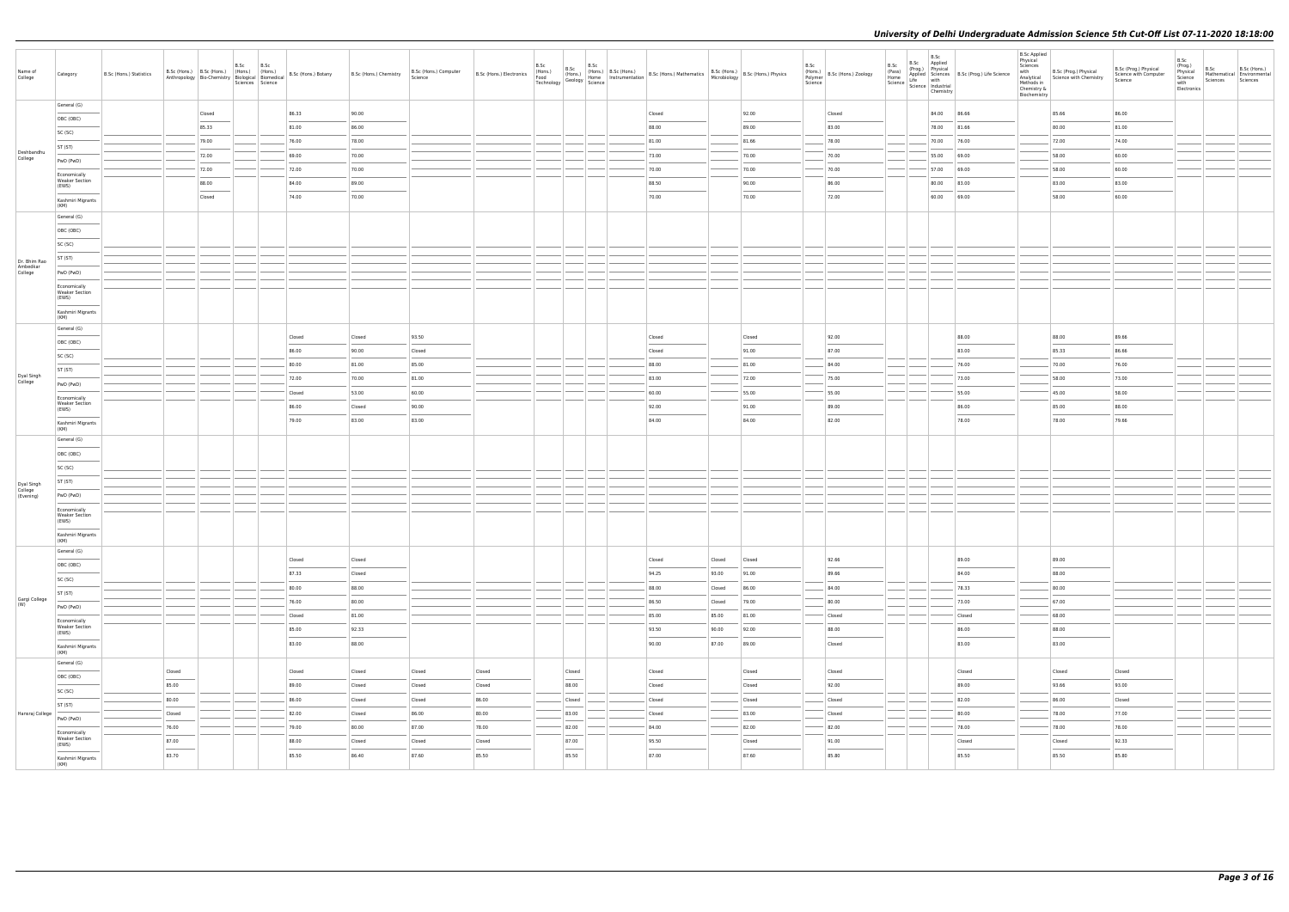| Name of<br>College       | Category                                       | B.Sc (Hons.) Statistics | B.Sc (Hons.) B.Sc (Hons.) (Hons.) (Hons.)<br>Anthropology Bio-Chemistry Biological Biomedical                                                                                                                                                                                                                                                                                                                                                                                       | B.Sc | B.Sc<br>Sciences Science | B.Sc (Hons.) Botany | B.Sc (Hons.) Chemistry | B.Sc (Hons.) Computer<br>Science | B.Sc (Hons.) Electronics<br>Food<br>Technology | B.Sc | B.Sc<br>B.Sc<br>(Hons.)<br>$\frac{1}{2}$ Geology $\frac{1}{2}$ Science                                                                                                                                                                                                                                                                                                                                                                                                              | (Hons.) B.Sc (Hons.) B.Sc (Hons.) Mathematics B.Sc (Hons.) B.Sc (Hons.) Physics<br>Home Instrumentation B.Sc (Hons.) Mathematics Microbiology B.Sc (Hons.) Physics                                                                                                                                                                                                                                                                                                                  |        | B.Sc<br>Polymer<br>Science | $\left  \overbrace{R_{2,1},,R_{n}}^{(Hons.)} \right $ B.Sc (Hons.) Zoology | B.Sc<br>(Pass)<br>Home<br>Science   Science   Industrial | B.Sc<br>Chemistry | B.Sc<br>(Prog.) Physical<br>Applied Sciences<br>Prog.) Life Science<br>Prog.) Life Science<br>Prog.) Life Science<br>Prog.) Life Science | <b>B.Sc Applied</b><br>Physical<br>Sciences<br>with<br>Methods in<br>Chemistry &<br>Biochemistry | B.Sc (Prog.) Physical<br>Analytical Science with Chemistry                                                                                                                                                                                                                                                                                                                                                                                                                          | B.Sc (Prog.) Physical<br>Science with Computer<br>Science | B.Sc<br>(Prog.)<br>Physical<br>Science<br>with<br>Electronics | B.Sc<br>Sciences Sciences | B.Sc (Hons.)<br>Mathematical Environmental |
|--------------------------|------------------------------------------------|-------------------------|-------------------------------------------------------------------------------------------------------------------------------------------------------------------------------------------------------------------------------------------------------------------------------------------------------------------------------------------------------------------------------------------------------------------------------------------------------------------------------------|------|--------------------------|---------------------|------------------------|----------------------------------|------------------------------------------------|------|-------------------------------------------------------------------------------------------------------------------------------------------------------------------------------------------------------------------------------------------------------------------------------------------------------------------------------------------------------------------------------------------------------------------------------------------------------------------------------------|-------------------------------------------------------------------------------------------------------------------------------------------------------------------------------------------------------------------------------------------------------------------------------------------------------------------------------------------------------------------------------------------------------------------------------------------------------------------------------------|--------|----------------------------|----------------------------------------------------------------------------|----------------------------------------------------------|-------------------|------------------------------------------------------------------------------------------------------------------------------------------|--------------------------------------------------------------------------------------------------|-------------------------------------------------------------------------------------------------------------------------------------------------------------------------------------------------------------------------------------------------------------------------------------------------------------------------------------------------------------------------------------------------------------------------------------------------------------------------------------|-----------------------------------------------------------|---------------------------------------------------------------|---------------------------|--------------------------------------------|
|                          | General (G)                                    |                         | Closed                                                                                                                                                                                                                                                                                                                                                                                                                                                                              |      |                          | 86.33               | 90.00                  |                                  |                                                |      |                                                                                                                                                                                                                                                                                                                                                                                                                                                                                     | Closed                                                                                                                                                                                                                                                                                                                                                                                                                                                                              |        | 92.00                      | Closed                                                                     |                                                          |                   | 84.00 86.66                                                                                                                              |                                                                                                  | 85.66                                                                                                                                                                                                                                                                                                                                                                                                                                                                               | 86.00                                                     |                                                               |                           |                                            |
|                          | OBC (OBC)                                      |                         | 85.33                                                                                                                                                                                                                                                                                                                                                                                                                                                                               |      |                          | 81.00               | 86.00                  |                                  |                                                |      |                                                                                                                                                                                                                                                                                                                                                                                                                                                                                     | 88.00                                                                                                                                                                                                                                                                                                                                                                                                                                                                               |        | 89.00                      | 83.00                                                                      |                                                          |                   | 78.00 81.66                                                                                                                              |                                                                                                  | 80.00                                                                                                                                                                                                                                                                                                                                                                                                                                                                               | 81.00                                                     |                                                               |                           |                                            |
|                          | SC (SC)                                        |                         | 79.00                                                                                                                                                                                                                                                                                                                                                                                                                                                                               |      |                          | 76.00               | 78.00                  |                                  |                                                |      |                                                                                                                                                                                                                                                                                                                                                                                                                                                                                     | 81.00                                                                                                                                                                                                                                                                                                                                                                                                                                                                               |        | 81.66                      | 78.00                                                                      |                                                          |                   | 70.00 76.00                                                                                                                              |                                                                                                  | 72.00                                                                                                                                                                                                                                                                                                                                                                                                                                                                               | 74.00                                                     |                                                               |                           |                                            |
| Deshbandhu               | ST (ST)                                        |                         | 72.00                                                                                                                                                                                                                                                                                                                                                                                                                                                                               |      |                          | 69.00               | 70.00                  |                                  |                                                |      |                                                                                                                                                                                                                                                                                                                                                                                                                                                                                     | 73.00                                                                                                                                                                                                                                                                                                                                                                                                                                                                               |        | 70.00                      | 70.00                                                                      |                                                          |                   | 55.00 69.00                                                                                                                              |                                                                                                  | 58.00                                                                                                                                                                                                                                                                                                                                                                                                                                                                               | 60.00                                                     |                                                               |                           |                                            |
| College                  | PwD (PwD)                                      |                         | 72.00                                                                                                                                                                                                                                                                                                                                                                                                                                                                               |      |                          | 72.00               | 70.00                  |                                  |                                                |      |                                                                                                                                                                                                                                                                                                                                                                                                                                                                                     | 70.00                                                                                                                                                                                                                                                                                                                                                                                                                                                                               |        | 70.00                      | 70.00                                                                      |                                                          |                   | 57.00 69.00                                                                                                                              |                                                                                                  | 58.00                                                                                                                                                                                                                                                                                                                                                                                                                                                                               | 60.00                                                     |                                                               |                           |                                            |
|                          | Economically<br><b>Weaker Section</b>          |                         | 88.00                                                                                                                                                                                                                                                                                                                                                                                                                                                                               |      |                          | 84.00               | 89.00                  |                                  |                                                |      |                                                                                                                                                                                                                                                                                                                                                                                                                                                                                     | 88.50                                                                                                                                                                                                                                                                                                                                                                                                                                                                               |        | 90.00                      | 86.00                                                                      |                                                          |                   | 80.00 83.00                                                                                                                              |                                                                                                  | 83.00                                                                                                                                                                                                                                                                                                                                                                                                                                                                               | 83.00                                                     |                                                               |                           |                                            |
|                          | (EWS)                                          |                         | Closed                                                                                                                                                                                                                                                                                                                                                                                                                                                                              |      |                          | 74.00               | 70.00                  |                                  |                                                |      |                                                                                                                                                                                                                                                                                                                                                                                                                                                                                     | 70.00                                                                                                                                                                                                                                                                                                                                                                                                                                                                               |        | 70.00                      | 72.00                                                                      |                                                          |                   | 60.00 69.00                                                                                                                              |                                                                                                  | 58.00                                                                                                                                                                                                                                                                                                                                                                                                                                                                               | 60.00                                                     |                                                               |                           |                                            |
|                          | Kashmiri Migrants<br>(KM)                      |                         |                                                                                                                                                                                                                                                                                                                                                                                                                                                                                     |      |                          |                     |                        |                                  |                                                |      |                                                                                                                                                                                                                                                                                                                                                                                                                                                                                     |                                                                                                                                                                                                                                                                                                                                                                                                                                                                                     |        |                            |                                                                            |                                                          |                   |                                                                                                                                          |                                                                                                  |                                                                                                                                                                                                                                                                                                                                                                                                                                                                                     |                                                           |                                                               |                           |                                            |
|                          | General (G)                                    |                         |                                                                                                                                                                                                                                                                                                                                                                                                                                                                                     |      |                          |                     |                        |                                  |                                                |      |                                                                                                                                                                                                                                                                                                                                                                                                                                                                                     |                                                                                                                                                                                                                                                                                                                                                                                                                                                                                     |        |                            |                                                                            |                                                          |                   |                                                                                                                                          |                                                                                                  |                                                                                                                                                                                                                                                                                                                                                                                                                                                                                     |                                                           |                                                               |                           |                                            |
|                          | OBC (OBC)                                      |                         |                                                                                                                                                                                                                                                                                                                                                                                                                                                                                     |      |                          |                     |                        |                                  |                                                |      |                                                                                                                                                                                                                                                                                                                                                                                                                                                                                     |                                                                                                                                                                                                                                                                                                                                                                                                                                                                                     |        |                            |                                                                            |                                                          |                   |                                                                                                                                          |                                                                                                  |                                                                                                                                                                                                                                                                                                                                                                                                                                                                                     |                                                           |                                                               |                           |                                            |
|                          | SC (SC)                                        |                         |                                                                                                                                                                                                                                                                                                                                                                                                                                                                                     |      |                          |                     |                        |                                  |                                                |      |                                                                                                                                                                                                                                                                                                                                                                                                                                                                                     |                                                                                                                                                                                                                                                                                                                                                                                                                                                                                     |        |                            |                                                                            |                                                          |                   |                                                                                                                                          |                                                                                                  |                                                                                                                                                                                                                                                                                                                                                                                                                                                                                     |                                                           |                                                               |                           |                                            |
| Dr. Bhim Rao<br>Ambedkar | ST (ST)                                        |                         |                                                                                                                                                                                                                                                                                                                                                                                                                                                                                     |      |                          |                     |                        |                                  |                                                |      |                                                                                                                                                                                                                                                                                                                                                                                                                                                                                     |                                                                                                                                                                                                                                                                                                                                                                                                                                                                                     |        |                            |                                                                            |                                                          |                   |                                                                                                                                          |                                                                                                  |                                                                                                                                                                                                                                                                                                                                                                                                                                                                                     |                                                           |                                                               |                           |                                            |
| College                  | PwD (PwD)                                      |                         |                                                                                                                                                                                                                                                                                                                                                                                                                                                                                     |      |                          |                     |                        |                                  |                                                |      |                                                                                                                                                                                                                                                                                                                                                                                                                                                                                     |                                                                                                                                                                                                                                                                                                                                                                                                                                                                                     |        |                            |                                                                            |                                                          |                   |                                                                                                                                          |                                                                                                  |                                                                                                                                                                                                                                                                                                                                                                                                                                                                                     |                                                           |                                                               |                           |                                            |
|                          | Economically<br><b>Weaker Section</b><br>(EWS) |                         |                                                                                                                                                                                                                                                                                                                                                                                                                                                                                     |      |                          |                     |                        |                                  |                                                |      |                                                                                                                                                                                                                                                                                                                                                                                                                                                                                     |                                                                                                                                                                                                                                                                                                                                                                                                                                                                                     |        |                            |                                                                            |                                                          |                   |                                                                                                                                          |                                                                                                  |                                                                                                                                                                                                                                                                                                                                                                                                                                                                                     |                                                           |                                                               |                           |                                            |
|                          | Kashmiri Migrants<br>(KM)                      |                         |                                                                                                                                                                                                                                                                                                                                                                                                                                                                                     |      |                          |                     |                        |                                  |                                                |      |                                                                                                                                                                                                                                                                                                                                                                                                                                                                                     |                                                                                                                                                                                                                                                                                                                                                                                                                                                                                     |        |                            |                                                                            |                                                          |                   |                                                                                                                                          |                                                                                                  |                                                                                                                                                                                                                                                                                                                                                                                                                                                                                     |                                                           |                                                               |                           |                                            |
|                          | General (G)                                    |                         |                                                                                                                                                                                                                                                                                                                                                                                                                                                                                     |      |                          | Closed              | Closed                 | 93.50                            |                                                |      |                                                                                                                                                                                                                                                                                                                                                                                                                                                                                     | Closed                                                                                                                                                                                                                                                                                                                                                                                                                                                                              |        | Closed                     | 92.00                                                                      |                                                          |                   | 88.00                                                                                                                                    |                                                                                                  | 88.00                                                                                                                                                                                                                                                                                                                                                                                                                                                                               | 89.66                                                     |                                                               |                           |                                            |
|                          | OBC (OBC)                                      |                         |                                                                                                                                                                                                                                                                                                                                                                                                                                                                                     |      |                          | 86.00               | 90.00                  | Closed                           |                                                |      |                                                                                                                                                                                                                                                                                                                                                                                                                                                                                     | Closed                                                                                                                                                                                                                                                                                                                                                                                                                                                                              |        | 91.00                      | 87.00                                                                      |                                                          |                   | 83.00                                                                                                                                    |                                                                                                  | 85.33                                                                                                                                                                                                                                                                                                                                                                                                                                                                               | 86.66                                                     |                                                               |                           |                                            |
|                          | SC (SC)                                        |                         |                                                                                                                                                                                                                                                                                                                                                                                                                                                                                     |      |                          | 80.00               | 81.00                  | 85.00                            |                                                |      |                                                                                                                                                                                                                                                                                                                                                                                                                                                                                     | 88.00                                                                                                                                                                                                                                                                                                                                                                                                                                                                               |        | 81.00                      | 84.00                                                                      |                                                          |                   | 76.00                                                                                                                                    |                                                                                                  | 70.00                                                                                                                                                                                                                                                                                                                                                                                                                                                                               | 76.00                                                     |                                                               |                           |                                            |
| Dyal Singh<br>College    | ST (ST)                                        |                         |                                                                                                                                                                                                                                                                                                                                                                                                                                                                                     |      |                          | 72.00               | 70.00                  | 81.00                            |                                                |      |                                                                                                                                                                                                                                                                                                                                                                                                                                                                                     | 83.00                                                                                                                                                                                                                                                                                                                                                                                                                                                                               |        | 72.00                      | 75.00                                                                      |                                                          |                   | 73.00                                                                                                                                    |                                                                                                  | 58.00                                                                                                                                                                                                                                                                                                                                                                                                                                                                               | 73.00                                                     |                                                               |                           |                                            |
|                          | PwD (PwD)                                      |                         |                                                                                                                                                                                                                                                                                                                                                                                                                                                                                     |      |                          | Closed              | 53.00                  | 60.00                            |                                                |      |                                                                                                                                                                                                                                                                                                                                                                                                                                                                                     | 60.00                                                                                                                                                                                                                                                                                                                                                                                                                                                                               |        | 55.00                      | 55.00                                                                      |                                                          |                   | 55.00                                                                                                                                    |                                                                                                  | 45.00                                                                                                                                                                                                                                                                                                                                                                                                                                                                               | 58.00                                                     |                                                               |                           |                                            |
|                          | Economically<br><b>Weaker Section</b>          |                         |                                                                                                                                                                                                                                                                                                                                                                                                                                                                                     |      |                          | 86.00               | Closed                 | 90.00                            |                                                |      |                                                                                                                                                                                                                                                                                                                                                                                                                                                                                     | 92.00                                                                                                                                                                                                                                                                                                                                                                                                                                                                               |        | 91.00                      | 89.00                                                                      |                                                          |                   | 86.00                                                                                                                                    |                                                                                                  | 85.00                                                                                                                                                                                                                                                                                                                                                                                                                                                                               | 88.00                                                     |                                                               |                           |                                            |
|                          | (EWS)<br>Kashmiri Migrants                     |                         |                                                                                                                                                                                                                                                                                                                                                                                                                                                                                     |      |                          | 79.00               | 83.00                  | 83.00                            |                                                |      |                                                                                                                                                                                                                                                                                                                                                                                                                                                                                     | 84.00                                                                                                                                                                                                                                                                                                                                                                                                                                                                               |        | 84.00                      | 82.00                                                                      |                                                          |                   | 78.00                                                                                                                                    |                                                                                                  | 78.00                                                                                                                                                                                                                                                                                                                                                                                                                                                                               | 79.66                                                     |                                                               |                           |                                            |
|                          | (KM)                                           |                         |                                                                                                                                                                                                                                                                                                                                                                                                                                                                                     |      |                          |                     |                        |                                  |                                                |      |                                                                                                                                                                                                                                                                                                                                                                                                                                                                                     |                                                                                                                                                                                                                                                                                                                                                                                                                                                                                     |        |                            |                                                                            |                                                          |                   |                                                                                                                                          |                                                                                                  |                                                                                                                                                                                                                                                                                                                                                                                                                                                                                     |                                                           |                                                               |                           |                                            |
|                          | General (G)                                    |                         |                                                                                                                                                                                                                                                                                                                                                                                                                                                                                     |      |                          |                     |                        |                                  |                                                |      |                                                                                                                                                                                                                                                                                                                                                                                                                                                                                     |                                                                                                                                                                                                                                                                                                                                                                                                                                                                                     |        |                            |                                                                            |                                                          |                   |                                                                                                                                          |                                                                                                  |                                                                                                                                                                                                                                                                                                                                                                                                                                                                                     |                                                           |                                                               |                           |                                            |
|                          | OBC (OBC)                                      |                         |                                                                                                                                                                                                                                                                                                                                                                                                                                                                                     |      |                          |                     |                        |                                  |                                                |      |                                                                                                                                                                                                                                                                                                                                                                                                                                                                                     |                                                                                                                                                                                                                                                                                                                                                                                                                                                                                     |        |                            |                                                                            |                                                          |                   |                                                                                                                                          |                                                                                                  |                                                                                                                                                                                                                                                                                                                                                                                                                                                                                     |                                                           |                                                               |                           |                                            |
|                          | SC (SC)                                        |                         |                                                                                                                                                                                                                                                                                                                                                                                                                                                                                     |      |                          |                     |                        |                                  |                                                |      |                                                                                                                                                                                                                                                                                                                                                                                                                                                                                     |                                                                                                                                                                                                                                                                                                                                                                                                                                                                                     |        |                            |                                                                            |                                                          |                   |                                                                                                                                          |                                                                                                  |                                                                                                                                                                                                                                                                                                                                                                                                                                                                                     |                                                           |                                                               |                           |                                            |
| Dyal Singh<br>College    | ST (ST)                                        |                         |                                                                                                                                                                                                                                                                                                                                                                                                                                                                                     |      |                          |                     |                        |                                  |                                                |      |                                                                                                                                                                                                                                                                                                                                                                                                                                                                                     |                                                                                                                                                                                                                                                                                                                                                                                                                                                                                     |        |                            |                                                                            |                                                          |                   |                                                                                                                                          |                                                                                                  |                                                                                                                                                                                                                                                                                                                                                                                                                                                                                     |                                                           |                                                               |                           |                                            |
| (Evening)                | PwD (PwD)<br>Economically                      |                         |                                                                                                                                                                                                                                                                                                                                                                                                                                                                                     |      |                          |                     |                        |                                  |                                                |      |                                                                                                                                                                                                                                                                                                                                                                                                                                                                                     |                                                                                                                                                                                                                                                                                                                                                                                                                                                                                     |        |                            |                                                                            |                                                          |                   |                                                                                                                                          |                                                                                                  |                                                                                                                                                                                                                                                                                                                                                                                                                                                                                     |                                                           |                                                               |                           |                                            |
|                          | <b>Weaker Section</b><br>(EWS)                 |                         |                                                                                                                                                                                                                                                                                                                                                                                                                                                                                     |      |                          |                     |                        |                                  |                                                |      |                                                                                                                                                                                                                                                                                                                                                                                                                                                                                     |                                                                                                                                                                                                                                                                                                                                                                                                                                                                                     |        |                            |                                                                            |                                                          |                   |                                                                                                                                          |                                                                                                  |                                                                                                                                                                                                                                                                                                                                                                                                                                                                                     |                                                           |                                                               |                           |                                            |
|                          | Kashmiri Migrants<br>(KM)                      |                         |                                                                                                                                                                                                                                                                                                                                                                                                                                                                                     |      |                          |                     |                        |                                  |                                                |      |                                                                                                                                                                                                                                                                                                                                                                                                                                                                                     |                                                                                                                                                                                                                                                                                                                                                                                                                                                                                     |        |                            |                                                                            |                                                          |                   |                                                                                                                                          |                                                                                                  |                                                                                                                                                                                                                                                                                                                                                                                                                                                                                     |                                                           |                                                               |                           |                                            |
|                          | General (G)                                    |                         |                                                                                                                                                                                                                                                                                                                                                                                                                                                                                     |      |                          | Closed              | Closed                 |                                  |                                                |      |                                                                                                                                                                                                                                                                                                                                                                                                                                                                                     | Closed                                                                                                                                                                                                                                                                                                                                                                                                                                                                              | Closed | Closed                     | 92.66                                                                      |                                                          |                   | 89.00                                                                                                                                    |                                                                                                  | 89.00                                                                                                                                                                                                                                                                                                                                                                                                                                                                               |                                                           |                                                               |                           |                                            |
|                          | OBC (OBC)                                      |                         |                                                                                                                                                                                                                                                                                                                                                                                                                                                                                     |      |                          | 87.33               | Closed                 |                                  |                                                |      |                                                                                                                                                                                                                                                                                                                                                                                                                                                                                     | 94.25                                                                                                                                                                                                                                                                                                                                                                                                                                                                               | 93.00  | 91.00                      | 89.66                                                                      |                                                          |                   | 84.00                                                                                                                                    |                                                                                                  | 88.00                                                                                                                                                                                                                                                                                                                                                                                                                                                                               |                                                           |                                                               |                           |                                            |
|                          | SC (SC)                                        |                         |                                                                                                                                                                                                                                                                                                                                                                                                                                                                                     |      |                          | 80.00               | 88.00                  |                                  |                                                |      |                                                                                                                                                                                                                                                                                                                                                                                                                                                                                     | 88.00                                                                                                                                                                                                                                                                                                                                                                                                                                                                               | Closed | 86.00                      | 84.00                                                                      |                                                          |                   | 78.33                                                                                                                                    |                                                                                                  | 80.00                                                                                                                                                                                                                                                                                                                                                                                                                                                                               |                                                           |                                                               |                           |                                            |
| Gargi College<br>(W)     | ST (ST)                                        |                         |                                                                                                                                                                                                                                                                                                                                                                                                                                                                                     |      |                          | 76.00               | 80.00                  |                                  |                                                |      |                                                                                                                                                                                                                                                                                                                                                                                                                                                                                     | 86.50                                                                                                                                                                                                                                                                                                                                                                                                                                                                               | Closed | 79.00                      | 80.00                                                                      |                                                          |                   | 73.00                                                                                                                                    |                                                                                                  | 67.00                                                                                                                                                                                                                                                                                                                                                                                                                                                                               |                                                           |                                                               |                           |                                            |
|                          | PwD (PwD)                                      |                         |                                                                                                                                                                                                                                                                                                                                                                                                                                                                                     |      |                          | Closed              | 81.00                  |                                  |                                                |      |                                                                                                                                                                                                                                                                                                                                                                                                                                                                                     | 85.00                                                                                                                                                                                                                                                                                                                                                                                                                                                                               | 85.00  | 81.00                      | Closed                                                                     |                                                          |                   | Closed                                                                                                                                   |                                                                                                  | 68.00                                                                                                                                                                                                                                                                                                                                                                                                                                                                               |                                                           |                                                               |                           |                                            |
|                          | Economically<br><b>Weaker Section</b>          |                         |                                                                                                                                                                                                                                                                                                                                                                                                                                                                                     |      |                          | 85.00               | 92.33                  |                                  |                                                |      |                                                                                                                                                                                                                                                                                                                                                                                                                                                                                     | 93.50                                                                                                                                                                                                                                                                                                                                                                                                                                                                               | 90.00  | 92.00                      | 88.00                                                                      |                                                          |                   | 86.00                                                                                                                                    |                                                                                                  | 88.00                                                                                                                                                                                                                                                                                                                                                                                                                                                                               |                                                           |                                                               |                           |                                            |
|                          | (EWS)<br>Kashmiri Migrants                     |                         |                                                                                                                                                                                                                                                                                                                                                                                                                                                                                     |      |                          | 83.00               | 88.00                  |                                  |                                                |      |                                                                                                                                                                                                                                                                                                                                                                                                                                                                                     | 90.00                                                                                                                                                                                                                                                                                                                                                                                                                                                                               | 87.00  | 89.00                      | Closed                                                                     |                                                          |                   | 83.00                                                                                                                                    |                                                                                                  | 83.00                                                                                                                                                                                                                                                                                                                                                                                                                                                                               |                                                           |                                                               |                           |                                            |
|                          | (KM)                                           |                         |                                                                                                                                                                                                                                                                                                                                                                                                                                                                                     |      |                          |                     |                        |                                  |                                                |      |                                                                                                                                                                                                                                                                                                                                                                                                                                                                                     |                                                                                                                                                                                                                                                                                                                                                                                                                                                                                     |        |                            |                                                                            |                                                          |                   |                                                                                                                                          |                                                                                                  |                                                                                                                                                                                                                                                                                                                                                                                                                                                                                     |                                                           |                                                               |                           |                                            |
|                          | General (G)                                    |                         | Closed                                                                                                                                                                                                                                                                                                                                                                                                                                                                              |      |                          | Closed              | Closed                 | Closed                           | Closed                                         |      | Closed                                                                                                                                                                                                                                                                                                                                                                                                                                                                              | Closed                                                                                                                                                                                                                                                                                                                                                                                                                                                                              |        | Closed                     | Closed                                                                     |                                                          |                   | Closed                                                                                                                                   |                                                                                                  | Closed                                                                                                                                                                                                                                                                                                                                                                                                                                                                              | Closed                                                    |                                                               |                           |                                            |
|                          | OBC (OBC)                                      |                         | 85.00                                                                                                                                                                                                                                                                                                                                                                                                                                                                               |      |                          | 89.00               | Closed                 | Closed                           | Closed                                         |      | ___<br>88.00                                                                                                                                                                                                                                                                                                                                                                                                                                                                        | Closed                                                                                                                                                                                                                                                                                                                                                                                                                                                                              |        | Closed                     | 92.00                                                                      |                                                          |                   | 89.00                                                                                                                                    |                                                                                                  | 93.66                                                                                                                                                                                                                                                                                                                                                                                                                                                                               | 93.00                                                     |                                                               |                           |                                            |
|                          | SC (SC)                                        |                         | 80.00                                                                                                                                                                                                                                                                                                                                                                                                                                                                               |      |                          | 86.00               | Closed                 | Closed                           | 86.00                                          |      | Closed                                                                                                                                                                                                                                                                                                                                                                                                                                                                              | Closed                                                                                                                                                                                                                                                                                                                                                                                                                                                                              |        | Closed                     | Closed                                                                     |                                                          |                   | 82.00                                                                                                                                    |                                                                                                  | 86.00                                                                                                                                                                                                                                                                                                                                                                                                                                                                               | Closed                                                    |                                                               |                           |                                            |
| Hansraj College          | ST (ST)                                        |                         | Closed                                                                                                                                                                                                                                                                                                                                                                                                                                                                              |      |                          | 82.00               | Closed                 | 86.00                            | 80.00                                          |      | 83.00                                                                                                                                                                                                                                                                                                                                                                                                                                                                               | Closed                                                                                                                                                                                                                                                                                                                                                                                                                                                                              |        | 83.00                      | Closed                                                                     |                                                          |                   | 80.00                                                                                                                                    |                                                                                                  | 78.00                                                                                                                                                                                                                                                                                                                                                                                                                                                                               | 77.00                                                     |                                                               |                           |                                            |
|                          | PwD (PwD)<br>Economically                      |                         | 76.00                                                                                                                                                                                                                                                                                                                                                                                                                                                                               |      |                          | 79.00               | 80.00                  | 87.00                            | 78.00                                          |      | 82.00                                                                                                                                                                                                                                                                                                                                                                                                                                                                               | 84.00                                                                                                                                                                                                                                                                                                                                                                                                                                                                               |        | 82.00                      | 82.00                                                                      |                                                          |                   | 78.00                                                                                                                                    |                                                                                                  | 78.00                                                                                                                                                                                                                                                                                                                                                                                                                                                                               | 78.00                                                     |                                                               |                           |                                            |
|                          | <b>Weaker Section</b><br>(EWS)                 |                         | 87.00                                                                                                                                                                                                                                                                                                                                                                                                                                                                               |      |                          | 88.00               | Closed                 | Closed                           | Closed                                         |      | 87.00                                                                                                                                                                                                                                                                                                                                                                                                                                                                               | 95.50                                                                                                                                                                                                                                                                                                                                                                                                                                                                               |        | Closed                     | 91.00                                                                      |                                                          |                   | Closed                                                                                                                                   |                                                                                                  | Closed                                                                                                                                                                                                                                                                                                                                                                                                                                                                              | 92.33                                                     |                                                               |                           |                                            |
|                          | Kashmiri Migrants<br>(KM)                      |                         | $\frac{1}{2} \left( \frac{1}{2} \right) \left( \frac{1}{2} \right) \left( \frac{1}{2} \right) \left( \frac{1}{2} \right) \left( \frac{1}{2} \right) \left( \frac{1}{2} \right) \left( \frac{1}{2} \right) \left( \frac{1}{2} \right) \left( \frac{1}{2} \right) \left( \frac{1}{2} \right) \left( \frac{1}{2} \right) \left( \frac{1}{2} \right) \left( \frac{1}{2} \right) \left( \frac{1}{2} \right) \left( \frac{1}{2} \right) \left( \frac{1}{2} \right) \left( \frac$<br>83.70 |      |                          | 85.50               | 86.40                  | 87.60                            | 85.50                                          |      | $\frac{1}{2} \left( \frac{1}{2} \right) \left( \frac{1}{2} \right) \left( \frac{1}{2} \right) \left( \frac{1}{2} \right) \left( \frac{1}{2} \right) \left( \frac{1}{2} \right) \left( \frac{1}{2} \right) \left( \frac{1}{2} \right) \left( \frac{1}{2} \right) \left( \frac{1}{2} \right) \left( \frac{1}{2} \right) \left( \frac{1}{2} \right) \left( \frac{1}{2} \right) \left( \frac{1}{2} \right) \left( \frac{1}{2} \right) \left( \frac{1}{2} \right) \left( \frac$<br>85.50 | $\frac{1}{2} \left( \frac{1}{2} \right) \left( \frac{1}{2} \right) \left( \frac{1}{2} \right) \left( \frac{1}{2} \right) \left( \frac{1}{2} \right) \left( \frac{1}{2} \right) \left( \frac{1}{2} \right) \left( \frac{1}{2} \right) \left( \frac{1}{2} \right) \left( \frac{1}{2} \right) \left( \frac{1}{2} \right) \left( \frac{1}{2} \right) \left( \frac{1}{2} \right) \left( \frac{1}{2} \right) \left( \frac{1}{2} \right) \left( \frac{1}{2} \right) \left( \frac$<br>87.00 |        | 87.60                      | 85.80                                                                      |                                                          |                   | 85.50                                                                                                                                    |                                                                                                  | $\frac{1}{2} \left( \frac{1}{2} \right) \left( \frac{1}{2} \right) \left( \frac{1}{2} \right) \left( \frac{1}{2} \right) \left( \frac{1}{2} \right) \left( \frac{1}{2} \right) \left( \frac{1}{2} \right) \left( \frac{1}{2} \right) \left( \frac{1}{2} \right) \left( \frac{1}{2} \right) \left( \frac{1}{2} \right) \left( \frac{1}{2} \right) \left( \frac{1}{2} \right) \left( \frac{1}{2} \right) \left( \frac{1}{2} \right) \left( \frac{1}{2} \right) \left( \frac$<br>85.50 | 85.80                                                     |                                                               |                           |                                            |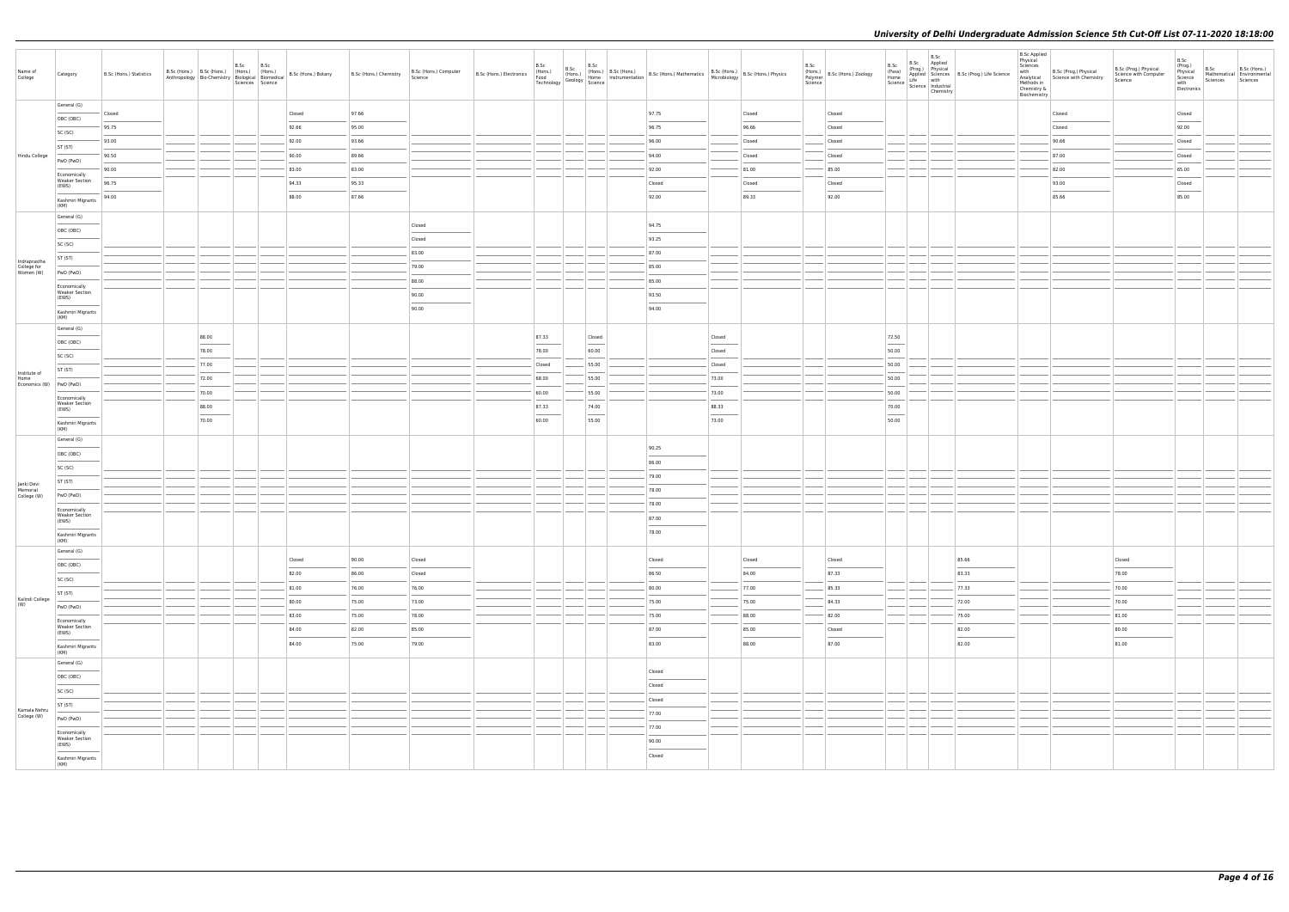|                                       |                                                |                         |       |      |                          |                |                |                                  |                                  |                                                                          |                                            |                                  |                                                                                                                                                                   |                                                     |                |                 |                                           |                                                                                                                                                                                                                                                                                                                                                                                                                                                                                     | B.Sc<br>B.Sc Applied                        |                                                                                | <b>B.Sc Applied</b><br>Physical         |                                                                   |                                                           | B.Sc                                                                                                                                                                                                                                                                                                                                                                                                                                                                                |                  |                                                        |
|---------------------------------------|------------------------------------------------|-------------------------|-------|------|--------------------------|----------------|----------------|----------------------------------|----------------------------------|--------------------------------------------------------------------------|--------------------------------------------|----------------------------------|-------------------------------------------------------------------------------------------------------------------------------------------------------------------|-----------------------------------------------------|----------------|-----------------|-------------------------------------------|-------------------------------------------------------------------------------------------------------------------------------------------------------------------------------------------------------------------------------------------------------------------------------------------------------------------------------------------------------------------------------------------------------------------------------------------------------------------------------------|---------------------------------------------|--------------------------------------------------------------------------------|-----------------------------------------|-------------------------------------------------------------------|-----------------------------------------------------------|-------------------------------------------------------------------------------------------------------------------------------------------------------------------------------------------------------------------------------------------------------------------------------------------------------------------------------------------------------------------------------------------------------------------------------------------------------------------------------------|------------------|--------------------------------------------------------|
| Name of<br>College                    | Category                                       | B.Sc (Hons.) Statistics |       | B.Sc | B.Sc<br>Sciences Science |                |                | B.Sc (Hons.) Computer<br>Science | B.Sc (Hons.) Electronics (Hons.) | B.Sc<br>B.Sc (Hons.)<br>(Hons.) (Hons.)<br>Geology Science<br>Technology |                                            | $B.Sc$<br>(Hons.) $B.Sc$ (Hons.) | Homs.) B.Sc (Hons.) B.Sc (Hons.) Mathematics B.Sc (Hons.) B.Sc (Hons.) Physics<br>Home Instrumentation B.Sc (Hons.) Mathematics Microbiology B.Sc (Hons.) Physics |                                                     |                | B.Sc<br>Science | (Hons.)<br>Polymer   B.Sc (Hons.) Zoology | B.Sc<br>(Pass)<br>Home                                                                                                                                                                                                                                                                                                                                                                                                                                                              | Science   Science   Industrial<br>Chemistry | Prog.)<br>Applied Sciences<br>Life with B.Sc (Prog.) Life Science<br>Life with | Sciences<br>Chemistry &<br>Biochemistry | with<br>Analytical B.Sc (Prog.) Physical<br>Methods in<br>Chomith | B.Sc (Prog.) Physical<br>Science with Computer<br>Science | (Prog.)<br>Physical<br>Science<br>with<br>Electronics                                                                                                                                                                                                                                                                                                                                                                                                                               | B.Sc<br>Sciences | B.Sc (Hons.)<br>Mathematical Environmental<br>Sciences |
|                                       | General (G)                                    | Closed                  |       |      |                          | Closed         | 97.66          |                                  |                                  |                                                                          |                                            |                                  | 97.75                                                                                                                                                             |                                                     | Closed         |                 | Closed                                    |                                                                                                                                                                                                                                                                                                                                                                                                                                                                                     |                                             |                                                                                |                                         | Closed                                                            |                                                           | Closed                                                                                                                                                                                                                                                                                                                                                                                                                                                                              |                  |                                                        |
|                                       | OBC (OBC)                                      | 95.75                   |       |      |                          | 92.66          | 95.00          |                                  |                                  |                                                                          |                                            |                                  | 96.75                                                                                                                                                             |                                                     | 96.66          |                 | Closed                                    |                                                                                                                                                                                                                                                                                                                                                                                                                                                                                     |                                             |                                                                                |                                         | Closed                                                            |                                                           | 92.00                                                                                                                                                                                                                                                                                                                                                                                                                                                                               |                  |                                                        |
|                                       | SC (SC)                                        | 93.00                   |       |      |                          | 92.00          | 93.66          |                                  |                                  |                                                                          |                                            |                                  | 96.00                                                                                                                                                             |                                                     | Closed         |                 | Closed                                    |                                                                                                                                                                                                                                                                                                                                                                                                                                                                                     |                                             |                                                                                |                                         | 90.66                                                             |                                                           | Closed                                                                                                                                                                                                                                                                                                                                                                                                                                                                              |                  |                                                        |
| Hindu College                         | ST (ST)                                        | 90.50                   |       |      |                          | 90.00          | 89.66          |                                  |                                  |                                                                          |                                            |                                  | 94.00                                                                                                                                                             |                                                     | Closed         |                 | Closed                                    |                                                                                                                                                                                                                                                                                                                                                                                                                                                                                     |                                             |                                                                                |                                         | 87.00                                                             |                                                           | Closed                                                                                                                                                                                                                                                                                                                                                                                                                                                                              |                  |                                                        |
|                                       | PwD (PwD)                                      | 90.00                   |       |      |                          | 83.00          | 83.00          |                                  |                                  |                                                                          |                                            |                                  | 92.00                                                                                                                                                             |                                                     | 81.00          |                 | 85.00                                     |                                                                                                                                                                                                                                                                                                                                                                                                                                                                                     |                                             |                                                                                |                                         | 82.00                                                             |                                                           | 65.00                                                                                                                                                                                                                                                                                                                                                                                                                                                                               |                  |                                                        |
|                                       | Economically<br><b>Weaker Section</b><br>(EWS) | 96.75                   |       |      |                          | 94.33          | 95.33          |                                  |                                  |                                                                          |                                            |                                  | Closed                                                                                                                                                            |                                                     | Closed         |                 | Closed                                    |                                                                                                                                                                                                                                                                                                                                                                                                                                                                                     |                                             |                                                                                |                                         | 93.00                                                             |                                                           | Closed                                                                                                                                                                                                                                                                                                                                                                                                                                                                              |                  |                                                        |
|                                       | Kashmiri Migrants                              | 94.00                   |       |      |                          | 88.00          | 87.66          |                                  |                                  |                                                                          |                                            |                                  | 92.00                                                                                                                                                             |                                                     | 89.33          |                 | 92.00                                     |                                                                                                                                                                                                                                                                                                                                                                                                                                                                                     |                                             |                                                                                |                                         | 85.66                                                             |                                                           | $\frac{1}{2} \left( \frac{1}{2} \right) \left( \frac{1}{2} \right) \left( \frac{1}{2} \right) \left( \frac{1}{2} \right) \left( \frac{1}{2} \right) \left( \frac{1}{2} \right) \left( \frac{1}{2} \right) \left( \frac{1}{2} \right) \left( \frac{1}{2} \right) \left( \frac{1}{2} \right) \left( \frac{1}{2} \right) \left( \frac{1}{2} \right) \left( \frac{1}{2} \right) \left( \frac{1}{2} \right) \left( \frac{1}{2} \right) \left( \frac{1}{2} \right) \left( \frac$<br>85.00 |                  |                                                        |
|                                       | (KM)<br>General (G)                            |                         |       |      |                          |                |                |                                  |                                  |                                                                          |                                            |                                  |                                                                                                                                                                   |                                                     |                |                 |                                           |                                                                                                                                                                                                                                                                                                                                                                                                                                                                                     |                                             |                                                                                |                                         |                                                                   |                                                           |                                                                                                                                                                                                                                                                                                                                                                                                                                                                                     |                  |                                                        |
|                                       | OBC (OBC)                                      |                         |       |      |                          |                |                | Closed                           |                                  |                                                                          |                                            |                                  | 94.75                                                                                                                                                             |                                                     |                |                 |                                           |                                                                                                                                                                                                                                                                                                                                                                                                                                                                                     |                                             |                                                                                |                                         |                                                                   |                                                           |                                                                                                                                                                                                                                                                                                                                                                                                                                                                                     |                  |                                                        |
|                                       | SC (SC)                                        |                         |       |      |                          |                |                | Closed                           |                                  |                                                                          |                                            |                                  | 93.25                                                                                                                                                             |                                                     |                |                 |                                           |                                                                                                                                                                                                                                                                                                                                                                                                                                                                                     |                                             |                                                                                |                                         |                                                                   |                                                           |                                                                                                                                                                                                                                                                                                                                                                                                                                                                                     |                  |                                                        |
| Indraprastha                          | ST (ST)                                        |                         |       |      |                          |                |                | 83.00                            |                                  |                                                                          |                                            |                                  | 87.00                                                                                                                                                             |                                                     |                |                 |                                           |                                                                                                                                                                                                                                                                                                                                                                                                                                                                                     |                                             |                                                                                |                                         |                                                                   |                                                           |                                                                                                                                                                                                                                                                                                                                                                                                                                                                                     |                  |                                                        |
| College for<br>Women (W)              | PwD (PwD)                                      |                         |       |      |                          |                |                | 79.00                            |                                  |                                                                          |                                            |                                  | 85.00                                                                                                                                                             |                                                     |                |                 |                                           |                                                                                                                                                                                                                                                                                                                                                                                                                                                                                     |                                             |                                                                                |                                         |                                                                   |                                                           |                                                                                                                                                                                                                                                                                                                                                                                                                                                                                     |                  |                                                        |
|                                       | Economically                                   |                         |       |      |                          |                |                | 88.00                            |                                  |                                                                          |                                            |                                  | 85.00                                                                                                                                                             |                                                     |                |                 |                                           |                                                                                                                                                                                                                                                                                                                                                                                                                                                                                     |                                             |                                                                                |                                         |                                                                   |                                                           |                                                                                                                                                                                                                                                                                                                                                                                                                                                                                     |                  |                                                        |
|                                       | <b>Weaker Section</b><br>(EWS)                 |                         |       |      |                          |                |                | 90.00                            |                                  |                                                                          |                                            |                                  | 93.50                                                                                                                                                             |                                                     |                |                 |                                           |                                                                                                                                                                                                                                                                                                                                                                                                                                                                                     |                                             |                                                                                |                                         |                                                                   |                                                           |                                                                                                                                                                                                                                                                                                                                                                                                                                                                                     |                  |                                                        |
|                                       | Kashmiri Migrants<br>(KM)                      |                         |       |      |                          |                |                | 90.00                            |                                  |                                                                          |                                            |                                  | 94.00                                                                                                                                                             |                                                     |                |                 |                                           |                                                                                                                                                                                                                                                                                                                                                                                                                                                                                     |                                             |                                                                                |                                         |                                                                   |                                                           |                                                                                                                                                                                                                                                                                                                                                                                                                                                                                     |                  |                                                        |
|                                       | General (G)                                    |                         | 88.00 |      |                          |                |                |                                  |                                  | 87.33                                                                    | Closed                                     |                                  |                                                                                                                                                                   | Closed                                              |                |                 |                                           | 72.50                                                                                                                                                                                                                                                                                                                                                                                                                                                                               |                                             |                                                                                |                                         |                                                                   |                                                           |                                                                                                                                                                                                                                                                                                                                                                                                                                                                                     |                  |                                                        |
|                                       | OBC (OBC)                                      |                         | 78.00 |      |                          |                |                |                                  |                                  | 78.00                                                                    | 60.00                                      |                                  |                                                                                                                                                                   | Closed                                              |                |                 |                                           | 50.00                                                                                                                                                                                                                                                                                                                                                                                                                                                                               |                                             |                                                                                |                                         |                                                                   |                                                           |                                                                                                                                                                                                                                                                                                                                                                                                                                                                                     |                  |                                                        |
|                                       | SC (SC)                                        |                         | 77.00 |      |                          |                |                |                                  |                                  | Closed                                                                   | 55.00                                      |                                  |                                                                                                                                                                   | Closed                                              |                |                 |                                           | 50.00                                                                                                                                                                                                                                                                                                                                                                                                                                                                               |                                             |                                                                                |                                         |                                                                   |                                                           |                                                                                                                                                                                                                                                                                                                                                                                                                                                                                     |                  |                                                        |
| Institute of<br>Home                  | ST (ST)                                        |                         | 72.00 |      |                          |                |                |                                  |                                  | 68.00                                                                    | 55.00                                      |                                  |                                                                                                                                                                   | 73.00                                               |                |                 |                                           | $\sim$<br>50.00                                                                                                                                                                                                                                                                                                                                                                                                                                                                     |                                             |                                                                                |                                         |                                                                   |                                                           |                                                                                                                                                                                                                                                                                                                                                                                                                                                                                     |                  |                                                        |
| Economics (W) PwD (PwD)               |                                                |                         | 70.00 |      |                          |                |                |                                  |                                  | 60.00                                                                    | 55.00                                      |                                  |                                                                                                                                                                   | 73.00                                               |                |                 |                                           | <b>Service</b><br>50.00                                                                                                                                                                                                                                                                                                                                                                                                                                                             |                                             |                                                                                |                                         |                                                                   |                                                           |                                                                                                                                                                                                                                                                                                                                                                                                                                                                                     |                  |                                                        |
|                                       | Economically<br><b>Weaker Section</b>          |                         | 88.00 |      |                          |                |                |                                  |                                  | 87.33                                                                    | 74.00                                      |                                  |                                                                                                                                                                   | 88.33                                               |                |                 |                                           | 70.00                                                                                                                                                                                                                                                                                                                                                                                                                                                                               |                                             |                                                                                |                                         |                                                                   |                                                           |                                                                                                                                                                                                                                                                                                                                                                                                                                                                                     |                  |                                                        |
|                                       | (EWS)<br>Kashmiri Migrants                     |                         | 70.00 |      |                          |                |                |                                  |                                  | 60.00                                                                    | <b>Contract Contract Contract</b><br>55.00 |                                  |                                                                                                                                                                   | <b>Contract Contract Contract Contract</b><br>73.00 |                |                 |                                           | $\frac{1}{2} \left( \frac{1}{2} \right) \left( \frac{1}{2} \right) \left( \frac{1}{2} \right) \left( \frac{1}{2} \right) \left( \frac{1}{2} \right) \left( \frac{1}{2} \right) \left( \frac{1}{2} \right) \left( \frac{1}{2} \right) \left( \frac{1}{2} \right) \left( \frac{1}{2} \right) \left( \frac{1}{2} \right) \left( \frac{1}{2} \right) \left( \frac{1}{2} \right) \left( \frac{1}{2} \right) \left( \frac{1}{2} \right) \left( \frac{1}{2} \right) \left( \frac$<br>50.00 |                                             |                                                                                |                                         |                                                                   |                                                           |                                                                                                                                                                                                                                                                                                                                                                                                                                                                                     |                  |                                                        |
|                                       | (KM)<br>General (G)                            |                         |       |      |                          |                |                |                                  |                                  |                                                                          |                                            |                                  |                                                                                                                                                                   |                                                     |                |                 |                                           |                                                                                                                                                                                                                                                                                                                                                                                                                                                                                     |                                             |                                                                                |                                         |                                                                   |                                                           |                                                                                                                                                                                                                                                                                                                                                                                                                                                                                     |                  |                                                        |
|                                       | OBC (OBC)                                      |                         |       |      |                          |                |                |                                  |                                  |                                                                          |                                            |                                  | 90.25                                                                                                                                                             |                                                     |                |                 |                                           |                                                                                                                                                                                                                                                                                                                                                                                                                                                                                     |                                             |                                                                                |                                         |                                                                   |                                                           |                                                                                                                                                                                                                                                                                                                                                                                                                                                                                     |                  |                                                        |
|                                       | SC (SC)                                        |                         |       |      |                          |                |                |                                  |                                  |                                                                          |                                            |                                  | 86.00                                                                                                                                                             |                                                     |                |                 |                                           |                                                                                                                                                                                                                                                                                                                                                                                                                                                                                     |                                             |                                                                                |                                         |                                                                   |                                                           |                                                                                                                                                                                                                                                                                                                                                                                                                                                                                     |                  |                                                        |
|                                       | ST (ST)                                        |                         |       |      |                          |                |                |                                  |                                  |                                                                          |                                            |                                  | 79.00                                                                                                                                                             |                                                     |                |                 |                                           |                                                                                                                                                                                                                                                                                                                                                                                                                                                                                     |                                             |                                                                                |                                         |                                                                   |                                                           |                                                                                                                                                                                                                                                                                                                                                                                                                                                                                     |                  |                                                        |
| Janki Devi<br>Memorial<br>College (W) | PwD (PwD)                                      |                         |       |      |                          |                |                |                                  |                                  |                                                                          |                                            |                                  | 78.00                                                                                                                                                             |                                                     |                |                 |                                           |                                                                                                                                                                                                                                                                                                                                                                                                                                                                                     |                                             |                                                                                |                                         |                                                                   |                                                           |                                                                                                                                                                                                                                                                                                                                                                                                                                                                                     |                  |                                                        |
|                                       | Economically                                   |                         |       |      |                          |                |                |                                  |                                  |                                                                          |                                            |                                  | 78.00                                                                                                                                                             |                                                     |                |                 |                                           |                                                                                                                                                                                                                                                                                                                                                                                                                                                                                     |                                             |                                                                                |                                         |                                                                   |                                                           |                                                                                                                                                                                                                                                                                                                                                                                                                                                                                     |                  |                                                        |
|                                       | <b>Weaker Section</b><br>(EWS)                 |                         |       |      |                          |                |                |                                  |                                  |                                                                          |                                            |                                  | 87.00                                                                                                                                                             |                                                     |                |                 |                                           |                                                                                                                                                                                                                                                                                                                                                                                                                                                                                     |                                             |                                                                                |                                         |                                                                   |                                                           |                                                                                                                                                                                                                                                                                                                                                                                                                                                                                     |                  |                                                        |
|                                       | Kashmiri Migrants<br>(KM)                      |                         |       |      |                          |                |                |                                  |                                  |                                                                          |                                            |                                  | 78.00                                                                                                                                                             |                                                     |                |                 |                                           |                                                                                                                                                                                                                                                                                                                                                                                                                                                                                     |                                             |                                                                                |                                         |                                                                   |                                                           |                                                                                                                                                                                                                                                                                                                                                                                                                                                                                     |                  |                                                        |
|                                       | General (G)                                    |                         |       |      |                          |                |                |                                  |                                  |                                                                          |                                            |                                  |                                                                                                                                                                   |                                                     |                |                 |                                           |                                                                                                                                                                                                                                                                                                                                                                                                                                                                                     |                                             |                                                                                |                                         |                                                                   |                                                           |                                                                                                                                                                                                                                                                                                                                                                                                                                                                                     |                  |                                                        |
|                                       | OBC (OBC)<br>$\sim$                            |                         |       |      |                          | Closed         | 90.00          | Closed                           |                                  |                                                                          |                                            |                                  | Closed                                                                                                                                                            |                                                     | Closed         |                 | Closed                                    |                                                                                                                                                                                                                                                                                                                                                                                                                                                                                     |                                             | 85.66                                                                          |                                         |                                                                   | Closed<br>$\sim$                                          |                                                                                                                                                                                                                                                                                                                                                                                                                                                                                     |                  |                                                        |
|                                       | SC (SC)                                        |                         |       |      |                          | 82.00          | 86.00          | Closed                           |                                  |                                                                          |                                            |                                  | 86.50                                                                                                                                                             |                                                     | 84.00          |                 | 87.33                                     |                                                                                                                                                                                                                                                                                                                                                                                                                                                                                     |                                             | 83.33                                                                          |                                         |                                                                   | 78.00                                                     |                                                                                                                                                                                                                                                                                                                                                                                                                                                                                     |                  |                                                        |
| Kalindi College                       | ST (ST)                                        |                         |       |      |                          | 81.00<br>80.00 | 76.00<br>75.00 | 76.00<br>73.00                   |                                  |                                                                          |                                            |                                  | 80.00<br>75.00                                                                                                                                                    |                                                     | 77.00<br>75.00 |                 | 85.33<br>84.33                            |                                                                                                                                                                                                                                                                                                                                                                                                                                                                                     |                                             | 77.33<br>72.00                                                                 |                                         |                                                                   | 70.00<br>70.00                                            |                                                                                                                                                                                                                                                                                                                                                                                                                                                                                     |                  |                                                        |
| (W)                                   | PwD (PwD)                                      |                         |       |      |                          | 83.00          | 75.00          | 78.00                            |                                  |                                                                          |                                            |                                  | 75.00                                                                                                                                                             |                                                     | 88.00          |                 | 82.00                                     |                                                                                                                                                                                                                                                                                                                                                                                                                                                                                     |                                             | 75.00                                                                          |                                         |                                                                   | 81.00                                                     |                                                                                                                                                                                                                                                                                                                                                                                                                                                                                     |                  |                                                        |
|                                       | Economically<br><b>Weaker Section</b>          |                         |       |      |                          | 84.00          | 82.00          | 85.00                            |                                  |                                                                          |                                            |                                  | 87.00                                                                                                                                                             |                                                     | 85.00          |                 | Closed                                    |                                                                                                                                                                                                                                                                                                                                                                                                                                                                                     |                                             | 82.00                                                                          |                                         |                                                                   | 80.00                                                     |                                                                                                                                                                                                                                                                                                                                                                                                                                                                                     |                  |                                                        |
|                                       | (EWS)                                          |                         |       |      |                          | 84.00          | 75.00          | 79.00                            |                                  |                                                                          |                                            |                                  | 83.00                                                                                                                                                             |                                                     | 88.00          |                 | 87.00                                     |                                                                                                                                                                                                                                                                                                                                                                                                                                                                                     |                                             | 82.00                                                                          |                                         |                                                                   | 81.00                                                     |                                                                                                                                                                                                                                                                                                                                                                                                                                                                                     |                  |                                                        |
|                                       | Kashmiri Migrants<br>(KM)                      |                         |       |      |                          |                |                |                                  |                                  |                                                                          |                                            |                                  |                                                                                                                                                                   |                                                     |                |                 |                                           |                                                                                                                                                                                                                                                                                                                                                                                                                                                                                     |                                             |                                                                                |                                         |                                                                   |                                                           |                                                                                                                                                                                                                                                                                                                                                                                                                                                                                     |                  |                                                        |
|                                       | General (G)                                    |                         |       |      |                          |                |                |                                  |                                  |                                                                          |                                            |                                  | Closed                                                                                                                                                            |                                                     |                |                 |                                           |                                                                                                                                                                                                                                                                                                                                                                                                                                                                                     |                                             |                                                                                |                                         |                                                                   |                                                           |                                                                                                                                                                                                                                                                                                                                                                                                                                                                                     |                  |                                                        |
|                                       | OBC (OBC)                                      |                         |       |      |                          |                |                |                                  |                                  |                                                                          |                                            |                                  | Closed                                                                                                                                                            |                                                     |                |                 |                                           |                                                                                                                                                                                                                                                                                                                                                                                                                                                                                     |                                             |                                                                                |                                         |                                                                   |                                                           |                                                                                                                                                                                                                                                                                                                                                                                                                                                                                     |                  |                                                        |
|                                       | SC (SC)                                        |                         |       |      |                          |                |                |                                  |                                  |                                                                          |                                            |                                  | Closed                                                                                                                                                            |                                                     |                |                 |                                           |                                                                                                                                                                                                                                                                                                                                                                                                                                                                                     |                                             |                                                                                |                                         |                                                                   |                                                           |                                                                                                                                                                                                                                                                                                                                                                                                                                                                                     |                  |                                                        |
| Kamala Nehru<br>College (W)           | ST (ST)                                        |                         |       |      |                          |                |                |                                  |                                  |                                                                          |                                            |                                  | 77.00                                                                                                                                                             |                                                     |                |                 |                                           |                                                                                                                                                                                                                                                                                                                                                                                                                                                                                     |                                             |                                                                                |                                         |                                                                   |                                                           |                                                                                                                                                                                                                                                                                                                                                                                                                                                                                     |                  |                                                        |
|                                       | PwD (PwD)                                      |                         |       |      |                          |                |                |                                  |                                  |                                                                          |                                            |                                  | 77.00                                                                                                                                                             |                                                     |                |                 |                                           |                                                                                                                                                                                                                                                                                                                                                                                                                                                                                     |                                             |                                                                                |                                         |                                                                   |                                                           |                                                                                                                                                                                                                                                                                                                                                                                                                                                                                     |                  |                                                        |
|                                       | Economically<br><b>Weaker Section</b><br>(EWS) |                         |       |      |                          |                |                |                                  |                                  |                                                                          |                                            |                                  | 90.00                                                                                                                                                             |                                                     |                |                 |                                           |                                                                                                                                                                                                                                                                                                                                                                                                                                                                                     |                                             |                                                                                |                                         |                                                                   |                                                           |                                                                                                                                                                                                                                                                                                                                                                                                                                                                                     |                  |                                                        |
|                                       | Kashmiri Migrants                              |                         |       |      |                          |                |                |                                  |                                  |                                                                          |                                            |                                  | $\sim$<br>Closed                                                                                                                                                  |                                                     |                |                 |                                           |                                                                                                                                                                                                                                                                                                                                                                                                                                                                                     |                                             |                                                                                |                                         |                                                                   |                                                           |                                                                                                                                                                                                                                                                                                                                                                                                                                                                                     |                  |                                                        |
|                                       | (KM)                                           |                         |       |      |                          |                |                |                                  |                                  |                                                                          |                                            |                                  |                                                                                                                                                                   |                                                     |                |                 |                                           |                                                                                                                                                                                                                                                                                                                                                                                                                                                                                     |                                             |                                                                                |                                         |                                                                   |                                                           |                                                                                                                                                                                                                                                                                                                                                                                                                                                                                     |                  |                                                        |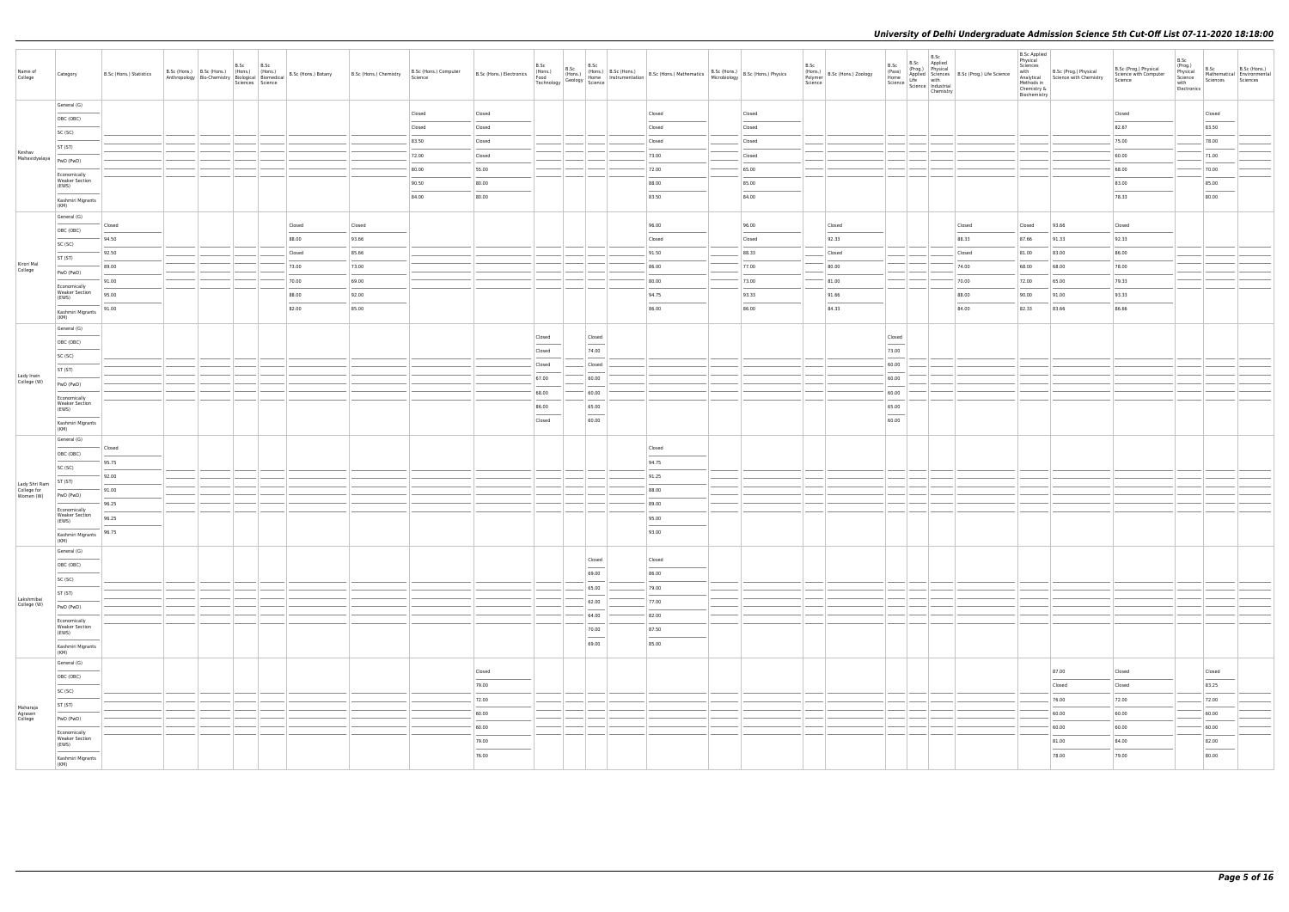| Name of<br>College                        | Category                                       | B.Sc (Hons.) Statistics | B.Sc (Hons.) B.Sc (Hons.) (Hons.) (Hons.)<br>Anthropology Bio-Chemistry Biological Biomedical | B.Sc | B.Sc<br>Sciences Science | B.Sc (Hons.) Botany | B.Sc (Hons.) Chemistry | B.Sc (Hons.) Computer<br>Science |        |        | B.Sc (Hons.) B.Sc (Hons.) B.Sc (Hons.) B.Sc (Hons.) B.Sc (Hons.) B.Sc (Hons.) B.Sc (Hons.) B.Sc (Hons.) B.Sc (Hons.) B.Sc (Hons.) Physics Technology Geology Science Technology Science (Secology Science Research 1997) B.Sc |                                                                                                                                                                                                                                                                                                                                                                                                                                                                                     |        | B.Sc | (Hons.)<br>Polymer<br>Science | B.Sc<br>(Pass)<br>Home | B.Sc<br>Science   Science   Industrial<br>Chemistry | B.Sc Applied<br>(Prog.) Physical<br>Applied Sciences B.Sc (Prog.) Life Science<br>Life with<br>BLIFE With Science B.Sc (Prog.) Life Science | B.Sc Applied<br>Physical<br>Biochemistry | erice<br>Manalytical<br>Manalytical<br>Methods in<br>Chemistry &<br>Chemistry<br>Biochemistry<br>Biochemistry<br>Biochemistry<br>Biochemistry<br>Biochemistry<br>Biochemistry<br>Biochemistry<br>Biochemistry<br>Biochemistry<br>Biochemistry<br>Biochemistry<br> | B.Sc (Prog.) Physical<br>Science with Computer<br>Science | B.Sc<br>(Prog.)<br>Physical<br>Science<br>with<br>Electronics | B.Sc<br>Sciences Sciences                                                                                                                                                                                                                                                                                                                                                                                                                                                           | B.Sc (Hons.)<br>Mathematical Environmental |
|-------------------------------------------|------------------------------------------------|-------------------------|-----------------------------------------------------------------------------------------------|------|--------------------------|---------------------|------------------------|----------------------------------|--------|--------|-------------------------------------------------------------------------------------------------------------------------------------------------------------------------------------------------------------------------------|-------------------------------------------------------------------------------------------------------------------------------------------------------------------------------------------------------------------------------------------------------------------------------------------------------------------------------------------------------------------------------------------------------------------------------------------------------------------------------------|--------|------|-------------------------------|------------------------|-----------------------------------------------------|---------------------------------------------------------------------------------------------------------------------------------------------|------------------------------------------|-------------------------------------------------------------------------------------------------------------------------------------------------------------------------------------------------------------------------------------------------------------------|-----------------------------------------------------------|---------------------------------------------------------------|-------------------------------------------------------------------------------------------------------------------------------------------------------------------------------------------------------------------------------------------------------------------------------------------------------------------------------------------------------------------------------------------------------------------------------------------------------------------------------------|--------------------------------------------|
|                                           | General (G)                                    |                         |                                                                                               |      |                          |                     |                        | Closed                           | Closed |        |                                                                                                                                                                                                                               | Closed                                                                                                                                                                                                                                                                                                                                                                                                                                                                              | Closed |      |                               |                        |                                                     |                                                                                                                                             |                                          |                                                                                                                                                                                                                                                                   | Closed                                                    |                                                               | Closed                                                                                                                                                                                                                                                                                                                                                                                                                                                                              |                                            |
|                                           | OBC (OBC)                                      |                         |                                                                                               |      |                          |                     |                        | Closed                           | Closed |        |                                                                                                                                                                                                                               | Closed                                                                                                                                                                                                                                                                                                                                                                                                                                                                              | Closed |      |                               |                        |                                                     |                                                                                                                                             |                                          |                                                                                                                                                                                                                                                                   | 82.67                                                     |                                                               | 83.50                                                                                                                                                                                                                                                                                                                                                                                                                                                                               |                                            |
|                                           | SC (SC)                                        |                         |                                                                                               |      |                          |                     |                        | 83.50                            | Closed |        |                                                                                                                                                                                                                               | Closed                                                                                                                                                                                                                                                                                                                                                                                                                                                                              | Closed |      |                               |                        |                                                     |                                                                                                                                             |                                          |                                                                                                                                                                                                                                                                   | 75.00                                                     |                                                               | 78.00                                                                                                                                                                                                                                                                                                                                                                                                                                                                               |                                            |
| Keshav<br>Mahavidyalaya                   | ST (ST)                                        |                         |                                                                                               |      |                          |                     |                        | 72.00                            | Closed |        |                                                                                                                                                                                                                               | 73.00                                                                                                                                                                                                                                                                                                                                                                                                                                                                               | Closed |      |                               |                        |                                                     |                                                                                                                                             |                                          |                                                                                                                                                                                                                                                                   | 60.00                                                     |                                                               | 71.00                                                                                                                                                                                                                                                                                                                                                                                                                                                                               |                                            |
|                                           | PwD (PwD)                                      |                         |                                                                                               |      |                          |                     |                        | 80.00                            | 55.00  |        |                                                                                                                                                                                                                               | 72.00                                                                                                                                                                                                                                                                                                                                                                                                                                                                               | 65.00  |      |                               |                        |                                                     |                                                                                                                                             |                                          |                                                                                                                                                                                                                                                                   | 68.00                                                     |                                                               | 70.00                                                                                                                                                                                                                                                                                                                                                                                                                                                                               |                                            |
|                                           | Economically<br><b>Weaker Section</b>          |                         |                                                                                               |      |                          |                     |                        | 90.50                            | 80.00  |        |                                                                                                                                                                                                                               | 88.00                                                                                                                                                                                                                                                                                                                                                                                                                                                                               | 85.00  |      |                               |                        |                                                     |                                                                                                                                             |                                          |                                                                                                                                                                                                                                                                   | 83.00                                                     |                                                               | 85.00                                                                                                                                                                                                                                                                                                                                                                                                                                                                               |                                            |
|                                           | (EWS)<br>Kashmiri Migrants                     |                         |                                                                                               |      |                          |                     |                        | 84.00                            | 80.00  |        |                                                                                                                                                                                                                               | $\frac{1}{2} \left( \frac{1}{2} \right) \left( \frac{1}{2} \right) \left( \frac{1}{2} \right) \left( \frac{1}{2} \right) \left( \frac{1}{2} \right) \left( \frac{1}{2} \right) \left( \frac{1}{2} \right) \left( \frac{1}{2} \right) \left( \frac{1}{2} \right) \left( \frac{1}{2} \right) \left( \frac{1}{2} \right) \left( \frac{1}{2} \right) \left( \frac{1}{2} \right) \left( \frac{1}{2} \right) \left( \frac{1}{2} \right) \left( \frac{1}{2} \right) \left( \frac$<br>83.50 | 84.00  |      |                               |                        |                                                     |                                                                                                                                             |                                          |                                                                                                                                                                                                                                                                   | $\frac{1}{2}$<br>78.33                                    |                                                               | $\frac{1}{2}$<br>80.00                                                                                                                                                                                                                                                                                                                                                                                                                                                              |                                            |
|                                           | (KM)                                           |                         |                                                                                               |      |                          |                     |                        |                                  |        |        |                                                                                                                                                                                                                               |                                                                                                                                                                                                                                                                                                                                                                                                                                                                                     |        |      |                               |                        |                                                     |                                                                                                                                             |                                          |                                                                                                                                                                                                                                                                   |                                                           |                                                               |                                                                                                                                                                                                                                                                                                                                                                                                                                                                                     |                                            |
|                                           | General (G)                                    | Closed                  |                                                                                               |      |                          | Closed              | Closed                 |                                  |        |        |                                                                                                                                                                                                                               | 96.00                                                                                                                                                                                                                                                                                                                                                                                                                                                                               | 96.00  |      | Closed                        |                        |                                                     | Closed                                                                                                                                      | Closed                                   | 93.66                                                                                                                                                                                                                                                             | Closed                                                    |                                                               |                                                                                                                                                                                                                                                                                                                                                                                                                                                                                     |                                            |
|                                           | OBC (OBC)                                      | 94.50                   |                                                                                               |      |                          | 88.00               | 93.66                  |                                  |        |        |                                                                                                                                                                                                                               | Closed                                                                                                                                                                                                                                                                                                                                                                                                                                                                              | Closed |      | 92.33                         |                        |                                                     | 88.33                                                                                                                                       | 87.66                                    | 91.33                                                                                                                                                                                                                                                             | 92.33                                                     |                                                               |                                                                                                                                                                                                                                                                                                                                                                                                                                                                                     |                                            |
|                                           | SC (SC)                                        | 92.50                   |                                                                                               |      |                          | Closed              | 85.66                  |                                  |        |        |                                                                                                                                                                                                                               | 91.50                                                                                                                                                                                                                                                                                                                                                                                                                                                                               | 88.33  |      | Closed                        |                        |                                                     | Closed                                                                                                                                      | 81.00                                    | 83.00                                                                                                                                                                                                                                                             | 86.00                                                     |                                                               |                                                                                                                                                                                                                                                                                                                                                                                                                                                                                     |                                            |
| Kirori Mal<br>College                     | ST (ST)<br>PwD (PwD)                           | 89.00                   |                                                                                               |      |                          | 73.00               | 73.00                  |                                  |        |        |                                                                                                                                                                                                                               | 86.00                                                                                                                                                                                                                                                                                                                                                                                                                                                                               | 77.00  |      | 80.00                         |                        |                                                     | 74.00                                                                                                                                       | 68.00                                    | 68.00                                                                                                                                                                                                                                                             | 78.00                                                     |                                                               |                                                                                                                                                                                                                                                                                                                                                                                                                                                                                     |                                            |
|                                           | Economically                                   | 91.00                   |                                                                                               |      |                          | 70.00               | 69.00                  |                                  |        |        |                                                                                                                                                                                                                               | 80.00                                                                                                                                                                                                                                                                                                                                                                                                                                                                               | 73.00  |      | 81.00                         |                        |                                                     | 70.00                                                                                                                                       | 72.00                                    | 65.00                                                                                                                                                                                                                                                             | 79.33                                                     |                                                               |                                                                                                                                                                                                                                                                                                                                                                                                                                                                                     |                                            |
|                                           | <b>Weaker Section</b><br>(EWS)                 | 95.00                   |                                                                                               |      |                          | 88.00               | 92.00                  |                                  |        |        |                                                                                                                                                                                                                               | 94.75                                                                                                                                                                                                                                                                                                                                                                                                                                                                               | 93.33  |      | 91.66                         |                        |                                                     | 88.00                                                                                                                                       | 90.00                                    | 91.00                                                                                                                                                                                                                                                             | 93.33                                                     |                                                               |                                                                                                                                                                                                                                                                                                                                                                                                                                                                                     |                                            |
|                                           | Kashmiri Migrants                              | 91.00                   |                                                                                               |      |                          | 82.00               | 85.00                  |                                  |        |        |                                                                                                                                                                                                                               | 86.00                                                                                                                                                                                                                                                                                                                                                                                                                                                                               | 86.00  |      | 84.33                         |                        |                                                     | 84.00                                                                                                                                       | 82.33                                    | 83.66                                                                                                                                                                                                                                                             | 86.66                                                     |                                                               |                                                                                                                                                                                                                                                                                                                                                                                                                                                                                     |                                            |
|                                           | (KM)<br>General (G)                            |                         |                                                                                               |      |                          |                     |                        |                                  |        |        |                                                                                                                                                                                                                               |                                                                                                                                                                                                                                                                                                                                                                                                                                                                                     |        |      |                               |                        |                                                     |                                                                                                                                             |                                          |                                                                                                                                                                                                                                                                   |                                                           |                                                               |                                                                                                                                                                                                                                                                                                                                                                                                                                                                                     |                                            |
|                                           | OBC (OBC)                                      |                         |                                                                                               |      |                          |                     |                        |                                  |        | Closed | Closed                                                                                                                                                                                                                        |                                                                                                                                                                                                                                                                                                                                                                                                                                                                                     |        |      |                               | Closed                 |                                                     |                                                                                                                                             |                                          |                                                                                                                                                                                                                                                                   |                                                           |                                                               |                                                                                                                                                                                                                                                                                                                                                                                                                                                                                     |                                            |
|                                           | SC (SC)                                        |                         |                                                                                               |      |                          |                     |                        |                                  |        | Closed | 74.00                                                                                                                                                                                                                         |                                                                                                                                                                                                                                                                                                                                                                                                                                                                                     |        |      |                               | 73.00                  |                                                     |                                                                                                                                             |                                          |                                                                                                                                                                                                                                                                   |                                                           |                                                               |                                                                                                                                                                                                                                                                                                                                                                                                                                                                                     |                                            |
|                                           | ST (ST)                                        |                         |                                                                                               |      |                          |                     |                        |                                  |        | Closed | Closed                                                                                                                                                                                                                        |                                                                                                                                                                                                                                                                                                                                                                                                                                                                                     |        |      |                               | 60.00                  |                                                     |                                                                                                                                             |                                          |                                                                                                                                                                                                                                                                   |                                                           |                                                               |                                                                                                                                                                                                                                                                                                                                                                                                                                                                                     |                                            |
| Lady Irwin<br>College (W)                 | PwD (PwD)                                      |                         |                                                                                               |      |                          |                     |                        |                                  |        | 67.00  | 60.00                                                                                                                                                                                                                         |                                                                                                                                                                                                                                                                                                                                                                                                                                                                                     |        |      |                               | 60.00                  |                                                     |                                                                                                                                             |                                          |                                                                                                                                                                                                                                                                   |                                                           |                                                               |                                                                                                                                                                                                                                                                                                                                                                                                                                                                                     |                                            |
|                                           | Economically                                   |                         |                                                                                               |      |                          |                     |                        |                                  |        | 68.00  | 60.00                                                                                                                                                                                                                         |                                                                                                                                                                                                                                                                                                                                                                                                                                                                                     |        |      |                               | 60.00                  |                                                     |                                                                                                                                             |                                          |                                                                                                                                                                                                                                                                   |                                                           |                                                               |                                                                                                                                                                                                                                                                                                                                                                                                                                                                                     |                                            |
|                                           | <b>Weaker Section</b><br>(EWS)                 |                         |                                                                                               |      |                          |                     |                        |                                  |        | 86.00  | 65.00                                                                                                                                                                                                                         |                                                                                                                                                                                                                                                                                                                                                                                                                                                                                     |        |      |                               | 65.00                  |                                                     |                                                                                                                                             |                                          |                                                                                                                                                                                                                                                                   |                                                           |                                                               |                                                                                                                                                                                                                                                                                                                                                                                                                                                                                     |                                            |
|                                           | Kashmiri Migrants<br>(KM)                      |                         |                                                                                               |      |                          |                     |                        |                                  |        | Closed | 60.00                                                                                                                                                                                                                         |                                                                                                                                                                                                                                                                                                                                                                                                                                                                                     |        |      |                               | 60.00                  |                                                     |                                                                                                                                             |                                          |                                                                                                                                                                                                                                                                   |                                                           |                                                               |                                                                                                                                                                                                                                                                                                                                                                                                                                                                                     |                                            |
|                                           | General (G)                                    |                         |                                                                                               |      |                          |                     |                        |                                  |        |        |                                                                                                                                                                                                                               |                                                                                                                                                                                                                                                                                                                                                                                                                                                                                     |        |      |                               |                        |                                                     |                                                                                                                                             |                                          |                                                                                                                                                                                                                                                                   |                                                           |                                                               |                                                                                                                                                                                                                                                                                                                                                                                                                                                                                     |                                            |
|                                           | OBC (OBC)                                      | Closed                  |                                                                                               |      |                          |                     |                        |                                  |        |        |                                                                                                                                                                                                                               | Closed                                                                                                                                                                                                                                                                                                                                                                                                                                                                              |        |      |                               |                        |                                                     |                                                                                                                                             |                                          |                                                                                                                                                                                                                                                                   |                                                           |                                                               |                                                                                                                                                                                                                                                                                                                                                                                                                                                                                     |                                            |
|                                           | SC (SC)                                        | 95.75                   |                                                                                               |      |                          |                     |                        |                                  |        |        |                                                                                                                                                                                                                               | 94.75                                                                                                                                                                                                                                                                                                                                                                                                                                                                               |        |      |                               |                        |                                                     |                                                                                                                                             |                                          |                                                                                                                                                                                                                                                                   |                                                           |                                                               |                                                                                                                                                                                                                                                                                                                                                                                                                                                                                     |                                            |
|                                           | $ST(ST)$                                       | 92.00                   |                                                                                               |      |                          |                     |                        |                                  |        |        |                                                                                                                                                                                                                               | 91.25                                                                                                                                                                                                                                                                                                                                                                                                                                                                               |        |      |                               |                        |                                                     |                                                                                                                                             |                                          |                                                                                                                                                                                                                                                                   |                                                           |                                                               |                                                                                                                                                                                                                                                                                                                                                                                                                                                                                     |                                            |
| Lady Shri Ram<br>College for<br>Women (W) | PwD (PwD)                                      | 91.00                   |                                                                                               |      |                          |                     |                        |                                  |        |        |                                                                                                                                                                                                                               | 88.00                                                                                                                                                                                                                                                                                                                                                                                                                                                                               |        |      |                               |                        |                                                     |                                                                                                                                             |                                          |                                                                                                                                                                                                                                                                   |                                                           |                                                               |                                                                                                                                                                                                                                                                                                                                                                                                                                                                                     |                                            |
|                                           | Economically<br><b>Weaker Section</b>          | 96.25                   |                                                                                               |      |                          |                     |                        |                                  |        |        |                                                                                                                                                                                                                               | 89.00                                                                                                                                                                                                                                                                                                                                                                                                                                                                               |        |      |                               |                        |                                                     |                                                                                                                                             |                                          |                                                                                                                                                                                                                                                                   |                                                           |                                                               |                                                                                                                                                                                                                                                                                                                                                                                                                                                                                     |                                            |
|                                           | (EWS)<br>---                                   | 96.25                   |                                                                                               |      |                          |                     |                        |                                  |        |        |                                                                                                                                                                                                                               | 95.00<br>$\frac{1}{2} \left( \frac{1}{2} \right) \left( \frac{1}{2} \right) \left( \frac{1}{2} \right) \left( \frac{1}{2} \right) \left( \frac{1}{2} \right) \left( \frac{1}{2} \right) \left( \frac{1}{2} \right) \left( \frac{1}{2} \right) \left( \frac{1}{2} \right) \left( \frac{1}{2} \right) \left( \frac{1}{2} \right) \left( \frac{1}{2} \right) \left( \frac{1}{2} \right) \left( \frac{1}{2} \right) \left( \frac{1}{2} \right) \left( \frac{1}{2} \right) \left( \frac$ |        |      |                               |                        |                                                     |                                                                                                                                             |                                          |                                                                                                                                                                                                                                                                   |                                                           |                                                               |                                                                                                                                                                                                                                                                                                                                                                                                                                                                                     |                                            |
|                                           | Kashmiri Migrants<br>(KM)                      | 96.75                   |                                                                                               |      |                          |                     |                        |                                  |        |        |                                                                                                                                                                                                                               | 93.00                                                                                                                                                                                                                                                                                                                                                                                                                                                                               |        |      |                               |                        |                                                     |                                                                                                                                             |                                          |                                                                                                                                                                                                                                                                   |                                                           |                                                               |                                                                                                                                                                                                                                                                                                                                                                                                                                                                                     |                                            |
|                                           | General (G)                                    |                         |                                                                                               |      |                          |                     |                        |                                  |        |        | Closed                                                                                                                                                                                                                        | Closed                                                                                                                                                                                                                                                                                                                                                                                                                                                                              |        |      |                               |                        |                                                     |                                                                                                                                             |                                          |                                                                                                                                                                                                                                                                   |                                                           |                                                               |                                                                                                                                                                                                                                                                                                                                                                                                                                                                                     |                                            |
|                                           | OBC (OBC)                                      |                         |                                                                                               |      |                          |                     |                        |                                  |        |        | $\overline{\phantom{a}}$<br>69.00                                                                                                                                                                                             | $\frac{1}{2} \left( \frac{1}{2} \right) \left( \frac{1}{2} \right) \left( \frac{1}{2} \right) \left( \frac{1}{2} \right) \left( \frac{1}{2} \right) \left( \frac{1}{2} \right) \left( \frac{1}{2} \right) \left( \frac{1}{2} \right) \left( \frac{1}{2} \right) \left( \frac{1}{2} \right) \left( \frac{1}{2} \right) \left( \frac{1}{2} \right) \left( \frac{1}{2} \right) \left( \frac{1}{2} \right) \left( \frac{1}{2} \right) \left( \frac{1}{2} \right) \left( \frac$<br>86.00 |        |      |                               |                        |                                                     |                                                                                                                                             |                                          |                                                                                                                                                                                                                                                                   |                                                           |                                                               |                                                                                                                                                                                                                                                                                                                                                                                                                                                                                     |                                            |
|                                           | SC (SC)                                        |                         |                                                                                               |      |                          |                     |                        |                                  |        |        | 65.00                                                                                                                                                                                                                         | 79.00                                                                                                                                                                                                                                                                                                                                                                                                                                                                               |        |      |                               |                        |                                                     |                                                                                                                                             |                                          |                                                                                                                                                                                                                                                                   |                                                           |                                                               |                                                                                                                                                                                                                                                                                                                                                                                                                                                                                     |                                            |
| Lakshmibai                                | ST (ST)                                        |                         |                                                                                               |      |                          |                     |                        |                                  |        |        | 62.00                                                                                                                                                                                                                         | 77.00                                                                                                                                                                                                                                                                                                                                                                                                                                                                               |        |      |                               |                        |                                                     |                                                                                                                                             |                                          |                                                                                                                                                                                                                                                                   |                                                           |                                                               |                                                                                                                                                                                                                                                                                                                                                                                                                                                                                     |                                            |
| College (W)                               | PwD (PwD)                                      |                         |                                                                                               |      |                          |                     |                        |                                  |        |        | 64.00                                                                                                                                                                                                                         | 82.00                                                                                                                                                                                                                                                                                                                                                                                                                                                                               |        |      |                               |                        |                                                     |                                                                                                                                             |                                          |                                                                                                                                                                                                                                                                   |                                                           |                                                               |                                                                                                                                                                                                                                                                                                                                                                                                                                                                                     |                                            |
|                                           | Economically<br><b>Weaker Section</b>          |                         |                                                                                               |      |                          |                     |                        |                                  |        |        | 70.00                                                                                                                                                                                                                         | 87.50                                                                                                                                                                                                                                                                                                                                                                                                                                                                               |        |      |                               |                        |                                                     |                                                                                                                                             |                                          |                                                                                                                                                                                                                                                                   |                                                           |                                                               |                                                                                                                                                                                                                                                                                                                                                                                                                                                                                     |                                            |
|                                           | (EWS)                                          |                         |                                                                                               |      |                          |                     |                        |                                  |        |        | 69.00                                                                                                                                                                                                                         | 85.00                                                                                                                                                                                                                                                                                                                                                                                                                                                                               |        |      |                               |                        |                                                     |                                                                                                                                             |                                          |                                                                                                                                                                                                                                                                   |                                                           |                                                               |                                                                                                                                                                                                                                                                                                                                                                                                                                                                                     |                                            |
|                                           | Kashmiri Migrants<br>(KM)                      |                         |                                                                                               |      |                          |                     |                        |                                  |        |        |                                                                                                                                                                                                                               |                                                                                                                                                                                                                                                                                                                                                                                                                                                                                     |        |      |                               |                        |                                                     |                                                                                                                                             |                                          |                                                                                                                                                                                                                                                                   |                                                           |                                                               |                                                                                                                                                                                                                                                                                                                                                                                                                                                                                     |                                            |
|                                           | General (G)                                    |                         |                                                                                               |      |                          |                     |                        |                                  | Closed |        |                                                                                                                                                                                                                               |                                                                                                                                                                                                                                                                                                                                                                                                                                                                                     |        |      |                               |                        |                                                     |                                                                                                                                             |                                          | 87.00                                                                                                                                                                                                                                                             | Closed                                                    |                                                               | Closed                                                                                                                                                                                                                                                                                                                                                                                                                                                                              |                                            |
|                                           | OBC (OBC)                                      |                         |                                                                                               |      |                          |                     |                        |                                  | 79.00  |        |                                                                                                                                                                                                                               |                                                                                                                                                                                                                                                                                                                                                                                                                                                                                     |        |      |                               |                        |                                                     |                                                                                                                                             |                                          | Closed                                                                                                                                                                                                                                                            | Closed                                                    |                                                               | $\frac{1}{2} \left( \frac{1}{2} \right) \left( \frac{1}{2} \right) \left( \frac{1}{2} \right) \left( \frac{1}{2} \right) \left( \frac{1}{2} \right) \left( \frac{1}{2} \right) \left( \frac{1}{2} \right) \left( \frac{1}{2} \right) \left( \frac{1}{2} \right) \left( \frac{1}{2} \right) \left( \frac{1}{2} \right) \left( \frac{1}{2} \right) \left( \frac{1}{2} \right) \left( \frac{1}{2} \right) \left( \frac{1}{2} \right) \left( \frac{1}{2} \right) \left( \frac$<br>83.25 |                                            |
|                                           | SC (SC)                                        |                         |                                                                                               |      |                          |                     |                        |                                  | 72.00  |        |                                                                                                                                                                                                                               |                                                                                                                                                                                                                                                                                                                                                                                                                                                                                     |        |      |                               |                        |                                                     |                                                                                                                                             |                                          | 76.00                                                                                                                                                                                                                                                             | 72.00                                                     |                                                               | 72.00                                                                                                                                                                                                                                                                                                                                                                                                                                                                               |                                            |
| Maharaja<br>Agrasen<br>College            | ST (ST)                                        |                         |                                                                                               |      |                          |                     |                        |                                  | 60.00  |        |                                                                                                                                                                                                                               |                                                                                                                                                                                                                                                                                                                                                                                                                                                                                     |        |      |                               |                        |                                                     |                                                                                                                                             |                                          | 60.00                                                                                                                                                                                                                                                             | 60.00                                                     |                                                               | 60.00                                                                                                                                                                                                                                                                                                                                                                                                                                                                               |                                            |
|                                           | PwD (PwD)                                      |                         |                                                                                               |      |                          |                     |                        |                                  | 60.00  |        |                                                                                                                                                                                                                               |                                                                                                                                                                                                                                                                                                                                                                                                                                                                                     |        |      |                               |                        |                                                     |                                                                                                                                             |                                          | 60.00                                                                                                                                                                                                                                                             | 60.00                                                     |                                                               | 60.00                                                                                                                                                                                                                                                                                                                                                                                                                                                                               |                                            |
|                                           | Economically<br><b>Weaker Section</b><br>(EWS) |                         |                                                                                               |      |                          |                     |                        |                                  | 79.00  |        |                                                                                                                                                                                                                               |                                                                                                                                                                                                                                                                                                                                                                                                                                                                                     |        |      |                               |                        |                                                     |                                                                                                                                             |                                          | 81.00                                                                                                                                                                                                                                                             | 84.00                                                     |                                                               | 82.00                                                                                                                                                                                                                                                                                                                                                                                                                                                                               |                                            |
|                                           | Kashmiri Migrants                              |                         |                                                                                               |      |                          |                     |                        |                                  | 76.00  |        |                                                                                                                                                                                                                               |                                                                                                                                                                                                                                                                                                                                                                                                                                                                                     |        |      |                               |                        |                                                     |                                                                                                                                             |                                          | 78.00                                                                                                                                                                                                                                                             | 79.00                                                     |                                                               | $\overline{\phantom{a}}$<br>80.00                                                                                                                                                                                                                                                                                                                                                                                                                                                   |                                            |
|                                           | (KM)                                           |                         |                                                                                               |      |                          |                     |                        |                                  |        |        |                                                                                                                                                                                                                               |                                                                                                                                                                                                                                                                                                                                                                                                                                                                                     |        |      |                               |                        |                                                     |                                                                                                                                             |                                          |                                                                                                                                                                                                                                                                   |                                                           |                                                               |                                                                                                                                                                                                                                                                                                                                                                                                                                                                                     |                                            |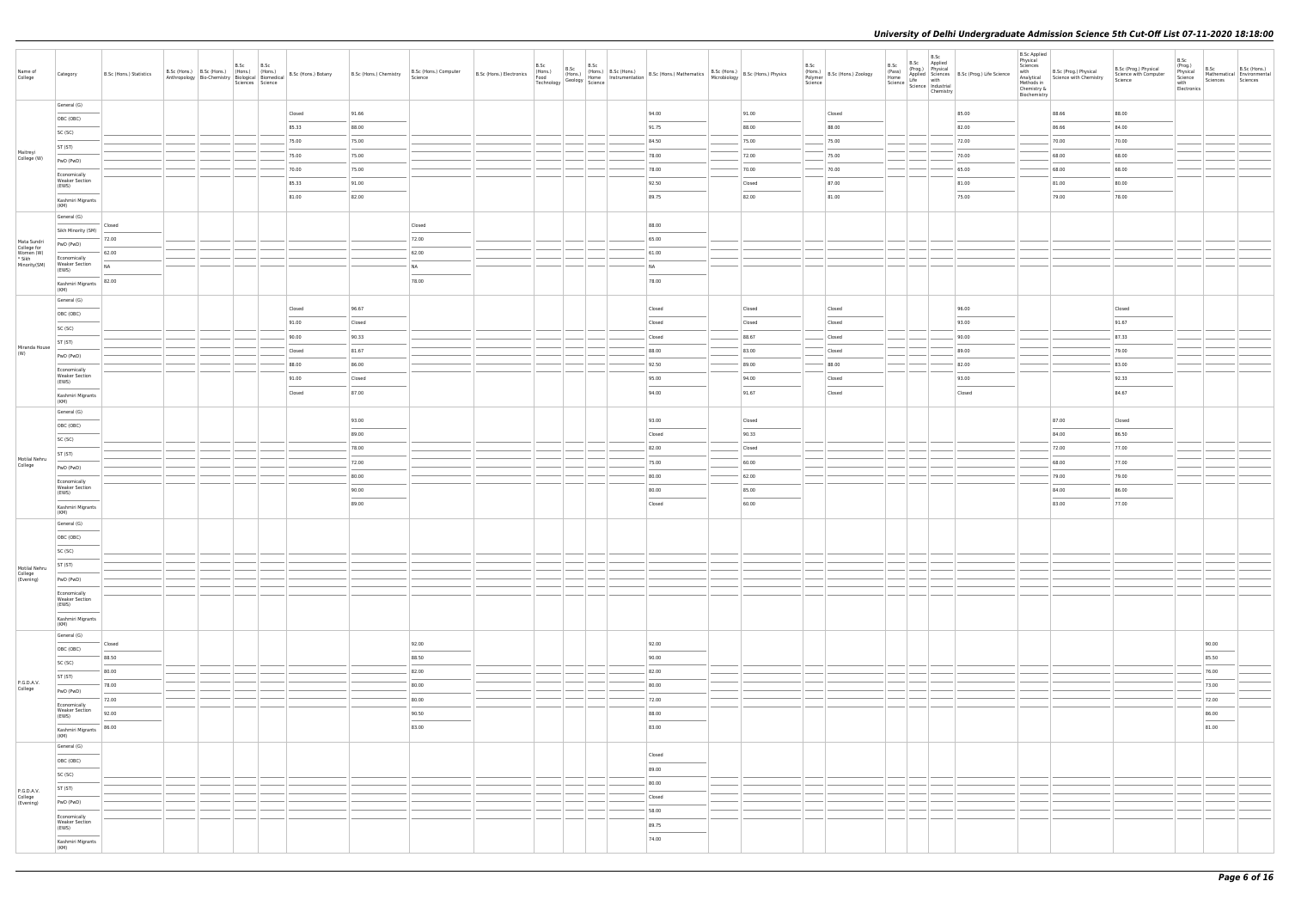| Name of<br>College                  | Category                                       | B.Sc (Hons.) Statistics |  | B.Sc B.Sc<br>Sciences Science | B.Sc (Hons.) B.Sc (Hons.) (Hons.) (Hons.) (Hons.) B.Sc (Hons.) Botany<br>Anthropology Bio-Chemistry Biological Biomedical B.Sc (Hons.) Botany | B.Sc (Hons.) Chemistry                                                                                                                                                                                                                                                                                                                                                                                                                                                              | B.Sc (Hons.) Computer<br>Science | B.Sc (Hons.) Electronics<br>Food<br>Technology | B.Sc | B.Sc | B.Sc (Hons.) B.Sc (Hons.) B.Sc (Hons.) Mathematics B.Sc (Hons.) S.Sc (Hons.) Physics<br>(Hons.) (Home Instrumentation B.Sc (Hons.) Mathematics Microbiology B.Sc (Hons.) Physics<br>gy Geology Science |        | B.Sc<br>(Hons.)<br>Polymer<br>Science<br>B.Sc (Hons.) Zoology | B.Sc | B.Sc Applied | B.Sc<br>B.Sc $[Pop,]$ Physical<br>(Pass) Applied Science<br>Home Applied Science<br>Science Science<br>Science Industrial<br>Science Industrial<br>Chamizen<br>Chemistry | <b>B.Sc Applied</b><br>Physical<br>Sciences<br>Methods in<br>Chemistry &<br>Biochemistry | with B.Sc (Prog.) Physical<br>Analytical Science with Chemistry | B.Sc (Prog.) Physical<br>Science with Computer<br>Science                                                                                                                                                                                                                                                                                                                                                                                                                           | B.Sc<br>(Prog.)<br>Physical<br>Science<br>with<br>Electronics | B.Sc<br>Sciences | B.Sc (Hons.)<br>Mathematical Environmental<br>Sciences |
|-------------------------------------|------------------------------------------------|-------------------------|--|-------------------------------|-----------------------------------------------------------------------------------------------------------------------------------------------|-------------------------------------------------------------------------------------------------------------------------------------------------------------------------------------------------------------------------------------------------------------------------------------------------------------------------------------------------------------------------------------------------------------------------------------------------------------------------------------|----------------------------------|------------------------------------------------|------|------|--------------------------------------------------------------------------------------------------------------------------------------------------------------------------------------------------------|--------|---------------------------------------------------------------|------|--------------|--------------------------------------------------------------------------------------------------------------------------------------------------------------------------|------------------------------------------------------------------------------------------|-----------------------------------------------------------------|-------------------------------------------------------------------------------------------------------------------------------------------------------------------------------------------------------------------------------------------------------------------------------------------------------------------------------------------------------------------------------------------------------------------------------------------------------------------------------------|---------------------------------------------------------------|------------------|--------------------------------------------------------|
|                                     | General (G)                                    |                         |  |                               | Closed                                                                                                                                        | 91.66                                                                                                                                                                                                                                                                                                                                                                                                                                                                               |                                  |                                                |      |      | 94.00                                                                                                                                                                                                  | 91.00  | Closed                                                        |      |              | 85.00                                                                                                                                                                    |                                                                                          | 88.66                                                           | 88.00                                                                                                                                                                                                                                                                                                                                                                                                                                                                               |                                                               |                  |                                                        |
|                                     | OBC (OBC)                                      |                         |  |                               | 85.33                                                                                                                                         | 88.00                                                                                                                                                                                                                                                                                                                                                                                                                                                                               |                                  |                                                |      |      | 91.75                                                                                                                                                                                                  | 88.00  | 88.00                                                         |      |              | 82.00                                                                                                                                                                    |                                                                                          | 86.66                                                           | 84.00                                                                                                                                                                                                                                                                                                                                                                                                                                                                               |                                                               |                  |                                                        |
|                                     | SC (SC)<br>ST (ST)                             |                         |  |                               | 75.00                                                                                                                                         | 75.00                                                                                                                                                                                                                                                                                                                                                                                                                                                                               |                                  |                                                |      |      | 84.50                                                                                                                                                                                                  | 75.00  | 75.00                                                         |      |              | 72.00                                                                                                                                                                    |                                                                                          | 70.00                                                           | 70.00                                                                                                                                                                                                                                                                                                                                                                                                                                                                               |                                                               |                  |                                                        |
| Maitreyi<br>College (W)             | PwD (PwD)                                      |                         |  |                               | 75.00                                                                                                                                         | 75.00                                                                                                                                                                                                                                                                                                                                                                                                                                                                               |                                  |                                                |      |      | 78.00                                                                                                                                                                                                  | 72.00  | 75.00                                                         |      |              | 70.00                                                                                                                                                                    |                                                                                          | 68.00                                                           | 68.00                                                                                                                                                                                                                                                                                                                                                                                                                                                                               |                                                               |                  |                                                        |
|                                     | Economically                                   |                         |  |                               | 70.00                                                                                                                                         | 75.00                                                                                                                                                                                                                                                                                                                                                                                                                                                                               |                                  |                                                |      |      | 78.00                                                                                                                                                                                                  | 70.00  | 70.00                                                         |      |              | 65.00                                                                                                                                                                    |                                                                                          | 68.00                                                           | 68.00                                                                                                                                                                                                                                                                                                                                                                                                                                                                               |                                                               |                  |                                                        |
|                                     | <b>Weaker Section</b><br>(EWS)                 |                         |  |                               | 85.33                                                                                                                                         | 91.00                                                                                                                                                                                                                                                                                                                                                                                                                                                                               |                                  |                                                |      |      | 92.50                                                                                                                                                                                                  | Closed | 87.00                                                         |      |              | 81.00                                                                                                                                                                    |                                                                                          | 81.00                                                           | 80.00                                                                                                                                                                                                                                                                                                                                                                                                                                                                               |                                                               |                  |                                                        |
|                                     | Kashmiri Migrants<br>(KM)                      |                         |  |                               | 81.00                                                                                                                                         | 82.00                                                                                                                                                                                                                                                                                                                                                                                                                                                                               |                                  |                                                |      |      | 89.75                                                                                                                                                                                                  | 82.00  | 81.00                                                         |      |              | 75.00                                                                                                                                                                    |                                                                                          | 79.00                                                           | 78.00                                                                                                                                                                                                                                                                                                                                                                                                                                                                               |                                                               |                  |                                                        |
|                                     | General (G)                                    |                         |  |                               |                                                                                                                                               |                                                                                                                                                                                                                                                                                                                                                                                                                                                                                     |                                  |                                                |      |      |                                                                                                                                                                                                        |        |                                                               |      |              |                                                                                                                                                                          |                                                                                          |                                                                 |                                                                                                                                                                                                                                                                                                                                                                                                                                                                                     |                                                               |                  |                                                        |
|                                     | Sikh Minority (SM)                             | Closed                  |  |                               |                                                                                                                                               |                                                                                                                                                                                                                                                                                                                                                                                                                                                                                     | Closed                           |                                                |      |      | 88.00                                                                                                                                                                                                  |        |                                                               |      |              |                                                                                                                                                                          |                                                                                          |                                                                 |                                                                                                                                                                                                                                                                                                                                                                                                                                                                                     |                                                               |                  |                                                        |
| Mata Sundri<br>College for          | PwD (PwD)                                      | 72.00                   |  |                               |                                                                                                                                               |                                                                                                                                                                                                                                                                                                                                                                                                                                                                                     | 72.00                            |                                                |      |      | 65.00                                                                                                                                                                                                  |        |                                                               |      |              |                                                                                                                                                                          |                                                                                          |                                                                 |                                                                                                                                                                                                                                                                                                                                                                                                                                                                                     |                                                               |                  |                                                        |
| Women (W)<br>* Sikh<br>Minority(SM) | Economically<br><b>Weaker Section</b>          | 62.00                   |  |                               |                                                                                                                                               |                                                                                                                                                                                                                                                                                                                                                                                                                                                                                     | 62.00                            |                                                |      |      | 61.00                                                                                                                                                                                                  |        |                                                               |      |              |                                                                                                                                                                          |                                                                                          |                                                                 |                                                                                                                                                                                                                                                                                                                                                                                                                                                                                     |                                                               |                  |                                                        |
|                                     | (EWS)                                          | <b>NA</b>               |  |                               |                                                                                                                                               |                                                                                                                                                                                                                                                                                                                                                                                                                                                                                     | <b>NA</b><br>78.00               |                                                |      |      | <b>NA</b>                                                                                                                                                                                              |        |                                                               |      |              |                                                                                                                                                                          |                                                                                          |                                                                 |                                                                                                                                                                                                                                                                                                                                                                                                                                                                                     |                                                               |                  |                                                        |
|                                     | Kashmiri Migrants<br>(KM)                      | 82.00                   |  |                               |                                                                                                                                               |                                                                                                                                                                                                                                                                                                                                                                                                                                                                                     |                                  |                                                |      |      | 78.00                                                                                                                                                                                                  |        |                                                               |      |              |                                                                                                                                                                          |                                                                                          |                                                                 |                                                                                                                                                                                                                                                                                                                                                                                                                                                                                     |                                                               |                  |                                                        |
|                                     | General (G)                                    |                         |  |                               | Closed                                                                                                                                        | 96.67                                                                                                                                                                                                                                                                                                                                                                                                                                                                               |                                  |                                                |      |      | Closed                                                                                                                                                                                                 | Closed | Closed                                                        |      |              | 96.00                                                                                                                                                                    |                                                                                          |                                                                 | Closed                                                                                                                                                                                                                                                                                                                                                                                                                                                                              |                                                               |                  |                                                        |
|                                     | OBC (OBC)                                      |                         |  |                               | 91.00                                                                                                                                         | Closed                                                                                                                                                                                                                                                                                                                                                                                                                                                                              |                                  |                                                |      |      | Closed                                                                                                                                                                                                 | Closed | Closed                                                        |      |              | 93.00                                                                                                                                                                    |                                                                                          |                                                                 | $\frac{1}{2} \left( \frac{1}{2} \right) \left( \frac{1}{2} \right) \left( \frac{1}{2} \right) \left( \frac{1}{2} \right) \left( \frac{1}{2} \right) \left( \frac{1}{2} \right) \left( \frac{1}{2} \right) \left( \frac{1}{2} \right) \left( \frac{1}{2} \right) \left( \frac{1}{2} \right) \left( \frac{1}{2} \right) \left( \frac{1}{2} \right) \left( \frac{1}{2} \right) \left( \frac{1}{2} \right) \left( \frac{1}{2} \right) \left( \frac{1}{2} \right) \left( \frac$<br>91.67 |                                                               |                  |                                                        |
|                                     | SC (SC)                                        |                         |  |                               | 90.00                                                                                                                                         | 90.33                                                                                                                                                                                                                                                                                                                                                                                                                                                                               |                                  |                                                |      |      | Closed                                                                                                                                                                                                 | 88.67  | Closed                                                        |      |              | 90.00                                                                                                                                                                    |                                                                                          |                                                                 | 87.33                                                                                                                                                                                                                                                                                                                                                                                                                                                                               |                                                               |                  |                                                        |
| Miranda House<br>(W)                | ST (ST)                                        |                         |  |                               | Closed                                                                                                                                        | 81.67                                                                                                                                                                                                                                                                                                                                                                                                                                                                               |                                  |                                                |      |      | 88.00                                                                                                                                                                                                  | 83.00  | Closed                                                        |      |              | 89.00                                                                                                                                                                    |                                                                                          |                                                                 | 79.00                                                                                                                                                                                                                                                                                                                                                                                                                                                                               |                                                               |                  |                                                        |
|                                     | PwD (PwD)                                      |                         |  |                               | 88.00                                                                                                                                         | 86.00                                                                                                                                                                                                                                                                                                                                                                                                                                                                               |                                  |                                                |      |      | 92.50                                                                                                                                                                                                  | 89.00  | 88.00                                                         |      |              | 82.00                                                                                                                                                                    |                                                                                          |                                                                 | 83.00                                                                                                                                                                                                                                                                                                                                                                                                                                                                               |                                                               |                  |                                                        |
|                                     | Economically<br><b>Weaker Section</b><br>(EWS) |                         |  |                               | 91.00                                                                                                                                         | Closed                                                                                                                                                                                                                                                                                                                                                                                                                                                                              |                                  |                                                |      |      | 95.00                                                                                                                                                                                                  | 94.00  | Closed                                                        |      |              | 93.00                                                                                                                                                                    |                                                                                          |                                                                 | 92.33                                                                                                                                                                                                                                                                                                                                                                                                                                                                               |                                                               |                  |                                                        |
|                                     | Kashmiri Migrants                              |                         |  |                               | Closed                                                                                                                                        | 87.00                                                                                                                                                                                                                                                                                                                                                                                                                                                                               |                                  |                                                |      |      | 94.00                                                                                                                                                                                                  | 91.67  | Closed                                                        |      |              | Closed                                                                                                                                                                   |                                                                                          |                                                                 | $\sim$<br>84.67                                                                                                                                                                                                                                                                                                                                                                                                                                                                     |                                                               |                  |                                                        |
|                                     | (KM)<br>General (G)                            |                         |  |                               |                                                                                                                                               |                                                                                                                                                                                                                                                                                                                                                                                                                                                                                     |                                  |                                                |      |      |                                                                                                                                                                                                        |        |                                                               |      |              |                                                                                                                                                                          |                                                                                          |                                                                 |                                                                                                                                                                                                                                                                                                                                                                                                                                                                                     |                                                               |                  |                                                        |
|                                     | OBC (OBC)                                      |                         |  |                               |                                                                                                                                               | 93.00                                                                                                                                                                                                                                                                                                                                                                                                                                                                               |                                  |                                                |      |      | 93.00                                                                                                                                                                                                  | Closed |                                                               |      |              |                                                                                                                                                                          |                                                                                          | 87.00                                                           | Closed                                                                                                                                                                                                                                                                                                                                                                                                                                                                              |                                                               |                  |                                                        |
|                                     | SC (SC)                                        |                         |  |                               |                                                                                                                                               | 89.00                                                                                                                                                                                                                                                                                                                                                                                                                                                                               |                                  |                                                |      |      | Closed                                                                                                                                                                                                 | 90.33  |                                                               |      |              |                                                                                                                                                                          |                                                                                          | 84.00                                                           | 86.50                                                                                                                                                                                                                                                                                                                                                                                                                                                                               |                                                               |                  |                                                        |
|                                     | ST (ST)                                        |                         |  |                               |                                                                                                                                               | 78.00                                                                                                                                                                                                                                                                                                                                                                                                                                                                               |                                  |                                                |      |      | 82.00                                                                                                                                                                                                  | Closed |                                                               |      |              |                                                                                                                                                                          |                                                                                          | 72.00                                                           | 77.00                                                                                                                                                                                                                                                                                                                                                                                                                                                                               |                                                               |                  |                                                        |
| Motilal Nehru<br>College            | PwD (PwD)                                      |                         |  |                               |                                                                                                                                               | 72.00                                                                                                                                                                                                                                                                                                                                                                                                                                                                               |                                  |                                                |      |      | 75.00                                                                                                                                                                                                  | 60.00  |                                                               |      |              |                                                                                                                                                                          |                                                                                          | 68.00                                                           | 77.00                                                                                                                                                                                                                                                                                                                                                                                                                                                                               |                                                               |                  |                                                        |
|                                     | Economically<br><b>Weaker Section</b>          |                         |  |                               |                                                                                                                                               | 80.00                                                                                                                                                                                                                                                                                                                                                                                                                                                                               |                                  |                                                |      |      | 80.00                                                                                                                                                                                                  | 62.00  |                                                               |      |              |                                                                                                                                                                          |                                                                                          | 79.00                                                           | 79.00                                                                                                                                                                                                                                                                                                                                                                                                                                                                               |                                                               |                  |                                                        |
|                                     | (EWS)                                          |                         |  |                               |                                                                                                                                               | 90.00<br>$\frac{1}{2} \left( \frac{1}{2} \right) \left( \frac{1}{2} \right) \left( \frac{1}{2} \right) \left( \frac{1}{2} \right) \left( \frac{1}{2} \right) \left( \frac{1}{2} \right) \left( \frac{1}{2} \right) \left( \frac{1}{2} \right) \left( \frac{1}{2} \right) \left( \frac{1}{2} \right) \left( \frac{1}{2} \right) \left( \frac{1}{2} \right) \left( \frac{1}{2} \right) \left( \frac{1}{2} \right) \left( \frac{1}{2} \right) \left( \frac{1}{2} \right) \left( \frac$ |                                  |                                                |      |      | 80.00<br><b>STATISTICS</b>                                                                                                                                                                             | 85.00  |                                                               |      |              |                                                                                                                                                                          |                                                                                          | 84.00                                                           | 86.00                                                                                                                                                                                                                                                                                                                                                                                                                                                                               |                                                               |                  |                                                        |
|                                     | Kashmiri Migrants<br>(KM)                      |                         |  |                               |                                                                                                                                               | 89.00                                                                                                                                                                                                                                                                                                                                                                                                                                                                               |                                  |                                                |      |      | Closed                                                                                                                                                                                                 | 60.00  |                                                               |      |              |                                                                                                                                                                          |                                                                                          | 83.00                                                           | 77.00                                                                                                                                                                                                                                                                                                                                                                                                                                                                               |                                                               |                  |                                                        |
|                                     | General (G)                                    |                         |  |                               |                                                                                                                                               |                                                                                                                                                                                                                                                                                                                                                                                                                                                                                     |                                  |                                                |      |      |                                                                                                                                                                                                        |        |                                                               |      |              |                                                                                                                                                                          |                                                                                          |                                                                 |                                                                                                                                                                                                                                                                                                                                                                                                                                                                                     |                                                               |                  |                                                        |
|                                     | OBC (OBC)                                      |                         |  |                               |                                                                                                                                               |                                                                                                                                                                                                                                                                                                                                                                                                                                                                                     |                                  |                                                |      |      |                                                                                                                                                                                                        |        |                                                               |      |              |                                                                                                                                                                          |                                                                                          |                                                                 |                                                                                                                                                                                                                                                                                                                                                                                                                                                                                     |                                                               |                  |                                                        |
|                                     | SC (SC)                                        |                         |  |                               |                                                                                                                                               |                                                                                                                                                                                                                                                                                                                                                                                                                                                                                     |                                  |                                                |      |      |                                                                                                                                                                                                        |        |                                                               |      |              |                                                                                                                                                                          |                                                                                          |                                                                 |                                                                                                                                                                                                                                                                                                                                                                                                                                                                                     |                                                               |                  |                                                        |
| Motilal Nehru                       | ST (ST)                                        |                         |  |                               |                                                                                                                                               |                                                                                                                                                                                                                                                                                                                                                                                                                                                                                     |                                  |                                                |      |      |                                                                                                                                                                                                        |        |                                                               |      |              |                                                                                                                                                                          |                                                                                          |                                                                 |                                                                                                                                                                                                                                                                                                                                                                                                                                                                                     |                                                               |                  |                                                        |
| College<br>(Evening)                | PwD (PwD)                                      |                         |  |                               |                                                                                                                                               |                                                                                                                                                                                                                                                                                                                                                                                                                                                                                     |                                  |                                                |      |      |                                                                                                                                                                                                        |        |                                                               |      |              |                                                                                                                                                                          |                                                                                          |                                                                 |                                                                                                                                                                                                                                                                                                                                                                                                                                                                                     |                                                               |                  |                                                        |
|                                     | Economically<br><b>Weaker Section</b><br>(EWS) |                         |  |                               |                                                                                                                                               |                                                                                                                                                                                                                                                                                                                                                                                                                                                                                     |                                  |                                                |      |      |                                                                                                                                                                                                        |        |                                                               |      |              |                                                                                                                                                                          |                                                                                          |                                                                 |                                                                                                                                                                                                                                                                                                                                                                                                                                                                                     |                                                               |                  |                                                        |
|                                     | Kashmiri Migrants                              |                         |  |                               |                                                                                                                                               |                                                                                                                                                                                                                                                                                                                                                                                                                                                                                     |                                  |                                                |      |      |                                                                                                                                                                                                        |        |                                                               |      |              |                                                                                                                                                                          |                                                                                          |                                                                 |                                                                                                                                                                                                                                                                                                                                                                                                                                                                                     |                                                               |                  |                                                        |
|                                     | (KM)<br>General (G)                            |                         |  |                               |                                                                                                                                               |                                                                                                                                                                                                                                                                                                                                                                                                                                                                                     |                                  |                                                |      |      |                                                                                                                                                                                                        |        |                                                               |      |              |                                                                                                                                                                          |                                                                                          |                                                                 |                                                                                                                                                                                                                                                                                                                                                                                                                                                                                     |                                                               |                  |                                                        |
|                                     | OBC (OBC)                                      | Closed                  |  |                               |                                                                                                                                               |                                                                                                                                                                                                                                                                                                                                                                                                                                                                                     | 92.00                            |                                                |      |      | 92.00                                                                                                                                                                                                  |        |                                                               |      |              |                                                                                                                                                                          |                                                                                          |                                                                 |                                                                                                                                                                                                                                                                                                                                                                                                                                                                                     |                                                               | 90.00<br>$\sim$  |                                                        |
|                                     | SC (SC)                                        | 88.50                   |  |                               |                                                                                                                                               |                                                                                                                                                                                                                                                                                                                                                                                                                                                                                     | 88.50                            |                                                |      |      | 90.00                                                                                                                                                                                                  |        |                                                               |      |              |                                                                                                                                                                          |                                                                                          |                                                                 |                                                                                                                                                                                                                                                                                                                                                                                                                                                                                     |                                                               | 85.50            |                                                        |
| P.G.D.A.V.                          | ST (ST)                                        | 80.00                   |  |                               |                                                                                                                                               |                                                                                                                                                                                                                                                                                                                                                                                                                                                                                     | 82.00                            |                                                |      |      | 82.00                                                                                                                                                                                                  |        |                                                               |      |              |                                                                                                                                                                          |                                                                                          |                                                                 |                                                                                                                                                                                                                                                                                                                                                                                                                                                                                     |                                                               | 76.00            |                                                        |
| College                             | PwD (PwD)                                      | 78.00                   |  |                               |                                                                                                                                               |                                                                                                                                                                                                                                                                                                                                                                                                                                                                                     | 80.00                            |                                                |      |      | 80.00                                                                                                                                                                                                  |        |                                                               |      |              |                                                                                                                                                                          |                                                                                          |                                                                 |                                                                                                                                                                                                                                                                                                                                                                                                                                                                                     |                                                               | 73.00            |                                                        |
|                                     | Economically<br><b>Weaker Section</b>          | 72.00                   |  |                               |                                                                                                                                               |                                                                                                                                                                                                                                                                                                                                                                                                                                                                                     | 80.00                            |                                                |      |      | 72.00                                                                                                                                                                                                  |        |                                                               |      |              |                                                                                                                                                                          |                                                                                          |                                                                 |                                                                                                                                                                                                                                                                                                                                                                                                                                                                                     |                                                               | 72.00            |                                                        |
|                                     | (EWS)                                          | 92.00                   |  |                               |                                                                                                                                               |                                                                                                                                                                                                                                                                                                                                                                                                                                                                                     | 90.50                            |                                                |      |      | 88.00                                                                                                                                                                                                  |        |                                                               |      |              |                                                                                                                                                                          |                                                                                          |                                                                 |                                                                                                                                                                                                                                                                                                                                                                                                                                                                                     |                                                               | 86.00            |                                                        |
|                                     | Kashmiri Migrants<br>(KM)                      | 86.00                   |  |                               |                                                                                                                                               |                                                                                                                                                                                                                                                                                                                                                                                                                                                                                     | 83.00                            |                                                |      |      | 83.00                                                                                                                                                                                                  |        |                                                               |      |              |                                                                                                                                                                          |                                                                                          |                                                                 |                                                                                                                                                                                                                                                                                                                                                                                                                                                                                     |                                                               | 81.00            |                                                        |
|                                     | General (G)                                    |                         |  |                               |                                                                                                                                               |                                                                                                                                                                                                                                                                                                                                                                                                                                                                                     |                                  |                                                |      |      | Closed                                                                                                                                                                                                 |        |                                                               |      |              |                                                                                                                                                                          |                                                                                          |                                                                 |                                                                                                                                                                                                                                                                                                                                                                                                                                                                                     |                                                               |                  |                                                        |
|                                     | OBC (OBC)                                      |                         |  |                               |                                                                                                                                               |                                                                                                                                                                                                                                                                                                                                                                                                                                                                                     |                                  |                                                |      |      | 89.00                                                                                                                                                                                                  |        |                                                               |      |              |                                                                                                                                                                          |                                                                                          |                                                                 |                                                                                                                                                                                                                                                                                                                                                                                                                                                                                     |                                                               |                  |                                                        |
|                                     | SC (SC)                                        |                         |  |                               |                                                                                                                                               |                                                                                                                                                                                                                                                                                                                                                                                                                                                                                     |                                  |                                                |      |      | 80.00                                                                                                                                                                                                  |        |                                                               |      |              |                                                                                                                                                                          |                                                                                          |                                                                 |                                                                                                                                                                                                                                                                                                                                                                                                                                                                                     |                                                               |                  |                                                        |
| P.G.D.A.V.<br>College<br>(Evening)  | ST (ST)                                        |                         |  |                               |                                                                                                                                               |                                                                                                                                                                                                                                                                                                                                                                                                                                                                                     |                                  |                                                |      |      | Closed                                                                                                                                                                                                 |        |                                                               |      |              |                                                                                                                                                                          |                                                                                          |                                                                 |                                                                                                                                                                                                                                                                                                                                                                                                                                                                                     |                                                               |                  |                                                        |
|                                     | PwD (PwD)                                      |                         |  |                               |                                                                                                                                               |                                                                                                                                                                                                                                                                                                                                                                                                                                                                                     |                                  |                                                |      |      | 58.00                                                                                                                                                                                                  |        |                                                               |      |              |                                                                                                                                                                          |                                                                                          |                                                                 |                                                                                                                                                                                                                                                                                                                                                                                                                                                                                     |                                                               |                  |                                                        |
|                                     | Economically<br><b>Weaker Section</b><br>(EWS) |                         |  |                               |                                                                                                                                               |                                                                                                                                                                                                                                                                                                                                                                                                                                                                                     |                                  |                                                |      |      | 89.75                                                                                                                                                                                                  |        |                                                               |      |              |                                                                                                                                                                          |                                                                                          |                                                                 |                                                                                                                                                                                                                                                                                                                                                                                                                                                                                     |                                                               |                  |                                                        |
|                                     | Kashmiri Migrants                              |                         |  |                               |                                                                                                                                               |                                                                                                                                                                                                                                                                                                                                                                                                                                                                                     |                                  |                                                |      |      | 74.00                                                                                                                                                                                                  |        |                                                               |      |              |                                                                                                                                                                          |                                                                                          |                                                                 |                                                                                                                                                                                                                                                                                                                                                                                                                                                                                     |                                                               |                  |                                                        |
|                                     | (KM)                                           |                         |  |                               |                                                                                                                                               |                                                                                                                                                                                                                                                                                                                                                                                                                                                                                     |                                  |                                                |      |      |                                                                                                                                                                                                        |        |                                                               |      |              |                                                                                                                                                                          |                                                                                          |                                                                 |                                                                                                                                                                                                                                                                                                                                                                                                                                                                                     |                                                               |                  |                                                        |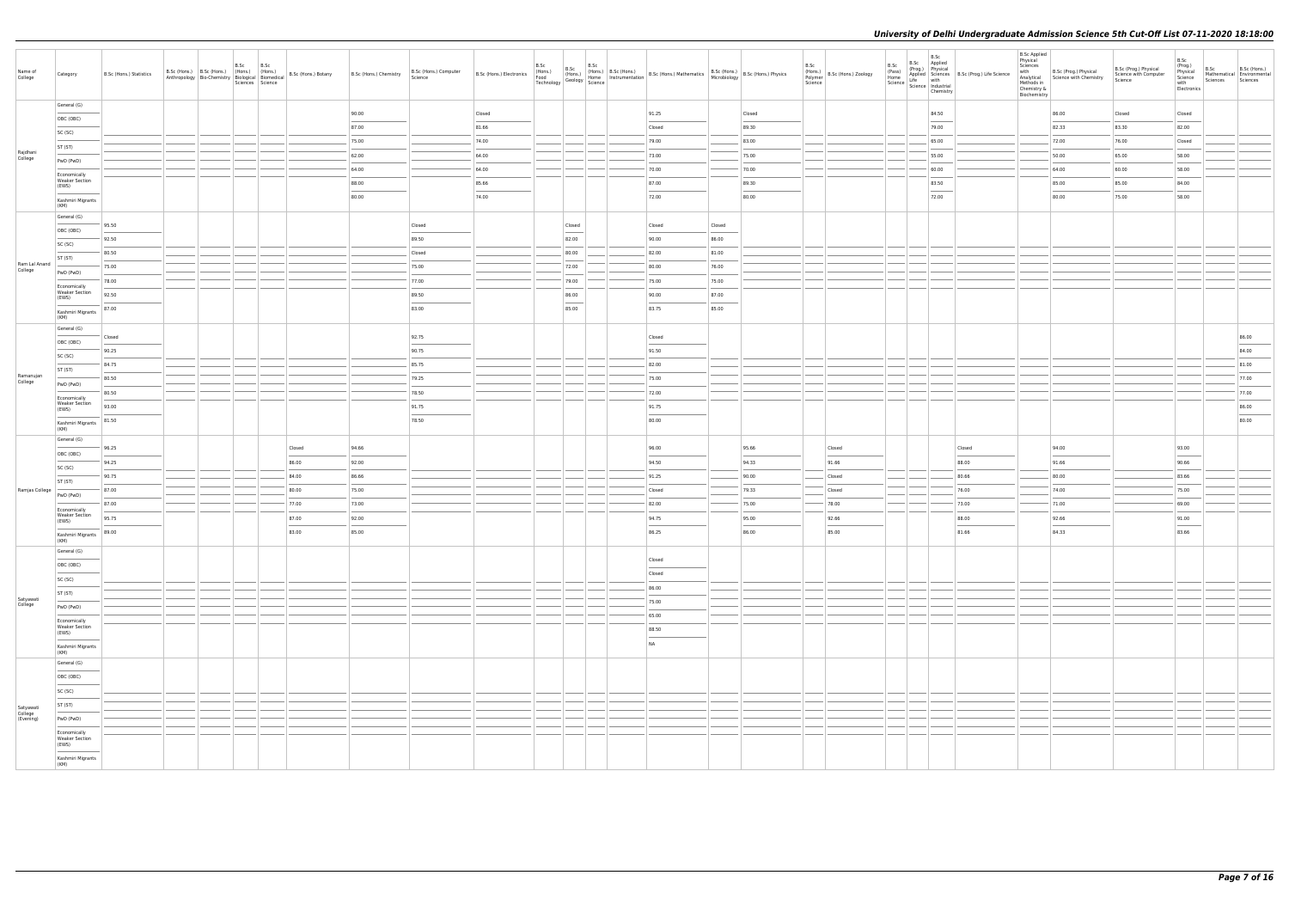| Name of<br>College                | Category                                       | B.Sc (Hons.) Statistics |  | B.Sc<br>Sciences Science | B.Sc | B.Sc (Hons.) B.Sc (Hons.) (Hons.) (Hons.) (Hons.) B.Sc (Hons.) Botany<br>Anthropology Bio-Chemistry Biological Biomedical B.Sc (Hons.) Botany | B.Sc (Hons.) Chemistry | B.Sc (Hons.) Computer<br>Science  | B.Sc (Hons.) Electronics<br>Food<br>Technology | B.Sc | B.Sc                                                                                                                                                                                                                                                                                                                                                                                                                                                                                | B.Sc<br>(Hons.) (Hons.)<br>Geology Home declined by Science | (Hons.) B.Sc (Hons.) B.Sc (Hons.) Mathematics B.Sc (Hons.) B.Sc (Hons.) Physics<br>Home Instrumentation B.Sc (Hons.) Mathematics Microbiology B.Sc (Hons.) Physics |        |        | B.Sc | (Hons.)<br>Polymer B.Sc (Hons.) Zoology<br>Science | B.Sc | B.Sc<br>B.Sc Applied<br>B.S.C. (Prog.) Physical<br>(Prog.) Physical<br>Applied Science<br>Science Industrial<br>Science Industrial<br>Science Industrial<br>$\frac{1}{2}$<br>Chemistry                                                                                                                                                                                                                                                                                              | <b>B.Sc Applied</b><br>Physical<br>Sciences<br>with<br>Analytical<br>Methods in<br>Chemistry &<br>Biochemistry | B.Sc (Prog.) Physical<br>Science with Chemistry | B.Sc (Prog.) Physical<br>Science with Computer<br>Science | B.Sc<br>(Prog.)<br>Physical<br>Science<br>with<br>Electronics | B.Sc<br>Sciences | B.Sc (Hons.)<br>Mathematical Environmental<br>Sciences |
|-----------------------------------|------------------------------------------------|-------------------------|--|--------------------------|------|-----------------------------------------------------------------------------------------------------------------------------------------------|------------------------|-----------------------------------|------------------------------------------------|------|-------------------------------------------------------------------------------------------------------------------------------------------------------------------------------------------------------------------------------------------------------------------------------------------------------------------------------------------------------------------------------------------------------------------------------------------------------------------------------------|-------------------------------------------------------------|--------------------------------------------------------------------------------------------------------------------------------------------------------------------|--------|--------|------|----------------------------------------------------|------|-------------------------------------------------------------------------------------------------------------------------------------------------------------------------------------------------------------------------------------------------------------------------------------------------------------------------------------------------------------------------------------------------------------------------------------------------------------------------------------|----------------------------------------------------------------------------------------------------------------|-------------------------------------------------|-----------------------------------------------------------|---------------------------------------------------------------|------------------|--------------------------------------------------------|
|                                   | General (G)                                    |                         |  |                          |      |                                                                                                                                               | 90.00                  |                                   | Closed                                         |      |                                                                                                                                                                                                                                                                                                                                                                                                                                                                                     |                                                             | 91.25                                                                                                                                                              |        | Closed |      |                                                    |      | 84.50                                                                                                                                                                                                                                                                                                                                                                                                                                                                               |                                                                                                                | 86.00                                           | Closed                                                    | Closed                                                        |                  |                                                        |
|                                   | OBC (OBC)                                      |                         |  |                          |      |                                                                                                                                               | 87.00                  |                                   | 81.66                                          |      |                                                                                                                                                                                                                                                                                                                                                                                                                                                                                     |                                                             | Closed                                                                                                                                                             |        | 89.30  |      |                                                    |      | $\frac{1}{2} \left( \frac{1}{2} \right) \left( \frac{1}{2} \right) \left( \frac{1}{2} \right) \left( \frac{1}{2} \right) \left( \frac{1}{2} \right) \left( \frac{1}{2} \right) \left( \frac{1}{2} \right) \left( \frac{1}{2} \right) \left( \frac{1}{2} \right) \left( \frac{1}{2} \right) \left( \frac{1}{2} \right) \left( \frac{1}{2} \right) \left( \frac{1}{2} \right) \left( \frac{1}{2} \right) \left( \frac{1}{2} \right) \left( \frac{1}{2} \right) \left( \frac$<br>79.00 |                                                                                                                | 82.33                                           | 83.30                                                     | 82.00                                                         |                  |                                                        |
|                                   | SC (SC)                                        |                         |  |                          |      |                                                                                                                                               | 75.00                  |                                   | 74.00                                          |      |                                                                                                                                                                                                                                                                                                                                                                                                                                                                                     |                                                             | 79.00                                                                                                                                                              |        | 83.00  |      |                                                    |      | 65.00                                                                                                                                                                                                                                                                                                                                                                                                                                                                               |                                                                                                                | 72.00                                           | 76.00                                                     | Closed                                                        |                  |                                                        |
| Rajdhani<br>College               | ST (ST)                                        |                         |  |                          |      |                                                                                                                                               | 62.00                  |                                   | 64.00                                          |      |                                                                                                                                                                                                                                                                                                                                                                                                                                                                                     |                                                             | 73.00                                                                                                                                                              |        | 75.00  |      |                                                    |      | 55.00                                                                                                                                                                                                                                                                                                                                                                                                                                                                               |                                                                                                                | 50.00                                           | 65.00                                                     | 58.00                                                         |                  |                                                        |
|                                   | PwD (PwD)                                      |                         |  |                          |      |                                                                                                                                               | 64.00                  |                                   | 64.00                                          |      |                                                                                                                                                                                                                                                                                                                                                                                                                                                                                     |                                                             | 70.00                                                                                                                                                              |        | 70.00  |      |                                                    |      | 60.00                                                                                                                                                                                                                                                                                                                                                                                                                                                                               |                                                                                                                | 64.00                                           | 60.00                                                     | 58.00                                                         |                  |                                                        |
|                                   | Economically<br><b>Weaker Section</b>          |                         |  |                          |      |                                                                                                                                               | 88.00                  |                                   | 85.66                                          |      |                                                                                                                                                                                                                                                                                                                                                                                                                                                                                     |                                                             | 87.00                                                                                                                                                              |        | 89.30  |      |                                                    |      | 83.50                                                                                                                                                                                                                                                                                                                                                                                                                                                                               |                                                                                                                | 85.00                                           | 85.00                                                     | 84.00                                                         |                  |                                                        |
|                                   | (EWS)                                          |                         |  |                          |      |                                                                                                                                               | 80.00                  |                                   | 74.00                                          |      |                                                                                                                                                                                                                                                                                                                                                                                                                                                                                     |                                                             | 72.00                                                                                                                                                              |        | 80.00  |      |                                                    |      | 72.00                                                                                                                                                                                                                                                                                                                                                                                                                                                                               |                                                                                                                | 80.00                                           | 75.00                                                     | 58.00                                                         |                  |                                                        |
|                                   | Kashmiri Migrants<br>(KM)                      |                         |  |                          |      |                                                                                                                                               |                        |                                   |                                                |      |                                                                                                                                                                                                                                                                                                                                                                                                                                                                                     |                                                             |                                                                                                                                                                    |        |        |      |                                                    |      |                                                                                                                                                                                                                                                                                                                                                                                                                                                                                     |                                                                                                                |                                                 |                                                           |                                                               |                  |                                                        |
|                                   | General (G)                                    | 95.50                   |  |                          |      |                                                                                                                                               |                        | Closed                            |                                                |      | Closed                                                                                                                                                                                                                                                                                                                                                                                                                                                                              |                                                             | Closed                                                                                                                                                             | Closed |        |      |                                                    |      |                                                                                                                                                                                                                                                                                                                                                                                                                                                                                     |                                                                                                                |                                                 |                                                           |                                                               |                  |                                                        |
|                                   | OBC (OBC)                                      | 92.50                   |  |                          |      |                                                                                                                                               |                        | 89.50                             |                                                |      | 82.00                                                                                                                                                                                                                                                                                                                                                                                                                                                                               |                                                             | 90.00                                                                                                                                                              | 86.00  |        |      |                                                    |      |                                                                                                                                                                                                                                                                                                                                                                                                                                                                                     |                                                                                                                |                                                 |                                                           |                                                               |                  |                                                        |
|                                   | SC (SC)                                        | 80.50                   |  |                          |      |                                                                                                                                               |                        | Closed                            |                                                |      | 80.00                                                                                                                                                                                                                                                                                                                                                                                                                                                                               |                                                             | 82.00                                                                                                                                                              | 81.00  |        |      |                                                    |      |                                                                                                                                                                                                                                                                                                                                                                                                                                                                                     |                                                                                                                |                                                 |                                                           |                                                               |                  |                                                        |
| Ram Lal Anand                     | ST (ST)                                        | 75.00                   |  |                          |      |                                                                                                                                               |                        | 75.00                             |                                                |      | 72.00                                                                                                                                                                                                                                                                                                                                                                                                                                                                               |                                                             | 80.00                                                                                                                                                              | 76.00  |        |      |                                                    |      |                                                                                                                                                                                                                                                                                                                                                                                                                                                                                     |                                                                                                                |                                                 |                                                           |                                                               |                  |                                                        |
| College                           | PwD (PwD)                                      | 78.00                   |  |                          |      |                                                                                                                                               |                        | 77.00                             |                                                |      | 79.00                                                                                                                                                                                                                                                                                                                                                                                                                                                                               |                                                             | 75.00                                                                                                                                                              | 75.00  |        |      |                                                    |      |                                                                                                                                                                                                                                                                                                                                                                                                                                                                                     |                                                                                                                |                                                 |                                                           |                                                               |                  |                                                        |
|                                   | Economically<br><b>Weaker Section</b>          | 92.50                   |  |                          |      |                                                                                                                                               |                        | 89.50                             |                                                |      | 86.00                                                                                                                                                                                                                                                                                                                                                                                                                                                                               |                                                             | 90.00                                                                                                                                                              | 87.00  |        |      |                                                    |      |                                                                                                                                                                                                                                                                                                                                                                                                                                                                                     |                                                                                                                |                                                 |                                                           |                                                               |                  |                                                        |
|                                   | (EWS)                                          | 87.00                   |  |                          |      |                                                                                                                                               |                        | <b>Contract Contract</b><br>83.00 |                                                |      | $\frac{1}{2} \left( \frac{1}{2} \right) \left( \frac{1}{2} \right) \left( \frac{1}{2} \right) \left( \frac{1}{2} \right) \left( \frac{1}{2} \right) \left( \frac{1}{2} \right) \left( \frac{1}{2} \right) \left( \frac{1}{2} \right) \left( \frac{1}{2} \right) \left( \frac{1}{2} \right) \left( \frac{1}{2} \right) \left( \frac{1}{2} \right) \left( \frac{1}{2} \right) \left( \frac{1}{2} \right) \left( \frac{1}{2} \right) \left( \frac{1}{2} \right) \left( \frac$<br>85.00 |                                                             | 83.75                                                                                                                                                              | 85.00  |        |      |                                                    |      |                                                                                                                                                                                                                                                                                                                                                                                                                                                                                     |                                                                                                                |                                                 |                                                           |                                                               |                  |                                                        |
|                                   | Kashmiri Migrants<br>(KM)                      |                         |  |                          |      |                                                                                                                                               |                        |                                   |                                                |      |                                                                                                                                                                                                                                                                                                                                                                                                                                                                                     |                                                             |                                                                                                                                                                    |        |        |      |                                                    |      |                                                                                                                                                                                                                                                                                                                                                                                                                                                                                     |                                                                                                                |                                                 |                                                           |                                                               |                  |                                                        |
|                                   | General (G)                                    | Closed                  |  |                          |      |                                                                                                                                               |                        | 92.75                             |                                                |      |                                                                                                                                                                                                                                                                                                                                                                                                                                                                                     |                                                             | Closed                                                                                                                                                             |        |        |      |                                                    |      |                                                                                                                                                                                                                                                                                                                                                                                                                                                                                     |                                                                                                                |                                                 |                                                           |                                                               |                  | 86.00                                                  |
|                                   | OBC (OBC)                                      | 90.25                   |  |                          |      |                                                                                                                                               |                        | 90.75                             |                                                |      |                                                                                                                                                                                                                                                                                                                                                                                                                                                                                     |                                                             | 91.50                                                                                                                                                              |        |        |      |                                                    |      |                                                                                                                                                                                                                                                                                                                                                                                                                                                                                     |                                                                                                                |                                                 |                                                           |                                                               |                  | 84.00                                                  |
|                                   | SC (SC)                                        | 84.75                   |  |                          |      |                                                                                                                                               |                        | 85.75                             |                                                |      |                                                                                                                                                                                                                                                                                                                                                                                                                                                                                     |                                                             | 82.00                                                                                                                                                              |        |        |      |                                                    |      |                                                                                                                                                                                                                                                                                                                                                                                                                                                                                     |                                                                                                                |                                                 |                                                           |                                                               |                  | 81.00                                                  |
| Ramanujan                         | ST (ST)                                        | 80.50                   |  |                          |      |                                                                                                                                               |                        | 79.25                             |                                                |      |                                                                                                                                                                                                                                                                                                                                                                                                                                                                                     |                                                             | 75.00                                                                                                                                                              |        |        |      |                                                    |      |                                                                                                                                                                                                                                                                                                                                                                                                                                                                                     |                                                                                                                |                                                 |                                                           |                                                               |                  | 77.00                                                  |
| College                           | PwD (PwD)                                      | 80.50                   |  |                          |      |                                                                                                                                               |                        | 78.50                             |                                                |      |                                                                                                                                                                                                                                                                                                                                                                                                                                                                                     |                                                             | 72.00                                                                                                                                                              |        |        |      |                                                    |      |                                                                                                                                                                                                                                                                                                                                                                                                                                                                                     |                                                                                                                |                                                 |                                                           |                                                               |                  | 77.00                                                  |
|                                   | Economically<br><b>Weaker Section</b>          | 93.00                   |  |                          |      |                                                                                                                                               |                        | 91.75                             |                                                |      |                                                                                                                                                                                                                                                                                                                                                                                                                                                                                     |                                                             | 91.75                                                                                                                                                              |        |        |      |                                                    |      |                                                                                                                                                                                                                                                                                                                                                                                                                                                                                     |                                                                                                                |                                                 |                                                           |                                                               |                  | 86.00                                                  |
|                                   | (EWS)<br>Kashmiri Migrants                     | 81.50                   |  |                          |      |                                                                                                                                               |                        | 78.50                             |                                                |      |                                                                                                                                                                                                                                                                                                                                                                                                                                                                                     |                                                             | $\sim$<br>80.00                                                                                                                                                    |        |        |      |                                                    |      |                                                                                                                                                                                                                                                                                                                                                                                                                                                                                     |                                                                                                                |                                                 |                                                           |                                                               |                  | 80.00                                                  |
|                                   | (KM)                                           |                         |  |                          |      |                                                                                                                                               |                        |                                   |                                                |      |                                                                                                                                                                                                                                                                                                                                                                                                                                                                                     |                                                             |                                                                                                                                                                    |        |        |      |                                                    |      |                                                                                                                                                                                                                                                                                                                                                                                                                                                                                     |                                                                                                                |                                                 |                                                           |                                                               |                  |                                                        |
|                                   | General (G)                                    | 96.25                   |  |                          |      | Closed                                                                                                                                        | 94.66                  |                                   |                                                |      |                                                                                                                                                                                                                                                                                                                                                                                                                                                                                     |                                                             | 96.00                                                                                                                                                              |        | 95.66  |      | Closed                                             |      | Closed                                                                                                                                                                                                                                                                                                                                                                                                                                                                              |                                                                                                                | 94.00                                           |                                                           | 93.00                                                         |                  |                                                        |
|                                   | OBC (OBC)                                      | 94.25                   |  |                          |      | 86.00                                                                                                                                         | 92.00                  |                                   |                                                |      |                                                                                                                                                                                                                                                                                                                                                                                                                                                                                     |                                                             | 94.50                                                                                                                                                              |        | 94.33  |      | 91.66                                              |      | 88.00                                                                                                                                                                                                                                                                                                                                                                                                                                                                               |                                                                                                                | 91.66                                           |                                                           | 90.66                                                         |                  |                                                        |
|                                   | SC (SC)                                        | 90.75                   |  |                          |      | 84.00                                                                                                                                         | 86.66                  |                                   |                                                |      |                                                                                                                                                                                                                                                                                                                                                                                                                                                                                     |                                                             | 91.25                                                                                                                                                              |        | 90.00  |      | Closed                                             |      | 80.66                                                                                                                                                                                                                                                                                                                                                                                                                                                                               |                                                                                                                | 80.00                                           |                                                           | 83.66                                                         |                  |                                                        |
| Ramjas College                    | ST (ST)                                        | 87.00                   |  |                          |      | 80.00                                                                                                                                         | 75.00                  |                                   |                                                |      |                                                                                                                                                                                                                                                                                                                                                                                                                                                                                     |                                                             | Closed                                                                                                                                                             |        | 79.33  |      | Closed                                             |      | 76.00                                                                                                                                                                                                                                                                                                                                                                                                                                                                               |                                                                                                                | 74.00                                           |                                                           | 75.00                                                         |                  |                                                        |
|                                   | PwD (PwD)                                      | 87.00                   |  |                          |      | 77.00                                                                                                                                         | 73.00                  |                                   |                                                |      |                                                                                                                                                                                                                                                                                                                                                                                                                                                                                     |                                                             | 82.00                                                                                                                                                              |        | 75.00  |      | 78.00                                              |      | 73.00                                                                                                                                                                                                                                                                                                                                                                                                                                                                               |                                                                                                                | 71.00                                           |                                                           | 69.00                                                         |                  |                                                        |
|                                   | Economically<br><b>Weaker Section</b><br>(EWS) | 95.75                   |  |                          |      | 87.00                                                                                                                                         | 92.00                  |                                   |                                                |      |                                                                                                                                                                                                                                                                                                                                                                                                                                                                                     |                                                             | 94.75                                                                                                                                                              |        | 95.00  |      | 92.66                                              |      | 88.00                                                                                                                                                                                                                                                                                                                                                                                                                                                                               |                                                                                                                | 92.66                                           |                                                           | 91.00                                                         |                  |                                                        |
|                                   | Kashmiri Migrants                              | 89.00                   |  |                          |      | 83.00                                                                                                                                         | 85.00                  |                                   |                                                |      |                                                                                                                                                                                                                                                                                                                                                                                                                                                                                     |                                                             | 86.25                                                                                                                                                              |        | 86.00  |      | 85.00                                              |      | 81.66                                                                                                                                                                                                                                                                                                                                                                                                                                                                               |                                                                                                                | $\overline{\phantom{a}}$<br>84.33               |                                                           | $\sim$<br>83.66                                               |                  |                                                        |
|                                   | (KM)<br>General (G)                            |                         |  |                          |      |                                                                                                                                               |                        |                                   |                                                |      |                                                                                                                                                                                                                                                                                                                                                                                                                                                                                     |                                                             |                                                                                                                                                                    |        |        |      |                                                    |      |                                                                                                                                                                                                                                                                                                                                                                                                                                                                                     |                                                                                                                |                                                 |                                                           |                                                               |                  |                                                        |
|                                   | OBC (OBC)                                      |                         |  |                          |      |                                                                                                                                               |                        |                                   |                                                |      |                                                                                                                                                                                                                                                                                                                                                                                                                                                                                     |                                                             | Closed                                                                                                                                                             |        |        |      |                                                    |      |                                                                                                                                                                                                                                                                                                                                                                                                                                                                                     |                                                                                                                |                                                 |                                                           |                                                               |                  |                                                        |
|                                   | SC (SC)                                        |                         |  |                          |      |                                                                                                                                               |                        |                                   |                                                |      |                                                                                                                                                                                                                                                                                                                                                                                                                                                                                     |                                                             | Closed                                                                                                                                                             |        |        |      |                                                    |      |                                                                                                                                                                                                                                                                                                                                                                                                                                                                                     |                                                                                                                |                                                 |                                                           |                                                               |                  |                                                        |
|                                   | ST (ST)                                        |                         |  |                          |      |                                                                                                                                               |                        |                                   |                                                |      |                                                                                                                                                                                                                                                                                                                                                                                                                                                                                     |                                                             | 86.00                                                                                                                                                              |        |        |      |                                                    |      |                                                                                                                                                                                                                                                                                                                                                                                                                                                                                     |                                                                                                                |                                                 |                                                           |                                                               |                  |                                                        |
| Satyawati<br>College              | PwD (PwD)                                      |                         |  |                          |      |                                                                                                                                               |                        |                                   |                                                |      |                                                                                                                                                                                                                                                                                                                                                                                                                                                                                     |                                                             | 75.00                                                                                                                                                              |        |        |      |                                                    |      |                                                                                                                                                                                                                                                                                                                                                                                                                                                                                     |                                                                                                                |                                                 |                                                           |                                                               |                  |                                                        |
|                                   | Economically                                   |                         |  |                          |      |                                                                                                                                               |                        |                                   |                                                |      |                                                                                                                                                                                                                                                                                                                                                                                                                                                                                     |                                                             | 65.00                                                                                                                                                              |        |        |      |                                                    |      |                                                                                                                                                                                                                                                                                                                                                                                                                                                                                     |                                                                                                                |                                                 |                                                           |                                                               |                  |                                                        |
|                                   | <b>Weaker Section</b><br>(EWS)                 |                         |  |                          |      |                                                                                                                                               |                        |                                   |                                                |      |                                                                                                                                                                                                                                                                                                                                                                                                                                                                                     |                                                             | 88.50<br>--                                                                                                                                                        |        |        |      |                                                    |      |                                                                                                                                                                                                                                                                                                                                                                                                                                                                                     |                                                                                                                |                                                 |                                                           |                                                               |                  |                                                        |
|                                   | Kashmiri Migrants                              |                         |  |                          |      |                                                                                                                                               |                        |                                   |                                                |      |                                                                                                                                                                                                                                                                                                                                                                                                                                                                                     |                                                             | <b>NA</b>                                                                                                                                                          |        |        |      |                                                    |      |                                                                                                                                                                                                                                                                                                                                                                                                                                                                                     |                                                                                                                |                                                 |                                                           |                                                               |                  |                                                        |
|                                   | (KM)<br>General (G)                            |                         |  |                          |      |                                                                                                                                               |                        |                                   |                                                |      |                                                                                                                                                                                                                                                                                                                                                                                                                                                                                     |                                                             |                                                                                                                                                                    |        |        |      |                                                    |      |                                                                                                                                                                                                                                                                                                                                                                                                                                                                                     |                                                                                                                |                                                 |                                                           |                                                               |                  |                                                        |
|                                   | OBC (OBC)                                      |                         |  |                          |      |                                                                                                                                               |                        |                                   |                                                |      |                                                                                                                                                                                                                                                                                                                                                                                                                                                                                     |                                                             |                                                                                                                                                                    |        |        |      |                                                    |      |                                                                                                                                                                                                                                                                                                                                                                                                                                                                                     |                                                                                                                |                                                 |                                                           |                                                               |                  |                                                        |
|                                   | SC (SC)                                        |                         |  |                          |      |                                                                                                                                               |                        |                                   |                                                |      |                                                                                                                                                                                                                                                                                                                                                                                                                                                                                     |                                                             |                                                                                                                                                                    |        |        |      |                                                    |      |                                                                                                                                                                                                                                                                                                                                                                                                                                                                                     |                                                                                                                |                                                 |                                                           |                                                               |                  |                                                        |
|                                   | ST (ST)                                        |                         |  |                          |      |                                                                                                                                               |                        |                                   |                                                |      |                                                                                                                                                                                                                                                                                                                                                                                                                                                                                     |                                                             |                                                                                                                                                                    |        |        |      |                                                    |      |                                                                                                                                                                                                                                                                                                                                                                                                                                                                                     |                                                                                                                |                                                 |                                                           |                                                               |                  |                                                        |
| Satyawati<br>College<br>(Evening) | PwD (PwD)                                      |                         |  |                          |      |                                                                                                                                               |                        |                                   |                                                |      |                                                                                                                                                                                                                                                                                                                                                                                                                                                                                     |                                                             |                                                                                                                                                                    |        |        |      |                                                    |      |                                                                                                                                                                                                                                                                                                                                                                                                                                                                                     |                                                                                                                |                                                 |                                                           |                                                               |                  |                                                        |
|                                   | Economically                                   |                         |  |                          |      |                                                                                                                                               |                        |                                   |                                                |      |                                                                                                                                                                                                                                                                                                                                                                                                                                                                                     |                                                             |                                                                                                                                                                    |        |        |      |                                                    |      |                                                                                                                                                                                                                                                                                                                                                                                                                                                                                     |                                                                                                                |                                                 |                                                           |                                                               |                  |                                                        |
|                                   | <b>Weaker Section</b><br>(EWS)                 |                         |  |                          |      |                                                                                                                                               |                        |                                   |                                                |      |                                                                                                                                                                                                                                                                                                                                                                                                                                                                                     |                                                             |                                                                                                                                                                    |        |        |      |                                                    |      |                                                                                                                                                                                                                                                                                                                                                                                                                                                                                     |                                                                                                                |                                                 |                                                           |                                                               |                  |                                                        |
|                                   | Kashmiri Migrants<br>(KM)                      |                         |  |                          |      |                                                                                                                                               |                        |                                   |                                                |      |                                                                                                                                                                                                                                                                                                                                                                                                                                                                                     |                                                             |                                                                                                                                                                    |        |        |      |                                                    |      |                                                                                                                                                                                                                                                                                                                                                                                                                                                                                     |                                                                                                                |                                                 |                                                           |                                                               |                  |                                                        |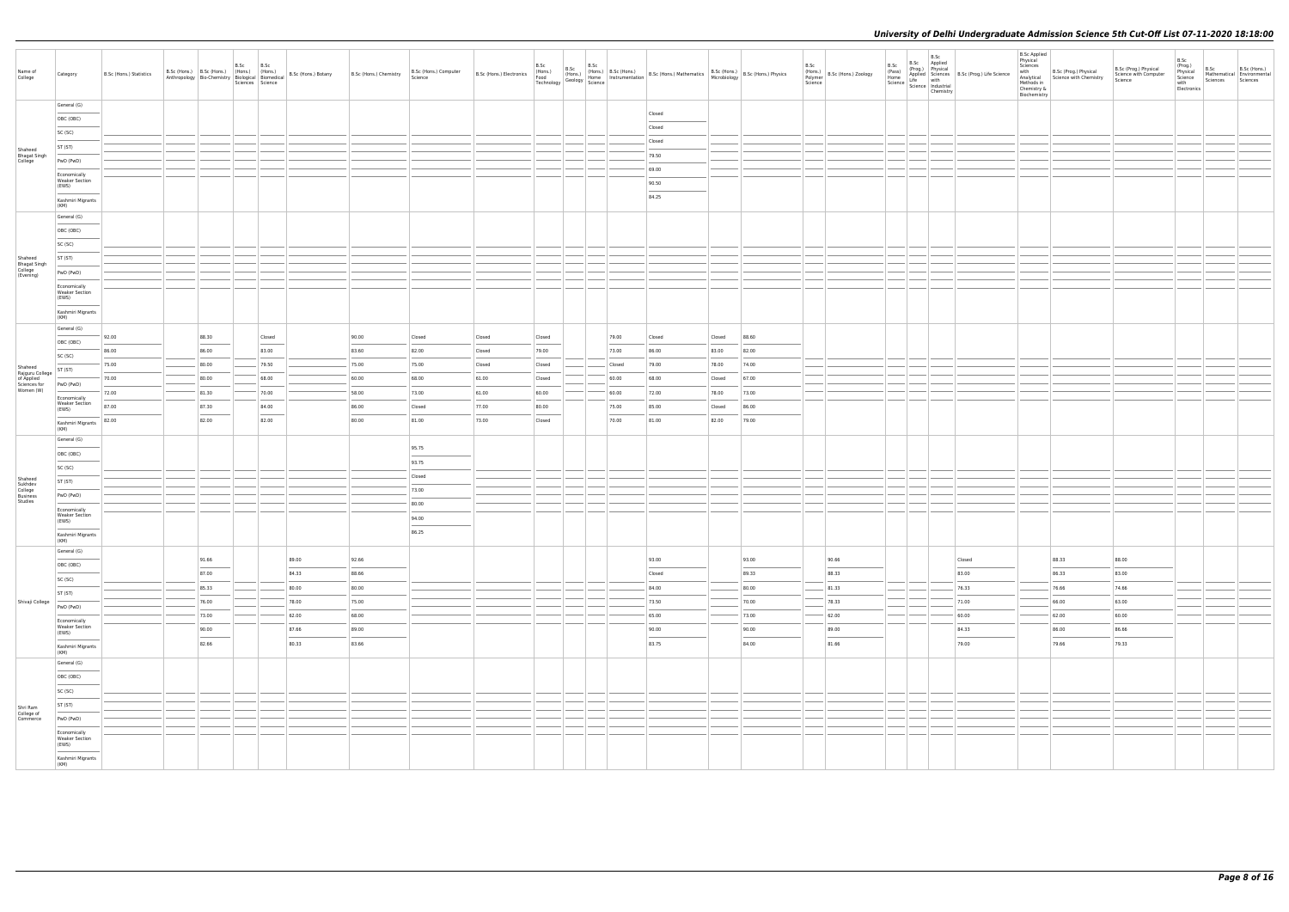| Name of<br>College                        | Category                                       | B.Sc (Hons.) Statistics | B.Sc (Hons.) B.Sc (Hons.) (Hons.) (Hons.) |                | B.Sc | B.Sc<br>Sciences Science | Anthropology   Bio-Chemistry   Biological   Biomedical   B.Sc (Hons.) Botany | B.Sc (Hons.) Chemistry | B.Sc (Hons.) Computer<br>Science |                  |                 |                | B.Sc (Hons.) B.Sc (Hons.) B.Sc (Hons.) B.Sc (Hons.) B.Sc (Hons.) B.Sc (Hons.) B.Sc (Hons.) B.Sc (Hons.) B.Sc (Hons.) B.Sc (Hons.) B.Sc (Hons.) B.Sc (Hons.) Physics Technology Geology Science Technology Science (Secology Sc |                 |                | B.Sc<br>(Hons.)<br>Polymer<br>Science |  | C<br>$r^2$<br>$r^2$ B.Sc (Prog.) Physical<br>Physical<br>Home Applied Science<br>Science Life with<br>Science Science Industrial<br>Chemistry<br>Chemistry<br>Chemistry | <b>B.Sc Applied</b><br>Physical<br>Sciences<br>with<br>Chemistry &<br>Biochemistry | B.Sc (Prog.) Physical<br>Analytical Science with Chemistry<br>Methods in | B.Sc (Prog.) Physical<br>Science with Computer<br>Science | B.Sc<br>(Prog.)<br>Physical<br>Science<br>with<br>Electronics | B.Sc<br>Sciences Sciences | B.Sc (Hons.)<br>Mathematical Environmental |
|-------------------------------------------|------------------------------------------------|-------------------------|-------------------------------------------|----------------|------|--------------------------|------------------------------------------------------------------------------|------------------------|----------------------------------|------------------|-----------------|----------------|--------------------------------------------------------------------------------------------------------------------------------------------------------------------------------------------------------------------------------|-----------------|----------------|---------------------------------------|--|-------------------------------------------------------------------------------------------------------------------------------------------------------------------------|------------------------------------------------------------------------------------|--------------------------------------------------------------------------|-----------------------------------------------------------|---------------------------------------------------------------|---------------------------|--------------------------------------------|
|                                           | General (G)                                    |                         |                                           |                |      |                          |                                                                              |                        |                                  |                  |                 |                | Closed                                                                                                                                                                                                                         |                 |                |                                       |  |                                                                                                                                                                         |                                                                                    |                                                                          |                                                           |                                                               |                           |                                            |
|                                           | OBC (OBC)                                      |                         |                                           |                |      |                          |                                                                              |                        |                                  |                  |                 |                | Closed                                                                                                                                                                                                                         |                 |                |                                       |  |                                                                                                                                                                         |                                                                                    |                                                                          |                                                           |                                                               |                           |                                            |
|                                           | SC (SC)                                        |                         |                                           |                |      |                          |                                                                              |                        |                                  |                  |                 |                | Closed                                                                                                                                                                                                                         |                 |                |                                       |  |                                                                                                                                                                         |                                                                                    |                                                                          |                                                           |                                                               |                           |                                            |
| Shaheed                                   | ST (ST)                                        |                         |                                           |                |      |                          |                                                                              |                        |                                  |                  |                 |                | 79.50                                                                                                                                                                                                                          |                 |                |                                       |  |                                                                                                                                                                         |                                                                                    |                                                                          |                                                           |                                                               |                           |                                            |
| Bhagat Singh<br>College                   | PwD (PwD)                                      |                         |                                           |                |      |                          |                                                                              |                        |                                  |                  |                 |                | 69.00                                                                                                                                                                                                                          |                 |                |                                       |  |                                                                                                                                                                         |                                                                                    |                                                                          |                                                           |                                                               |                           |                                            |
|                                           | Economically<br><b>Weaker Section</b>          |                         |                                           |                |      |                          |                                                                              |                        |                                  |                  |                 |                | 90.50                                                                                                                                                                                                                          |                 |                |                                       |  |                                                                                                                                                                         |                                                                                    |                                                                          |                                                           |                                                               |                           |                                            |
|                                           | (EWS)<br>Kashmiri Migrants                     |                         |                                           |                |      |                          |                                                                              |                        |                                  |                  |                 |                | 84.25                                                                                                                                                                                                                          |                 |                |                                       |  |                                                                                                                                                                         |                                                                                    |                                                                          |                                                           |                                                               |                           |                                            |
|                                           | (KM)<br>General (G)                            |                         |                                           |                |      |                          |                                                                              |                        |                                  |                  |                 |                |                                                                                                                                                                                                                                |                 |                |                                       |  |                                                                                                                                                                         |                                                                                    |                                                                          |                                                           |                                                               |                           |                                            |
|                                           | OBC (OBC)                                      |                         |                                           |                |      |                          |                                                                              |                        |                                  |                  |                 |                |                                                                                                                                                                                                                                |                 |                |                                       |  |                                                                                                                                                                         |                                                                                    |                                                                          |                                                           |                                                               |                           |                                            |
|                                           | SC (SC)                                        |                         |                                           |                |      |                          |                                                                              |                        |                                  |                  |                 |                |                                                                                                                                                                                                                                |                 |                |                                       |  |                                                                                                                                                                         |                                                                                    |                                                                          |                                                           |                                                               |                           |                                            |
| Shaheed                                   | ST (ST)                                        |                         |                                           |                |      |                          |                                                                              |                        |                                  |                  |                 |                |                                                                                                                                                                                                                                |                 |                |                                       |  |                                                                                                                                                                         |                                                                                    |                                                                          |                                                           |                                                               |                           |                                            |
| Bhagat Singh<br>College<br>(Evening)      | PwD (PwD)                                      |                         |                                           |                |      |                          |                                                                              |                        |                                  |                  |                 |                |                                                                                                                                                                                                                                |                 |                |                                       |  |                                                                                                                                                                         |                                                                                    |                                                                          |                                                           |                                                               |                           |                                            |
|                                           | Economically                                   |                         |                                           |                |      |                          |                                                                              |                        |                                  |                  |                 |                |                                                                                                                                                                                                                                |                 |                |                                       |  |                                                                                                                                                                         |                                                                                    |                                                                          |                                                           |                                                               |                           |                                            |
|                                           | <b>Weaker Section</b><br>(EWS)                 |                         |                                           |                |      |                          |                                                                              |                        |                                  |                  |                 |                |                                                                                                                                                                                                                                |                 |                |                                       |  |                                                                                                                                                                         |                                                                                    |                                                                          |                                                           |                                                               |                           |                                            |
|                                           | Kashmiri Migrants<br>(KM)                      |                         |                                           |                |      |                          |                                                                              |                        |                                  |                  |                 |                |                                                                                                                                                                                                                                |                 |                |                                       |  |                                                                                                                                                                         |                                                                                    |                                                                          |                                                           |                                                               |                           |                                            |
|                                           | General (G)                                    |                         |                                           |                |      |                          |                                                                              | 90.00                  |                                  | Closed           |                 |                |                                                                                                                                                                                                                                |                 |                |                                       |  |                                                                                                                                                                         |                                                                                    |                                                                          |                                                           |                                                               |                           |                                            |
|                                           | OBC (OBC)                                      | 92.00                   |                                           | 88.30<br>86.00 |      | Closed<br>83.00          |                                                                              | 83.60                  | Closed<br>82.00                  |                  | Closed<br>79.00 | 79.00<br>73.00 | Closed<br>86.00                                                                                                                                                                                                                | Closed<br>83.00 | 88.60          |                                       |  |                                                                                                                                                                         |                                                                                    |                                                                          |                                                           |                                                               |                           |                                            |
|                                           | SC (SC)                                        | 86.00<br>75.00          |                                           | 80.00          |      | 79.50                    |                                                                              | 75.00                  | 75.00                            | Closed<br>Closed | Closed          | Closed         | 79.00                                                                                                                                                                                                                          | 78.00           | 82.00<br>74.00 |                                       |  |                                                                                                                                                                         |                                                                                    |                                                                          |                                                           |                                                               |                           |                                            |
| Shaheed<br>Rajguru College                | ST (ST)                                        | 70.00                   |                                           | 80.00          |      | 68.00                    |                                                                              | 60.00                  | 68.00                            | 61.00            |                 | 60.00          | 68.00                                                                                                                                                                                                                          |                 |                |                                       |  |                                                                                                                                                                         |                                                                                    |                                                                          |                                                           |                                                               |                           |                                            |
| of Applied<br>Sciences for<br>Women (W)   | PwD (PwD)                                      | 72.00                   |                                           | 81.30          |      | 70.00                    |                                                                              | 58.00                  | 73.00                            | 61.00            | Closed<br>60.00 | 60.00          | 72.00                                                                                                                                                                                                                          | Closed<br>78.00 | 67.00<br>73.00 |                                       |  |                                                                                                                                                                         |                                                                                    |                                                                          |                                                           |                                                               |                           |                                            |
|                                           | Economically<br><b>Weaker Section</b>          | 87.00                   |                                           | 87.30          |      | 84.00                    |                                                                              | 86.00                  | Closed                           | 77.00            | 80.00           | 75.00          | 85.00                                                                                                                                                                                                                          | Closed          | 86.00          |                                       |  |                                                                                                                                                                         |                                                                                    |                                                                          |                                                           |                                                               |                           |                                            |
|                                           | (EWS)                                          | 82.00                   |                                           | 82.00          |      | 82.00                    |                                                                              | 80.00                  | 81.00                            | 73.00            | Closed          | 70.00          | 81.00                                                                                                                                                                                                                          | 82.00           | 79.00          |                                       |  |                                                                                                                                                                         |                                                                                    |                                                                          |                                                           |                                                               |                           |                                            |
|                                           | Kashmiri Migrants<br>(KM)                      |                         |                                           |                |      |                          |                                                                              |                        |                                  |                  |                 |                |                                                                                                                                                                                                                                |                 |                |                                       |  |                                                                                                                                                                         |                                                                                    |                                                                          |                                                           |                                                               |                           |                                            |
|                                           | General (G)                                    |                         |                                           |                |      |                          |                                                                              |                        | 95.75                            |                  |                 |                |                                                                                                                                                                                                                                |                 |                |                                       |  |                                                                                                                                                                         |                                                                                    |                                                                          |                                                           |                                                               |                           |                                            |
|                                           | OBC (OBC)                                      |                         |                                           |                |      |                          |                                                                              |                        | 93.75                            |                  |                 |                |                                                                                                                                                                                                                                |                 |                |                                       |  |                                                                                                                                                                         |                                                                                    |                                                                          |                                                           |                                                               |                           |                                            |
|                                           | SC (SC)                                        |                         |                                           |                |      |                          |                                                                              |                        | Closed                           |                  |                 |                |                                                                                                                                                                                                                                |                 |                |                                       |  |                                                                                                                                                                         |                                                                                    |                                                                          |                                                           |                                                               |                           |                                            |
| Shaheed<br>Sukhdev<br>College<br>Business | ST (ST)                                        |                         |                                           |                |      |                          |                                                                              |                        | 73.00                            |                  |                 |                |                                                                                                                                                                                                                                |                 |                |                                       |  |                                                                                                                                                                         |                                                                                    |                                                                          |                                                           |                                                               |                           |                                            |
| Studies                                   | PwD (PwD)                                      |                         |                                           |                |      |                          |                                                                              |                        | 80.00                            |                  |                 |                |                                                                                                                                                                                                                                |                 |                |                                       |  |                                                                                                                                                                         |                                                                                    |                                                                          |                                                           |                                                               |                           |                                            |
|                                           | Economically<br><b>Weaker Section</b><br>(EWS) |                         |                                           |                |      |                          |                                                                              |                        | 94.00                            |                  |                 |                |                                                                                                                                                                                                                                |                 |                |                                       |  |                                                                                                                                                                         |                                                                                    |                                                                          |                                                           |                                                               |                           |                                            |
|                                           | $\sim$<br>Kashmiri Migrants                    |                         |                                           |                |      |                          |                                                                              |                        | 86.25                            |                  |                 |                |                                                                                                                                                                                                                                |                 |                |                                       |  |                                                                                                                                                                         |                                                                                    |                                                                          |                                                           |                                                               |                           |                                            |
|                                           | (KM)<br>General (G)                            |                         |                                           |                |      |                          |                                                                              |                        |                                  |                  |                 |                |                                                                                                                                                                                                                                |                 |                |                                       |  |                                                                                                                                                                         |                                                                                    |                                                                          |                                                           |                                                               |                           |                                            |
|                                           | OBC (OBC)                                      |                         |                                           | 91.66          |      |                          | 89.00                                                                        | 92.66                  |                                  |                  |                 |                | 93.00                                                                                                                                                                                                                          |                 | 93.00          | 90.66                                 |  | Closed                                                                                                                                                                  |                                                                                    | 88.33                                                                    | 88.00                                                     |                                                               |                           |                                            |
|                                           | SC (SC)                                        |                         |                                           | 87.00          |      |                          | 84.33                                                                        | 88.66                  |                                  |                  |                 |                | Closed                                                                                                                                                                                                                         |                 | 89.33          | 88.33                                 |  | 83.00                                                                                                                                                                   |                                                                                    | 86.33                                                                    | 83.00                                                     |                                                               |                           |                                            |
|                                           | ST (ST)                                        |                         |                                           | 85.33          |      |                          | 80.00                                                                        | 80.00                  |                                  |                  |                 |                | 84.00                                                                                                                                                                                                                          |                 | 80.00          | 81.33                                 |  | 76.33                                                                                                                                                                   |                                                                                    | 76.66                                                                    | 74.66                                                     |                                                               |                           |                                            |
| Shivaji College                           | PwD (PwD)                                      |                         |                                           | 76.00          |      |                          | 78.00                                                                        | 75.00                  |                                  |                  |                 |                | 73.50                                                                                                                                                                                                                          |                 | 70.00          | 78.33                                 |  | 71.00                                                                                                                                                                   |                                                                                    | 66.00                                                                    | 63.00                                                     |                                                               |                           |                                            |
|                                           |                                                |                         |                                           | 73.00          |      |                          | 62.00                                                                        | 68.00                  |                                  |                  |                 |                | 65.00                                                                                                                                                                                                                          |                 | 73.00          | 62.00                                 |  | 60.00                                                                                                                                                                   |                                                                                    | 62.00                                                                    | 60.00                                                     |                                                               |                           |                                            |
|                                           | Economically<br>Weaker Section<br>(EWS)        |                         |                                           | 90.00          |      |                          | 87.66                                                                        | 89.00                  |                                  |                  |                 |                | 90.00                                                                                                                                                                                                                          |                 | 90.00          | 89.00                                 |  | 84.33                                                                                                                                                                   |                                                                                    | 86.00                                                                    | 86.66                                                     |                                                               |                           |                                            |
|                                           | Kashmiri Migrants<br>(KM)                      |                         |                                           | 82.66          |      |                          | 80.33                                                                        | 83.66                  |                                  |                  |                 |                | 83.75                                                                                                                                                                                                                          |                 | 84.00          | 81.66                                 |  | 79.00                                                                                                                                                                   |                                                                                    | 79.66                                                                    | 79.33                                                     |                                                               |                           |                                            |
|                                           | General (G)                                    |                         |                                           |                |      |                          |                                                                              |                        |                                  |                  |                 |                |                                                                                                                                                                                                                                |                 |                |                                       |  |                                                                                                                                                                         |                                                                                    |                                                                          |                                                           |                                                               |                           |                                            |
|                                           | OBC (OBC)                                      |                         |                                           |                |      |                          |                                                                              |                        |                                  |                  |                 |                |                                                                                                                                                                                                                                |                 |                |                                       |  |                                                                                                                                                                         |                                                                                    |                                                                          |                                                           |                                                               |                           |                                            |
|                                           | SC (SC)                                        |                         |                                           |                |      |                          |                                                                              |                        |                                  |                  |                 |                |                                                                                                                                                                                                                                |                 |                |                                       |  |                                                                                                                                                                         |                                                                                    |                                                                          |                                                           |                                                               |                           |                                            |
|                                           | ST (ST)                                        |                         |                                           |                |      |                          |                                                                              |                        |                                  |                  |                 |                |                                                                                                                                                                                                                                |                 |                |                                       |  |                                                                                                                                                                         |                                                                                    |                                                                          |                                                           |                                                               |                           |                                            |
| Shri Ram<br>College of<br>Commerce        | PwD (PwD)                                      |                         |                                           |                |      |                          |                                                                              |                        |                                  |                  |                 |                |                                                                                                                                                                                                                                |                 |                |                                       |  |                                                                                                                                                                         |                                                                                    |                                                                          |                                                           |                                                               |                           |                                            |
|                                           | Economically<br><b>Weaker Section</b>          |                         |                                           |                |      |                          |                                                                              |                        |                                  |                  |                 |                |                                                                                                                                                                                                                                |                 |                |                                       |  |                                                                                                                                                                         |                                                                                    |                                                                          |                                                           |                                                               |                           |                                            |
|                                           | (EWS)                                          |                         |                                           |                |      |                          |                                                                              |                        |                                  |                  |                 |                |                                                                                                                                                                                                                                |                 |                |                                       |  |                                                                                                                                                                         |                                                                                    |                                                                          |                                                           |                                                               |                           |                                            |
|                                           | Kashmiri Migrants<br>(KM)                      |                         |                                           |                |      |                          |                                                                              |                        |                                  |                  |                 |                |                                                                                                                                                                                                                                |                 |                |                                       |  |                                                                                                                                                                         |                                                                                    |                                                                          |                                                           |                                                               |                           |                                            |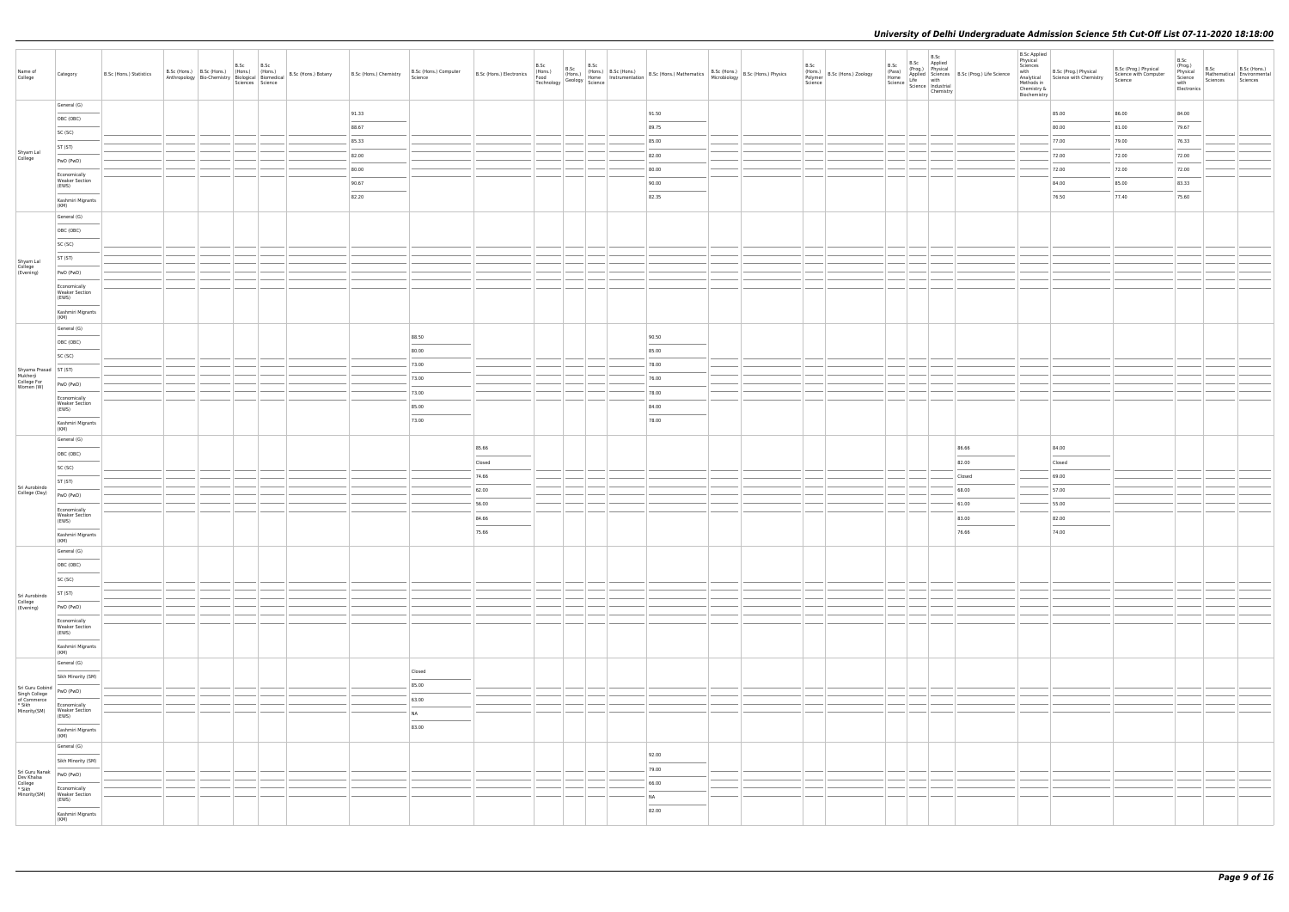| Name of<br>College                                                        | Category                                            | B.Sc (Hons.) Statistics | B.Sc (Hons.) B.Sc (Hons.) B.Sc B.Sc (Hons.) B.Sc (Hons.) B.Sc (Hons.) (Hons.) (Hons.) | Sciences Science | B.Sc (Hons.) Botany | B.Sc (Hons.) Chemistry   B.Sc (Hons.) | B.Sc (Hons.) Computer |        |  | B.Sc (Hons.) B.Sc (Hons.) B.Sc (Hons.) B.Sc (Hons.) B.Sc (Hons.) B.Sc (Hons.) B.Sc (Hons.) B.Sc (Hons.) B.Sc (Hons.) B.Sc (Hons.) B.Sc (Hons.) B.Sc (Hons.) Physics Technology Geology Science Technology Science |  | B.Sc | (Hons.)<br>Polymer<br>Science | B.Sc<br>(Pass)<br>Home | B.Sc<br>Science Science Industrial<br>Chemistry | B.Sc Applied<br>(Prog.) Physical<br>Applied Sciences B.Sc (Prog.) Life Science<br>e Life with | <b>B.Sc Applied</b><br>Physical<br>Sciences<br>with | B.Sc (Prog.) Physical<br>Analytical<br>Analytical<br>Methods in<br>Chemistry &<br>Biochemistry | B.Sc (Prog.) Physical<br>Science with Computer<br>Science | B.Sc<br>(Prog.)<br>Physical<br>Science<br>with<br>Electronics | B.Sc<br>Mathematical Environmental<br>Sciences Sciences | B.Sc (Hons.) |
|---------------------------------------------------------------------------|-----------------------------------------------------|-------------------------|---------------------------------------------------------------------------------------|------------------|---------------------|---------------------------------------|-----------------------|--------|--|-------------------------------------------------------------------------------------------------------------------------------------------------------------------------------------------------------------------|--|------|-------------------------------|------------------------|-------------------------------------------------|-----------------------------------------------------------------------------------------------|-----------------------------------------------------|------------------------------------------------------------------------------------------------|-----------------------------------------------------------|---------------------------------------------------------------|---------------------------------------------------------|--------------|
|                                                                           | General (G)                                         |                         |                                                                                       |                  |                     | 91.33                                 |                       |        |  | 91.50                                                                                                                                                                                                             |  |      |                               |                        |                                                 |                                                                                               |                                                     | 85.00                                                                                          | 86.00                                                     | 84.00                                                         |                                                         |              |
|                                                                           | OBC (OBC)                                           |                         |                                                                                       |                  |                     | 88.67                                 |                       |        |  | 89.75                                                                                                                                                                                                             |  |      |                               |                        |                                                 |                                                                                               |                                                     | 80.00                                                                                          | 81.00                                                     | 79.67                                                         |                                                         |              |
|                                                                           | SC (SC)                                             |                         |                                                                                       |                  |                     |                                       |                       |        |  |                                                                                                                                                                                                                   |  |      |                               |                        |                                                 |                                                                                               |                                                     |                                                                                                |                                                           |                                                               |                                                         |              |
|                                                                           | ST (ST)                                             |                         |                                                                                       |                  |                     | 85.33                                 |                       |        |  | 85.00                                                                                                                                                                                                             |  |      |                               |                        |                                                 |                                                                                               |                                                     | 77.00                                                                                          | 79.00                                                     | 76.33                                                         |                                                         |              |
| Shyam Lal<br>College                                                      | PwD (PwD)                                           |                         |                                                                                       |                  |                     | 82.00                                 |                       |        |  | 82.00                                                                                                                                                                                                             |  |      |                               |                        |                                                 |                                                                                               |                                                     | 72.00                                                                                          | 72.00                                                     | 72.00                                                         |                                                         |              |
|                                                                           | Economically                                        |                         |                                                                                       |                  |                     | 80.00                                 |                       |        |  | 80.00                                                                                                                                                                                                             |  |      |                               |                        |                                                 |                                                                                               |                                                     | 72.00                                                                                          | 72.00                                                     | 72.00                                                         |                                                         |              |
|                                                                           | <b>Weaker Section</b><br>(EWS)                      |                         |                                                                                       |                  |                     | 90.67                                 |                       |        |  | 90.00                                                                                                                                                                                                             |  |      |                               |                        |                                                 |                                                                                               |                                                     | 84.00                                                                                          | 85.00                                                     | 83.33                                                         |                                                         |              |
|                                                                           | Kashmiri Migrants<br>(KM)                           |                         |                                                                                       |                  |                     | 82.20                                 |                       |        |  | 82.35                                                                                                                                                                                                             |  |      |                               |                        |                                                 |                                                                                               |                                                     | 76.50                                                                                          | 77.40                                                     | 75.60                                                         |                                                         |              |
|                                                                           | General (G)                                         |                         |                                                                                       |                  |                     |                                       |                       |        |  |                                                                                                                                                                                                                   |  |      |                               |                        |                                                 |                                                                                               |                                                     |                                                                                                |                                                           |                                                               |                                                         |              |
|                                                                           | OBC (OBC)                                           |                         |                                                                                       |                  |                     |                                       |                       |        |  |                                                                                                                                                                                                                   |  |      |                               |                        |                                                 |                                                                                               |                                                     |                                                                                                |                                                           |                                                               |                                                         |              |
|                                                                           | SC (SC)                                             |                         |                                                                                       |                  |                     |                                       |                       |        |  |                                                                                                                                                                                                                   |  |      |                               |                        |                                                 |                                                                                               |                                                     |                                                                                                |                                                           |                                                               |                                                         |              |
|                                                                           | ST (ST)                                             |                         |                                                                                       |                  |                     |                                       |                       |        |  |                                                                                                                                                                                                                   |  |      |                               |                        |                                                 |                                                                                               |                                                     |                                                                                                |                                                           |                                                               |                                                         |              |
| Shyam Lal<br>College<br>(Evening)                                         | PwD (PwD)                                           |                         |                                                                                       |                  |                     |                                       |                       |        |  |                                                                                                                                                                                                                   |  |      |                               |                        |                                                 |                                                                                               |                                                     |                                                                                                |                                                           |                                                               |                                                         |              |
|                                                                           | Economically                                        |                         |                                                                                       |                  |                     |                                       |                       |        |  |                                                                                                                                                                                                                   |  |      |                               |                        |                                                 |                                                                                               |                                                     |                                                                                                |                                                           |                                                               |                                                         |              |
|                                                                           | <b>Weaker Section</b><br>(EWS)<br>Kashmiri Migrants |                         |                                                                                       |                  |                     |                                       |                       |        |  |                                                                                                                                                                                                                   |  |      |                               |                        |                                                 |                                                                                               |                                                     |                                                                                                |                                                           |                                                               |                                                         |              |
|                                                                           | (KM)                                                |                         |                                                                                       |                  |                     |                                       |                       |        |  |                                                                                                                                                                                                                   |  |      |                               |                        |                                                 |                                                                                               |                                                     |                                                                                                |                                                           |                                                               |                                                         |              |
|                                                                           | General (G)                                         |                         |                                                                                       |                  |                     |                                       | 88.50                 |        |  | 90.50                                                                                                                                                                                                             |  |      |                               |                        |                                                 |                                                                                               |                                                     |                                                                                                |                                                           |                                                               |                                                         |              |
|                                                                           | OBC (OBC)                                           |                         |                                                                                       |                  |                     |                                       | 80.00                 |        |  | 85.00                                                                                                                                                                                                             |  |      |                               |                        |                                                 |                                                                                               |                                                     |                                                                                                |                                                           |                                                               |                                                         |              |
|                                                                           | SC (SC)                                             |                         |                                                                                       |                  |                     |                                       | 73.00                 |        |  | 78.00                                                                                                                                                                                                             |  |      |                               |                        |                                                 |                                                                                               |                                                     |                                                                                                |                                                           |                                                               |                                                         |              |
| Shyama Prasad   ST (ST)                                                   |                                                     |                         |                                                                                       |                  |                     |                                       | 73.00                 |        |  | 76.00                                                                                                                                                                                                             |  |      |                               |                        |                                                 |                                                                                               |                                                     |                                                                                                |                                                           |                                                               |                                                         |              |
| Mukherji<br>College For<br>Women (W)                                      | PwD (PwD)                                           |                         |                                                                                       |                  |                     |                                       | 73.00                 |        |  | 78.00                                                                                                                                                                                                             |  |      |                               |                        |                                                 |                                                                                               |                                                     |                                                                                                |                                                           |                                                               |                                                         |              |
|                                                                           | Economically<br><b>Weaker Section</b>               |                         |                                                                                       |                  |                     |                                       | 85.00                 |        |  | 84.00                                                                                                                                                                                                             |  |      |                               |                        |                                                 |                                                                                               |                                                     |                                                                                                |                                                           |                                                               |                                                         |              |
|                                                                           | (EWS)<br>Kashmiri Migrants<br>(KM)                  |                         |                                                                                       |                  |                     |                                       | 73.00                 |        |  | 78.00                                                                                                                                                                                                             |  |      |                               |                        |                                                 |                                                                                               |                                                     |                                                                                                |                                                           |                                                               |                                                         |              |
|                                                                           | General (G)                                         |                         |                                                                                       |                  |                     |                                       |                       |        |  |                                                                                                                                                                                                                   |  |      |                               |                        |                                                 |                                                                                               |                                                     |                                                                                                |                                                           |                                                               |                                                         |              |
|                                                                           | OBC (OBC)                                           |                         |                                                                                       |                  |                     |                                       |                       | 85.66  |  |                                                                                                                                                                                                                   |  |      |                               |                        |                                                 | 86.66                                                                                         |                                                     | 84.00                                                                                          |                                                           |                                                               |                                                         |              |
|                                                                           | SC (SC)                                             |                         |                                                                                       |                  |                     |                                       |                       | Closed |  |                                                                                                                                                                                                                   |  |      |                               |                        |                                                 | 82.00                                                                                         |                                                     | Closed                                                                                         |                                                           |                                                               |                                                         |              |
|                                                                           | ST (ST)                                             |                         |                                                                                       |                  |                     |                                       |                       | 74.66  |  |                                                                                                                                                                                                                   |  |      |                               |                        |                                                 | Closed                                                                                        |                                                     | 69.00                                                                                          |                                                           |                                                               |                                                         |              |
| Sri Aurobindo<br>College (Day)                                            | PwD (PwD)                                           |                         |                                                                                       |                  |                     |                                       |                       | 62.00  |  |                                                                                                                                                                                                                   |  |      |                               |                        |                                                 | 68.00                                                                                         |                                                     | 57.00                                                                                          |                                                           |                                                               |                                                         |              |
|                                                                           | Economically                                        |                         |                                                                                       |                  |                     |                                       |                       | 56.00  |  |                                                                                                                                                                                                                   |  |      |                               |                        |                                                 | 61.00                                                                                         |                                                     | 55.00                                                                                          |                                                           |                                                               |                                                         |              |
|                                                                           | <b>Weaker Section</b><br>(EWS)                      |                         |                                                                                       |                  |                     |                                       |                       | 84.66  |  |                                                                                                                                                                                                                   |  |      |                               |                        |                                                 | 83.00                                                                                         |                                                     | 82.00<br>$\sim$                                                                                |                                                           |                                                               |                                                         |              |
|                                                                           | Kashmiri Migrants<br>(KM)                           |                         |                                                                                       |                  |                     |                                       |                       | 75.66  |  |                                                                                                                                                                                                                   |  |      |                               |                        |                                                 | 76.66                                                                                         |                                                     | 74.00                                                                                          |                                                           |                                                               |                                                         |              |
|                                                                           | General (G)                                         |                         |                                                                                       |                  |                     |                                       |                       |        |  |                                                                                                                                                                                                                   |  |      |                               |                        |                                                 |                                                                                               |                                                     |                                                                                                |                                                           |                                                               |                                                         |              |
|                                                                           | OBC (OBC)                                           |                         |                                                                                       |                  |                     |                                       |                       |        |  |                                                                                                                                                                                                                   |  |      |                               |                        |                                                 |                                                                                               |                                                     |                                                                                                |                                                           |                                                               |                                                         |              |
|                                                                           | SC (SC)                                             |                         |                                                                                       |                  |                     |                                       |                       |        |  |                                                                                                                                                                                                                   |  |      |                               |                        |                                                 |                                                                                               |                                                     |                                                                                                |                                                           |                                                               |                                                         |              |
|                                                                           | ST (ST)                                             |                         |                                                                                       |                  |                     |                                       |                       |        |  |                                                                                                                                                                                                                   |  |      |                               |                        |                                                 |                                                                                               |                                                     |                                                                                                |                                                           |                                                               |                                                         |              |
| Sri Aurobindo<br>College<br>(Evening)                                     | PwD (PwD)                                           |                         |                                                                                       |                  |                     |                                       |                       |        |  |                                                                                                                                                                                                                   |  |      |                               |                        |                                                 |                                                                                               |                                                     |                                                                                                |                                                           |                                                               |                                                         |              |
|                                                                           | Economically                                        |                         |                                                                                       |                  |                     |                                       |                       |        |  |                                                                                                                                                                                                                   |  |      |                               |                        |                                                 |                                                                                               |                                                     |                                                                                                |                                                           |                                                               |                                                         |              |
|                                                                           | <b>Weaker Section</b><br>(EWS)                      |                         |                                                                                       |                  |                     |                                       |                       |        |  |                                                                                                                                                                                                                   |  |      |                               |                        |                                                 |                                                                                               |                                                     |                                                                                                |                                                           |                                                               |                                                         |              |
|                                                                           | Kashmiri Migrants<br>(KM)                           |                         |                                                                                       |                  |                     |                                       |                       |        |  |                                                                                                                                                                                                                   |  |      |                               |                        |                                                 |                                                                                               |                                                     |                                                                                                |                                                           |                                                               |                                                         |              |
|                                                                           | General (G)                                         |                         |                                                                                       |                  |                     |                                       | Closed                |        |  |                                                                                                                                                                                                                   |  |      |                               |                        |                                                 |                                                                                               |                                                     |                                                                                                |                                                           |                                                               |                                                         |              |
|                                                                           | Sikh Minority (SM)                                  |                         |                                                                                       |                  |                     |                                       | 85.00                 |        |  |                                                                                                                                                                                                                   |  |      |                               |                        |                                                 |                                                                                               |                                                     |                                                                                                |                                                           |                                                               |                                                         |              |
|                                                                           | PwD (PwD)                                           |                         |                                                                                       |                  |                     |                                       | 63.00                 |        |  |                                                                                                                                                                                                                   |  |      |                               |                        |                                                 |                                                                                               |                                                     |                                                                                                |                                                           |                                                               |                                                         |              |
| Sri Guru Gobind<br>Singh College<br>of Commerce<br>* Sikh<br>Minority(SM) | Economically<br><b>Weaker Section</b>               |                         |                                                                                       |                  |                     |                                       | NA                    |        |  |                                                                                                                                                                                                                   |  |      |                               |                        |                                                 |                                                                                               |                                                     |                                                                                                |                                                           |                                                               |                                                         |              |
|                                                                           | (EWS)<br>Kashmiri Migrants<br>(KM)                  |                         |                                                                                       |                  |                     |                                       | 83.00                 |        |  |                                                                                                                                                                                                                   |  |      |                               |                        |                                                 |                                                                                               |                                                     |                                                                                                |                                                           |                                                               |                                                         |              |
|                                                                           | General (G)                                         |                         |                                                                                       |                  |                     |                                       |                       |        |  |                                                                                                                                                                                                                   |  |      |                               |                        |                                                 |                                                                                               |                                                     |                                                                                                |                                                           |                                                               |                                                         |              |
|                                                                           | Sikh Minority (SM)                                  |                         |                                                                                       |                  |                     |                                       |                       |        |  | 92.00                                                                                                                                                                                                             |  |      |                               |                        |                                                 |                                                                                               |                                                     |                                                                                                |                                                           |                                                               |                                                         |              |
|                                                                           | PwD (PwD)                                           |                         |                                                                                       |                  |                     |                                       |                       |        |  | 79.00                                                                                                                                                                                                             |  |      |                               |                        |                                                 |                                                                                               |                                                     |                                                                                                |                                                           |                                                               |                                                         |              |
| Sri Guru Nanak<br>Dev Khalsa<br>College<br>* Sikh<br>Minority(SM)         | Economically                                        |                         |                                                                                       |                  |                     |                                       |                       |        |  | 66.00                                                                                                                                                                                                             |  |      |                               |                        |                                                 |                                                                                               |                                                     |                                                                                                |                                                           |                                                               |                                                         |              |
|                                                                           | Weaker Section<br>(EWS)                             |                         |                                                                                       |                  |                     |                                       |                       |        |  | <b>NA</b>                                                                                                                                                                                                         |  |      |                               |                        |                                                 |                                                                                               |                                                     |                                                                                                |                                                           |                                                               |                                                         |              |
|                                                                           | Kashmiri Migrants<br>(KM)                           |                         |                                                                                       |                  |                     |                                       |                       |        |  | 82.00                                                                                                                                                                                                             |  |      |                               |                        |                                                 |                                                                                               |                                                     |                                                                                                |                                                           |                                                               |                                                         |              |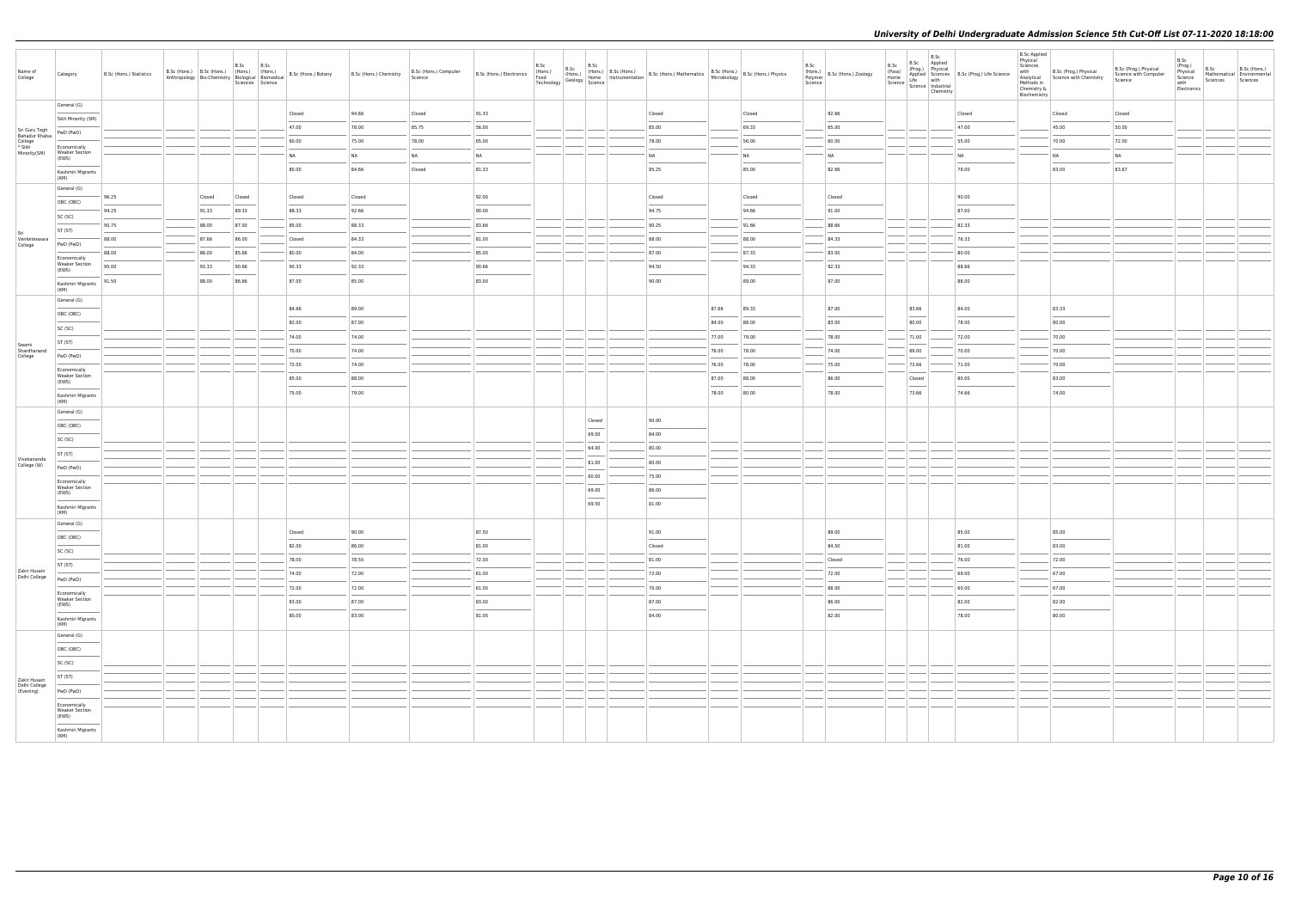| Name of<br>College                                                  | Category                                       | B.Sc (Hons.) Statistics | B.Sc (Hons.) B.Sc (Hons.) (Hons.) (Hons.)<br>Anthropology Bio-Chemistry Biological Biomedical |        | B.Sc   | B.Sc<br>Sciences Science | B.Sc (Hons.) Botany | B.Sc (Hons.) Chemistry | B.Sc (Hons.) Computer<br>Science |       |                | (Hons.) B.Sc (Hons.) B.Sc (Hons.) Mathematics B.Sc (Hons.) B.Sc (Hons.) Physics<br>Home Instrumentation B.Sc (Hons.) Mathematics Microbiology B.Sc (Hons.) Physics                                                                                                                                                                                                                                                                                                                  |       |        | B.Sc | (Hons.)<br>Polymer<br>Science | B.Sc                                                                                                                                                                                                                                                                                                                                                                                                                                                                                | B.Sc<br>B.Sc Applied<br>Chemistry | B.Sc $\begin{array}{ccc}\n\text{B.Sc} & \text{Proy.} \\ \text{(Pos)} & \text{Appyiscal} \\ \text{Home} & \text{akapplied} \\ \text{Home} & \text{Stiche} \\ \text{Science} & \text{Multi} \\ \text{Science} & \text{Industrial}\n\end{array}$ B.Sc (Prog.) Life Science | <b>B.Sc Applied</b><br>Physical<br>Sciences<br>with<br>Chemistry &<br>Biochemistry | B.Sc (Prog.) Physical<br>Analytical Science with Chemistry<br>Methods in                                                                                                                                                                                                                                                                                                                                                                                                            | B.Sc (Prog.) Physical<br>Science with Computer<br>Science | B.Sc<br>(Prog.)<br>Physical<br>Science<br>with<br>Electronics | B.Sc<br>Sciences Sciences | B.Sc (Hons.)<br>Mathematical Environmental |
|---------------------------------------------------------------------|------------------------------------------------|-------------------------|-----------------------------------------------------------------------------------------------|--------|--------|--------------------------|---------------------|------------------------|----------------------------------|-------|----------------|-------------------------------------------------------------------------------------------------------------------------------------------------------------------------------------------------------------------------------------------------------------------------------------------------------------------------------------------------------------------------------------------------------------------------------------------------------------------------------------|-------|--------|------|-------------------------------|-------------------------------------------------------------------------------------------------------------------------------------------------------------------------------------------------------------------------------------------------------------------------------------------------------------------------------------------------------------------------------------------------------------------------------------------------------------------------------------|-----------------------------------|-------------------------------------------------------------------------------------------------------------------------------------------------------------------------------------------------------------------------------------------------------------------------|------------------------------------------------------------------------------------|-------------------------------------------------------------------------------------------------------------------------------------------------------------------------------------------------------------------------------------------------------------------------------------------------------------------------------------------------------------------------------------------------------------------------------------------------------------------------------------|-----------------------------------------------------------|---------------------------------------------------------------|---------------------------|--------------------------------------------|
|                                                                     | General (G)                                    |                         |                                                                                               |        |        |                          | Closed              | 94.66                  | Closed                           | 91.33 |                | Closed                                                                                                                                                                                                                                                                                                                                                                                                                                                                              |       | Closed |      | 92.66                         |                                                                                                                                                                                                                                                                                                                                                                                                                                                                                     |                                   | Closed                                                                                                                                                                                                                                                                  |                                                                                    | Closed                                                                                                                                                                                                                                                                                                                                                                                                                                                                              | Closed                                                    |                                                               |                           |                                            |
| Sri Guru Tegh                                                       | Sikh Minority (SM)                             |                         |                                                                                               |        |        |                          | 47.00               | 78.00                  | 85.75                            | 56.00 |                | 85.00                                                                                                                                                                                                                                                                                                                                                                                                                                                                               |       | 69.33  |      | 65.00                         |                                                                                                                                                                                                                                                                                                                                                                                                                                                                                     |                                   | 47.00                                                                                                                                                                                                                                                                   |                                                                                    | 45.00                                                                                                                                                                                                                                                                                                                                                                                                                                                                               | 50.00                                                     |                                                               |                           |                                            |
| Strouturegin<br>Bahadur Khalsa<br>College<br>* Sikh<br>Minority(SM) | PwD (PwD)                                      |                         |                                                                                               |        |        |                          | 60.00               | 75.00                  | 78.00                            | 65.00 |                | 78.00                                                                                                                                                                                                                                                                                                                                                                                                                                                                               |       | 56.00  |      | 60.00                         |                                                                                                                                                                                                                                                                                                                                                                                                                                                                                     |                                   | 55.00                                                                                                                                                                                                                                                                   |                                                                                    | 70.00                                                                                                                                                                                                                                                                                                                                                                                                                                                                               | 72.00                                                     |                                                               |                           |                                            |
|                                                                     | Economically<br><b>Weaker Section</b><br>(EWS) |                         |                                                                                               |        |        |                          | <b>NA</b>           | <b>NA</b>              | <b>NA</b>                        | NA    |                | <b>NA</b>                                                                                                                                                                                                                                                                                                                                                                                                                                                                           |       | NA     |      | N <sub>A</sub>                |                                                                                                                                                                                                                                                                                                                                                                                                                                                                                     |                                   | <b>NA</b>                                                                                                                                                                                                                                                               |                                                                                    | <b>NA</b>                                                                                                                                                                                                                                                                                                                                                                                                                                                                           | NA                                                        |                                                               |                           |                                            |
|                                                                     | Kashmiri Migrants                              |                         |                                                                                               |        |        |                          | 80.00               | 84.66                  | Closed                           | 81.33 |                | 85.25                                                                                                                                                                                                                                                                                                                                                                                                                                                                               |       | 85.00  |      | 82.66                         |                                                                                                                                                                                                                                                                                                                                                                                                                                                                                     |                                   | 79.00                                                                                                                                                                                                                                                                   |                                                                                    | 83.00                                                                                                                                                                                                                                                                                                                                                                                                                                                                               | 83.67                                                     |                                                               |                           |                                            |
|                                                                     | (KM)                                           |                         |                                                                                               |        |        |                          |                     |                        |                                  |       |                |                                                                                                                                                                                                                                                                                                                                                                                                                                                                                     |       |        |      |                               |                                                                                                                                                                                                                                                                                                                                                                                                                                                                                     |                                   |                                                                                                                                                                                                                                                                         |                                                                                    |                                                                                                                                                                                                                                                                                                                                                                                                                                                                                     |                                                           |                                                               |                           |                                            |
|                                                                     | General (G)<br>OBC (OBC)                       | 96.25                   |                                                                                               | Closed | Closed |                          | Closed              | Closed                 |                                  | 92.00 |                | Closed                                                                                                                                                                                                                                                                                                                                                                                                                                                                              |       | Closed |      | Closed                        |                                                                                                                                                                                                                                                                                                                                                                                                                                                                                     |                                   | 90.00                                                                                                                                                                                                                                                                   |                                                                                    |                                                                                                                                                                                                                                                                                                                                                                                                                                                                                     |                                                           |                                                               |                           |                                            |
|                                                                     | SC (SC)                                        | 94.25                   |                                                                                               | 91.33  | 89.33  |                          | 88.33               | 92.66                  |                                  | 90.00 |                | 94.75                                                                                                                                                                                                                                                                                                                                                                                                                                                                               |       | 94.66  |      | 91.00                         |                                                                                                                                                                                                                                                                                                                                                                                                                                                                                     |                                   | 87.00                                                                                                                                                                                                                                                                   |                                                                                    |                                                                                                                                                                                                                                                                                                                                                                                                                                                                                     |                                                           |                                                               |                           |                                            |
|                                                                     | ST (ST)                                        | 90.75                   |                                                                                               | 88.00  | 87.00  |                          | 85.00               | 88.33                  |                                  | 83.66 |                | 90.25                                                                                                                                                                                                                                                                                                                                                                                                                                                                               |       | 91.66  |      | 88.66                         |                                                                                                                                                                                                                                                                                                                                                                                                                                                                                     |                                   | 82.33                                                                                                                                                                                                                                                                   |                                                                                    |                                                                                                                                                                                                                                                                                                                                                                                                                                                                                     |                                                           |                                                               |                           |                                            |
| Sri<br>Venketeswara<br>College                                      | PwD (PwD)                                      | 88.00                   |                                                                                               | 87.66  | 86.00  |                          | Closed              | 84.33                  |                                  | 81.00 |                | 88.00                                                                                                                                                                                                                                                                                                                                                                                                                                                                               |       | 88.00  |      | 84.33                         |                                                                                                                                                                                                                                                                                                                                                                                                                                                                                     |                                   | 76.33                                                                                                                                                                                                                                                                   |                                                                                    |                                                                                                                                                                                                                                                                                                                                                                                                                                                                                     |                                                           |                                                               |                           |                                            |
|                                                                     | Economically                                   | 88.00                   |                                                                                               | 86.00  | 85.66  |                          | 80.00               | 84.00                  |                                  | 85.00 |                | 87.00                                                                                                                                                                                                                                                                                                                                                                                                                                                                               |       | 87.33  |      | 83.00                         |                                                                                                                                                                                                                                                                                                                                                                                                                                                                                     |                                   | 80.00                                                                                                                                                                                                                                                                   |                                                                                    |                                                                                                                                                                                                                                                                                                                                                                                                                                                                                     |                                                           |                                                               |                           |                                            |
|                                                                     | <b>Weaker Section</b><br>(EWS)                 | 95.00                   |                                                                                               | 93.33  | 90.66  |                          | 90.33               | 92.33                  |                                  | 90.66 |                | 94.50                                                                                                                                                                                                                                                                                                                                                                                                                                                                               |       | 94.33  |      | 92.33                         |                                                                                                                                                                                                                                                                                                                                                                                                                                                                                     |                                   | 88.66                                                                                                                                                                                                                                                                   |                                                                                    |                                                                                                                                                                                                                                                                                                                                                                                                                                                                                     |                                                           |                                                               |                           |                                            |
|                                                                     | Kashmiri Migrants                              | 91.50                   |                                                                                               | 88.00  | 86.66  |                          | 87.00               | 85.00                  |                                  | 83.00 |                | 90.00                                                                                                                                                                                                                                                                                                                                                                                                                                                                               |       | 89.00  |      | 87.00                         |                                                                                                                                                                                                                                                                                                                                                                                                                                                                                     |                                   | 86.00                                                                                                                                                                                                                                                                   |                                                                                    |                                                                                                                                                                                                                                                                                                                                                                                                                                                                                     |                                                           |                                                               |                           |                                            |
|                                                                     | (KM)<br>General (G)                            |                         |                                                                                               |        |        |                          |                     |                        |                                  |       |                |                                                                                                                                                                                                                                                                                                                                                                                                                                                                                     |       |        |      |                               |                                                                                                                                                                                                                                                                                                                                                                                                                                                                                     |                                   |                                                                                                                                                                                                                                                                         |                                                                                    |                                                                                                                                                                                                                                                                                                                                                                                                                                                                                     |                                                           |                                                               |                           |                                            |
|                                                                     | OBC (OBC)                                      |                         |                                                                                               |        |        |                          | 84.66               | 89.00                  |                                  |       |                |                                                                                                                                                                                                                                                                                                                                                                                                                                                                                     | 87.66 | 89.33  |      | 87.00                         | 83.66<br>$\frac{1}{2} \left( \frac{1}{2} \right) \left( \frac{1}{2} \right) \left( \frac{1}{2} \right) \left( \frac{1}{2} \right) \left( \frac{1}{2} \right) \left( \frac{1}{2} \right) \left( \frac{1}{2} \right) \left( \frac{1}{2} \right) \left( \frac{1}{2} \right) \left( \frac{1}{2} \right) \left( \frac{1}{2} \right) \left( \frac{1}{2} \right) \left( \frac{1}{2} \right) \left( \frac{1}{2} \right) \left( \frac{1}{2} \right) \left( \frac{1}{2} \right) \left( \frac$ |                                   | 84.00                                                                                                                                                                                                                                                                   |                                                                                    | 83.33                                                                                                                                                                                                                                                                                                                                                                                                                                                                               |                                                           |                                                               |                           |                                            |
|                                                                     | SC (SC)                                        |                         |                                                                                               |        |        |                          | 82.00               | 87.00                  |                                  |       |                |                                                                                                                                                                                                                                                                                                                                                                                                                                                                                     | 84.00 | 88.00  |      | 83.00                         | 80.00                                                                                                                                                                                                                                                                                                                                                                                                                                                                               |                                   | 78.00                                                                                                                                                                                                                                                                   |                                                                                    | 80.00                                                                                                                                                                                                                                                                                                                                                                                                                                                                               |                                                           |                                                               |                           |                                            |
| Swami                                                               | ST (ST)                                        |                         |                                                                                               |        |        |                          | 74.00               | 74.00                  |                                  |       |                |                                                                                                                                                                                                                                                                                                                                                                                                                                                                                     | 77.00 | 79.00  |      | 78.00                         | 71.00                                                                                                                                                                                                                                                                                                                                                                                                                                                                               |                                   | 72.00                                                                                                                                                                                                                                                                   |                                                                                    | 70.00                                                                                                                                                                                                                                                                                                                                                                                                                                                                               |                                                           |                                                               |                           |                                            |
| Shardhanand<br>College                                              | PwD (PwD)                                      |                         |                                                                                               |        |        |                          | 70.00               | 74.00                  |                                  |       |                |                                                                                                                                                                                                                                                                                                                                                                                                                                                                                     | 76.00 | 78.00  |      | 74.00                         | 69.00                                                                                                                                                                                                                                                                                                                                                                                                                                                                               |                                   | 70.00                                                                                                                                                                                                                                                                   |                                                                                    | 70.00                                                                                                                                                                                                                                                                                                                                                                                                                                                                               |                                                           |                                                               |                           |                                            |
|                                                                     | Economically<br><b>Weaker Section</b>          |                         |                                                                                               |        |        |                          | 72.00               | 74.00                  |                                  |       |                |                                                                                                                                                                                                                                                                                                                                                                                                                                                                                     | 76.00 | 78.00  |      | 75.00                         | 73.66                                                                                                                                                                                                                                                                                                                                                                                                                                                                               |                                   | 71.00                                                                                                                                                                                                                                                                   |                                                                                    | 70.00                                                                                                                                                                                                                                                                                                                                                                                                                                                                               |                                                           |                                                               |                           |                                            |
|                                                                     | (EWS)                                          |                         |                                                                                               |        |        |                          | 85.00               | 88.00                  |                                  |       |                |                                                                                                                                                                                                                                                                                                                                                                                                                                                                                     | 87.00 | 88.00  |      | 86.00                         | Closed                                                                                                                                                                                                                                                                                                                                                                                                                                                                              |                                   | 80.00                                                                                                                                                                                                                                                                   |                                                                                    | 83.00                                                                                                                                                                                                                                                                                                                                                                                                                                                                               |                                                           |                                                               |                           |                                            |
|                                                                     | Kashmiri Migrants<br>(KM)                      |                         |                                                                                               |        |        |                          | 75.00               | 79.00                  |                                  |       |                |                                                                                                                                                                                                                                                                                                                                                                                                                                                                                     | 78.00 | 80.00  |      | 78.00                         | 73.66                                                                                                                                                                                                                                                                                                                                                                                                                                                                               |                                   | 74.66                                                                                                                                                                                                                                                                   |                                                                                    | 74.00                                                                                                                                                                                                                                                                                                                                                                                                                                                                               |                                                           |                                                               |                           |                                            |
|                                                                     | General (G)                                    |                         |                                                                                               |        |        |                          |                     |                        |                                  |       |                |                                                                                                                                                                                                                                                                                                                                                                                                                                                                                     |       |        |      |                               |                                                                                                                                                                                                                                                                                                                                                                                                                                                                                     |                                   |                                                                                                                                                                                                                                                                         |                                                                                    |                                                                                                                                                                                                                                                                                                                                                                                                                                                                                     |                                                           |                                                               |                           |                                            |
|                                                                     | OBC (OBC)                                      |                         |                                                                                               |        |        |                          |                     |                        |                                  |       | Closed         | 90.00                                                                                                                                                                                                                                                                                                                                                                                                                                                                               |       |        |      |                               |                                                                                                                                                                                                                                                                                                                                                                                                                                                                                     |                                   |                                                                                                                                                                                                                                                                         |                                                                                    |                                                                                                                                                                                                                                                                                                                                                                                                                                                                                     |                                                           |                                                               |                           |                                            |
|                                                                     | SC (SC)                                        |                         |                                                                                               |        |        |                          |                     |                        |                                  |       | 69.50<br>64.00 | 84.00<br>80.00                                                                                                                                                                                                                                                                                                                                                                                                                                                                      |       |        |      |                               |                                                                                                                                                                                                                                                                                                                                                                                                                                                                                     |                                   |                                                                                                                                                                                                                                                                         |                                                                                    |                                                                                                                                                                                                                                                                                                                                                                                                                                                                                     |                                                           |                                                               |                           |                                            |
| Vivekananda                                                         | ST (ST)                                        |                         |                                                                                               |        |        |                          |                     |                        |                                  |       | 61.00          | 80.00                                                                                                                                                                                                                                                                                                                                                                                                                                                                               |       |        |      |                               |                                                                                                                                                                                                                                                                                                                                                                                                                                                                                     |                                   |                                                                                                                                                                                                                                                                         |                                                                                    |                                                                                                                                                                                                                                                                                                                                                                                                                                                                                     |                                                           |                                                               |                           |                                            |
| College (W)                                                         | PwD (PwD)                                      |                         |                                                                                               |        |        |                          |                     |                        |                                  |       | 60.00          | 75.00                                                                                                                                                                                                                                                                                                                                                                                                                                                                               |       |        |      |                               |                                                                                                                                                                                                                                                                                                                                                                                                                                                                                     |                                   |                                                                                                                                                                                                                                                                         |                                                                                    |                                                                                                                                                                                                                                                                                                                                                                                                                                                                                     |                                                           |                                                               |                           |                                            |
|                                                                     | Economically<br><b>Weaker Section</b>          |                         |                                                                                               |        |        |                          |                     |                        |                                  |       | 69.00          | 86.00                                                                                                                                                                                                                                                                                                                                                                                                                                                                               |       |        |      |                               |                                                                                                                                                                                                                                                                                                                                                                                                                                                                                     |                                   |                                                                                                                                                                                                                                                                         |                                                                                    |                                                                                                                                                                                                                                                                                                                                                                                                                                                                                     |                                                           |                                                               |                           |                                            |
|                                                                     | (EWS)                                          |                         |                                                                                               |        |        |                          |                     |                        |                                  |       | 69.50          | 81.00                                                                                                                                                                                                                                                                                                                                                                                                                                                                               |       |        |      |                               |                                                                                                                                                                                                                                                                                                                                                                                                                                                                                     |                                   |                                                                                                                                                                                                                                                                         |                                                                                    |                                                                                                                                                                                                                                                                                                                                                                                                                                                                                     |                                                           |                                                               |                           |                                            |
|                                                                     | Kashmiri Migrants<br>(KM)                      |                         |                                                                                               |        |        |                          |                     |                        |                                  |       |                |                                                                                                                                                                                                                                                                                                                                                                                                                                                                                     |       |        |      |                               |                                                                                                                                                                                                                                                                                                                                                                                                                                                                                     |                                   |                                                                                                                                                                                                                                                                         |                                                                                    |                                                                                                                                                                                                                                                                                                                                                                                                                                                                                     |                                                           |                                                               |                           |                                            |
|                                                                     | General (G)                                    |                         |                                                                                               |        |        |                          | Closed              | 90.00                  |                                  | 87.50 |                | 91.00                                                                                                                                                                                                                                                                                                                                                                                                                                                                               |       |        |      | 89.00                         |                                                                                                                                                                                                                                                                                                                                                                                                                                                                                     |                                   | 85.00                                                                                                                                                                                                                                                                   |                                                                                    | 85.00                                                                                                                                                                                                                                                                                                                                                                                                                                                                               |                                                           |                                                               |                           |                                            |
|                                                                     | OBC (OBC)                                      |                         |                                                                                               |        |        |                          | 82.00               | 86.00                  |                                  | 81.00 |                | Closed                                                                                                                                                                                                                                                                                                                                                                                                                                                                              |       |        |      | 84.50                         |                                                                                                                                                                                                                                                                                                                                                                                                                                                                                     |                                   | 81.00                                                                                                                                                                                                                                                                   |                                                                                    | 83.00                                                                                                                                                                                                                                                                                                                                                                                                                                                                               |                                                           |                                                               |                           |                                            |
|                                                                     | SC (SC)                                        |                         |                                                                                               |        |        |                          | 78.00               | 78.50                  |                                  | 72.00 |                | 81.00                                                                                                                                                                                                                                                                                                                                                                                                                                                                               |       |        |      | Closed                        |                                                                                                                                                                                                                                                                                                                                                                                                                                                                                     |                                   | 76.00                                                                                                                                                                                                                                                                   |                                                                                    | 72.00                                                                                                                                                                                                                                                                                                                                                                                                                                                                               |                                                           |                                                               |                           |                                            |
| Zakir Husain<br>Delhi College                                       | ST (ST)<br>PwD (PwD)                           |                         |                                                                                               |        |        |                          | 74.00               | 72.00                  |                                  | 61.00 |                | 72.00                                                                                                                                                                                                                                                                                                                                                                                                                                                                               |       |        |      | 72.00                         |                                                                                                                                                                                                                                                                                                                                                                                                                                                                                     |                                   | 69.00                                                                                                                                                                                                                                                                   |                                                                                    | 67.00                                                                                                                                                                                                                                                                                                                                                                                                                                                                               |                                                           |                                                               |                           |                                            |
|                                                                     | Economically                                   |                         |                                                                                               |        |        |                          | 72.00               | 72.00                  |                                  | 61.00 |                | <b>Service State</b><br>70.00                                                                                                                                                                                                                                                                                                                                                                                                                                                       |       |        |      | 68.00                         |                                                                                                                                                                                                                                                                                                                                                                                                                                                                                     |                                   | 60.00                                                                                                                                                                                                                                                                   |                                                                                    | 67.00                                                                                                                                                                                                                                                                                                                                                                                                                                                                               |                                                           |                                                               |                           |                                            |
|                                                                     | <b>Weaker Section</b><br>(EWS)                 |                         |                                                                                               |        |        |                          | 83.00               | 87.00                  |                                  | 83.00 |                | 87.00                                                                                                                                                                                                                                                                                                                                                                                                                                                                               |       |        |      | 86.00                         |                                                                                                                                                                                                                                                                                                                                                                                                                                                                                     |                                   | 82.00                                                                                                                                                                                                                                                                   |                                                                                    | 82.00                                                                                                                                                                                                                                                                                                                                                                                                                                                                               |                                                           |                                                               |                           |                                            |
|                                                                     | Kashmiri Migrants                              |                         |                                                                                               |        |        |                          | 80.00               | 83.00                  |                                  | 81.00 |                | $\frac{1}{2} \left( \frac{1}{2} \right) \left( \frac{1}{2} \right) \left( \frac{1}{2} \right) \left( \frac{1}{2} \right) \left( \frac{1}{2} \right) \left( \frac{1}{2} \right) \left( \frac{1}{2} \right) \left( \frac{1}{2} \right) \left( \frac{1}{2} \right) \left( \frac{1}{2} \right) \left( \frac{1}{2} \right) \left( \frac{1}{2} \right) \left( \frac{1}{2} \right) \left( \frac{1}{2} \right) \left( \frac{1}{2} \right) \left( \frac{1}{2} \right) \left( \frac$<br>84.00 |       |        |      | 82.00                         |                                                                                                                                                                                                                                                                                                                                                                                                                                                                                     |                                   | 78.00                                                                                                                                                                                                                                                                   |                                                                                    | $\frac{1}{2} \left( \frac{1}{2} \right) \left( \frac{1}{2} \right) \left( \frac{1}{2} \right) \left( \frac{1}{2} \right) \left( \frac{1}{2} \right) \left( \frac{1}{2} \right) \left( \frac{1}{2} \right) \left( \frac{1}{2} \right) \left( \frac{1}{2} \right) \left( \frac{1}{2} \right) \left( \frac{1}{2} \right) \left( \frac{1}{2} \right) \left( \frac{1}{2} \right) \left( \frac{1}{2} \right) \left( \frac{1}{2} \right) \left( \frac{1}{2} \right) \left( \frac$<br>80.00 |                                                           |                                                               |                           |                                            |
|                                                                     | (KM)<br>General (G)                            |                         |                                                                                               |        |        |                          |                     |                        |                                  |       |                |                                                                                                                                                                                                                                                                                                                                                                                                                                                                                     |       |        |      |                               |                                                                                                                                                                                                                                                                                                                                                                                                                                                                                     |                                   |                                                                                                                                                                                                                                                                         |                                                                                    |                                                                                                                                                                                                                                                                                                                                                                                                                                                                                     |                                                           |                                                               |                           |                                            |
|                                                                     | OBC (OBC)                                      |                         |                                                                                               |        |        |                          |                     |                        |                                  |       |                |                                                                                                                                                                                                                                                                                                                                                                                                                                                                                     |       |        |      |                               |                                                                                                                                                                                                                                                                                                                                                                                                                                                                                     |                                   |                                                                                                                                                                                                                                                                         |                                                                                    |                                                                                                                                                                                                                                                                                                                                                                                                                                                                                     |                                                           |                                                               |                           |                                            |
|                                                                     | SC (SC)                                        |                         |                                                                                               |        |        |                          |                     |                        |                                  |       |                |                                                                                                                                                                                                                                                                                                                                                                                                                                                                                     |       |        |      |                               |                                                                                                                                                                                                                                                                                                                                                                                                                                                                                     |                                   |                                                                                                                                                                                                                                                                         |                                                                                    |                                                                                                                                                                                                                                                                                                                                                                                                                                                                                     |                                                           |                                                               |                           |                                            |
| Zakir Husain                                                        | ST (ST)                                        |                         |                                                                                               |        |        |                          |                     |                        |                                  |       |                |                                                                                                                                                                                                                                                                                                                                                                                                                                                                                     |       |        |      |                               |                                                                                                                                                                                                                                                                                                                                                                                                                                                                                     |                                   |                                                                                                                                                                                                                                                                         |                                                                                    |                                                                                                                                                                                                                                                                                                                                                                                                                                                                                     |                                                           |                                                               |                           |                                            |
| Delhi College<br>(Evening)                                          | PwD (PwD)                                      |                         |                                                                                               |        |        |                          |                     |                        |                                  |       |                |                                                                                                                                                                                                                                                                                                                                                                                                                                                                                     |       |        |      |                               |                                                                                                                                                                                                                                                                                                                                                                                                                                                                                     |                                   |                                                                                                                                                                                                                                                                         |                                                                                    |                                                                                                                                                                                                                                                                                                                                                                                                                                                                                     |                                                           |                                                               |                           |                                            |
|                                                                     | Economically                                   |                         |                                                                                               |        |        |                          |                     |                        |                                  |       |                |                                                                                                                                                                                                                                                                                                                                                                                                                                                                                     |       |        |      |                               |                                                                                                                                                                                                                                                                                                                                                                                                                                                                                     |                                   |                                                                                                                                                                                                                                                                         |                                                                                    |                                                                                                                                                                                                                                                                                                                                                                                                                                                                                     |                                                           |                                                               |                           |                                            |
|                                                                     | <b>Weaker Section</b><br>(EWS)                 |                         |                                                                                               |        |        |                          |                     |                        |                                  |       |                |                                                                                                                                                                                                                                                                                                                                                                                                                                                                                     |       |        |      |                               |                                                                                                                                                                                                                                                                                                                                                                                                                                                                                     |                                   |                                                                                                                                                                                                                                                                         |                                                                                    |                                                                                                                                                                                                                                                                                                                                                                                                                                                                                     |                                                           |                                                               |                           |                                            |
|                                                                     | Kashmiri Migrants<br>(KM)                      |                         |                                                                                               |        |        |                          |                     |                        |                                  |       |                |                                                                                                                                                                                                                                                                                                                                                                                                                                                                                     |       |        |      |                               |                                                                                                                                                                                                                                                                                                                                                                                                                                                                                     |                                   |                                                                                                                                                                                                                                                                         |                                                                                    |                                                                                                                                                                                                                                                                                                                                                                                                                                                                                     |                                                           |                                                               |                           |                                            |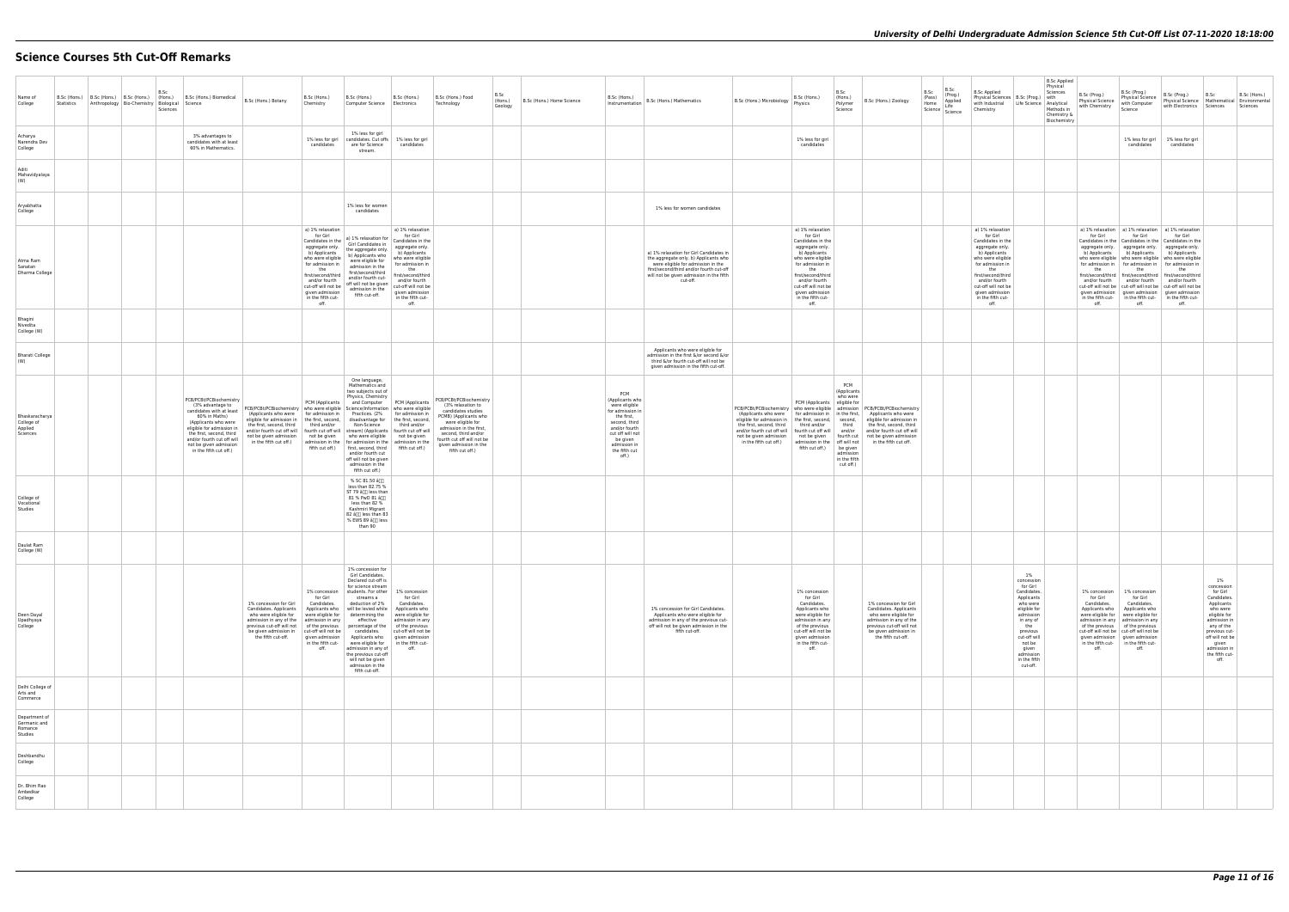# **Science Courses 5th Cut-Off Remarks**

| Name of<br>College                                  | Statistics Anthropology Bio-Chemistry Biological Science | B.Sc<br>Sciences | B.Sc (Hons.) B.Sc (Hons.) B.Sc (Hons.) $\left  \begin{array}{c} 1.5 \text{C} \\ \text{B.} \text{S} \text{C} \end{array} \right $ B.Sc (Hons.) Biomedical B.Sc (Hons.) Botany                                                                                |                                                                                                                                                                                                                                                                                                                                                                                                                                                                                                         | B.Sc (Hons.)<br>Chemistry                                                                                                                                                  | B.Sc (Hons.)<br>Computer Science Electronics                                                                                                                                                                                                                                                                                                                    | B.Sc (Hons.)                                                                                                                                                                                                                                        | B.Sc (Hons.) Food<br>Technology                                                                                                                                                                                                                | B.Sc<br>(Hons.)<br>Geology | B.Sc (Hons.) Home Science | B.Sc (Hons.)<br>Instrumentation                                                                                                                                                       | B.Sc (Hons.) Mathematics                                                                                                                                                                                                   | B.Sc (Hons.)<br>B.Sc (Hons.) Microbiology<br>Physics                                                                                                                                                                                                                                                                                                                                                                                                                                                                                       | B.Sc<br>(Hons.)<br>B.Sc (Hons.) Zoology<br>Polymer<br>Science                                                                                                                                     | B.Sc<br>B.Sc<br>(Prog.)<br>(Pass)<br>Applied<br>Home<br>Life<br>Science   Science | <b>B.Sc Applied</b><br>Chemistry                                                                                                                                                                                                                    | B.Sc Applied<br>Physical<br>Sciences<br>Physical Sciences   B.Sc (Prog.)   with<br>with Industrial Life Science Analytical<br>Methods in                                                                       | B.Sc (Prog.)<br>Physical Science   Filipsical Care   With Computer<br>with Chemistry                                                                                                                                                                                                                                                        | B.Sc (Prog.)<br>Physical Science   Physical Science   Mathematical   Environmental<br>Science                                                                                                                                                                                                                                                                                                                          | B.Sc (Prog.)<br>with Electronics Sciences | B.Sc                                                                                                                                                                                                       | B.Sc (Hons.)<br>Sciences |
|-----------------------------------------------------|----------------------------------------------------------|------------------|-------------------------------------------------------------------------------------------------------------------------------------------------------------------------------------------------------------------------------------------------------------|---------------------------------------------------------------------------------------------------------------------------------------------------------------------------------------------------------------------------------------------------------------------------------------------------------------------------------------------------------------------------------------------------------------------------------------------------------------------------------------------------------|----------------------------------------------------------------------------------------------------------------------------------------------------------------------------|-----------------------------------------------------------------------------------------------------------------------------------------------------------------------------------------------------------------------------------------------------------------------------------------------------------------------------------------------------------------|-----------------------------------------------------------------------------------------------------------------------------------------------------------------------------------------------------------------------------------------------------|------------------------------------------------------------------------------------------------------------------------------------------------------------------------------------------------------------------------------------------------|----------------------------|---------------------------|---------------------------------------------------------------------------------------------------------------------------------------------------------------------------------------|----------------------------------------------------------------------------------------------------------------------------------------------------------------------------------------------------------------------------|--------------------------------------------------------------------------------------------------------------------------------------------------------------------------------------------------------------------------------------------------------------------------------------------------------------------------------------------------------------------------------------------------------------------------------------------------------------------------------------------------------------------------------------------|---------------------------------------------------------------------------------------------------------------------------------------------------------------------------------------------------|-----------------------------------------------------------------------------------|-----------------------------------------------------------------------------------------------------------------------------------------------------------------------------------------------------------------------------------------------------|----------------------------------------------------------------------------------------------------------------------------------------------------------------------------------------------------------------|---------------------------------------------------------------------------------------------------------------------------------------------------------------------------------------------------------------------------------------------------------------------------------------------------------------------------------------------|------------------------------------------------------------------------------------------------------------------------------------------------------------------------------------------------------------------------------------------------------------------------------------------------------------------------------------------------------------------------------------------------------------------------|-------------------------------------------|------------------------------------------------------------------------------------------------------------------------------------------------------------------------------------------------------------|--------------------------|
| Acharya<br>Narendra Dev<br>College                  |                                                          |                  | 3% advantages to<br>candidates with at least<br>60% in Mathematics.                                                                                                                                                                                         |                                                                                                                                                                                                                                                                                                                                                                                                                                                                                                         | candidates                                                                                                                                                                 | 1% less for girl<br>1% less for girl candidates. Cut offs   1% less for girl<br>are for Science<br>stream.                                                                                                                                                                                                                                                      | candidates                                                                                                                                                                                                                                          |                                                                                                                                                                                                                                                |                            |                           |                                                                                                                                                                                       |                                                                                                                                                                                                                            | 1% less for girl<br>candidates                                                                                                                                                                                                                                                                                                                                                                                                                                                                                                             |                                                                                                                                                                                                   |                                                                                   |                                                                                                                                                                                                                                                     | Chemistry &<br>Biochemistry                                                                                                                                                                                    |                                                                                                                                                                                                                                                                                                                                             | 1% less for girl 1% less for girl<br>candidates                                                                                                                                                                                                                                                                                                                                                                        | candidates                                |                                                                                                                                                                                                            |                          |
| Aditi<br>Mahavidyalaya<br>(W)                       |                                                          |                  |                                                                                                                                                                                                                                                             |                                                                                                                                                                                                                                                                                                                                                                                                                                                                                                         |                                                                                                                                                                            |                                                                                                                                                                                                                                                                                                                                                                 |                                                                                                                                                                                                                                                     |                                                                                                                                                                                                                                                |                            |                           |                                                                                                                                                                                       |                                                                                                                                                                                                                            |                                                                                                                                                                                                                                                                                                                                                                                                                                                                                                                                            |                                                                                                                                                                                                   |                                                                                   |                                                                                                                                                                                                                                                     |                                                                                                                                                                                                                |                                                                                                                                                                                                                                                                                                                                             |                                                                                                                                                                                                                                                                                                                                                                                                                        |                                           |                                                                                                                                                                                                            |                          |
| Aryabhatta<br>College                               |                                                          |                  |                                                                                                                                                                                                                                                             |                                                                                                                                                                                                                                                                                                                                                                                                                                                                                                         |                                                                                                                                                                            | 1% less for women<br>candidates                                                                                                                                                                                                                                                                                                                                 |                                                                                                                                                                                                                                                     |                                                                                                                                                                                                                                                |                            |                           |                                                                                                                                                                                       | 1% less for women candidates                                                                                                                                                                                               |                                                                                                                                                                                                                                                                                                                                                                                                                                                                                                                                            |                                                                                                                                                                                                   |                                                                                   |                                                                                                                                                                                                                                                     |                                                                                                                                                                                                                |                                                                                                                                                                                                                                                                                                                                             |                                                                                                                                                                                                                                                                                                                                                                                                                        |                                           |                                                                                                                                                                                                            |                          |
| Atma Ram<br>Sanatan<br>Dharma College               |                                                          |                  |                                                                                                                                                                                                                                                             |                                                                                                                                                                                                                                                                                                                                                                                                                                                                                                         | a) 1% relaxation<br>aggregate only.<br>b) Applicants<br>who were eligible<br>for admission in<br>the<br>first/second/third<br>given admission<br>in the fifth cut-<br>off. | Candidates in the $\begin{vmatrix} a \\ c \end{vmatrix}$ 1% relaxation for<br>Girl Candidates in<br>the aggregate only.<br>b) Applicants who<br>were eligible for<br>admission in the<br>first/second/third<br>and/or fourth cut-<br>$cut-off will not be left \circ will not be given$<br>admission in the<br>fifth cut-off.                                   | a) 1% relaxation<br>for Girl<br>Candidates in the<br>aggregate only.<br>b) Applicants<br>who were eligible<br>for admission in<br>the<br>first/second/third<br>and/or fourth<br>cut-off will not be<br>given admission<br>in the fifth cut-<br>off. |                                                                                                                                                                                                                                                |                            |                           |                                                                                                                                                                                       | a) 1% relaxation for Girl Candidates in<br>the aggregate only. b) Applicants who<br>were eligible for admission in the<br>first/second/third and/or fourth cut-off<br>will not be given admission in the fifth<br>cut-off. | a) 1% relaxation<br>for Girl<br>Candidates in the<br>aggregate only.<br>b) Applicants<br>who were eligible<br>for admission in<br>the<br>first/second/third<br>and/or fourth<br>cut-off will not be<br>given admission<br>in the fifth cut-<br>off.                                                                                                                                                                                                                                                                                        |                                                                                                                                                                                                   |                                                                                   | a) 1% relaxation<br>for Girl<br>Candidates in the<br>aggregate only.<br>b) Applicants<br>who were eligible<br>for admission in<br>the<br>first/second/third<br>and/or fourth<br>cut-off will not be<br>given admission<br>in the fifth cut-<br>off. |                                                                                                                                                                                                                | a) 1% relaxation   a) 1% relaxation   a) 1% relaxation<br>for Girl<br>Candidates in the   Candidates in the   Candidates in the<br>who were eligible who were eligible who were eligible<br>the<br>cut-off will not be cut-off will not be cut-off will not be<br>off.                                                                      | for Girl<br>aggregate only.   aggregate only.   aggregate only.<br>b) Applicants b) Applicants b) Applicants<br>for admission in   for admission in   for admission in<br>the the<br>first/second/third   first/second/third   first/second/third<br>and/or fourth and/or fourth and/or fourth<br>given admission   given admission   given admission<br>in the fifth cut- in the fifth cut- in the fifth cut-<br>off. | for Girl<br>the<br>off.                   |                                                                                                                                                                                                            |                          |
| Bhagini<br>Nivedita<br>College (W)                  |                                                          |                  |                                                                                                                                                                                                                                                             |                                                                                                                                                                                                                                                                                                                                                                                                                                                                                                         |                                                                                                                                                                            |                                                                                                                                                                                                                                                                                                                                                                 |                                                                                                                                                                                                                                                     |                                                                                                                                                                                                                                                |                            |                           |                                                                                                                                                                                       |                                                                                                                                                                                                                            |                                                                                                                                                                                                                                                                                                                                                                                                                                                                                                                                            |                                                                                                                                                                                                   |                                                                                   |                                                                                                                                                                                                                                                     |                                                                                                                                                                                                                |                                                                                                                                                                                                                                                                                                                                             |                                                                                                                                                                                                                                                                                                                                                                                                                        |                                           |                                                                                                                                                                                                            |                          |
| <b>Bharati College</b><br>(W)                       |                                                          |                  |                                                                                                                                                                                                                                                             |                                                                                                                                                                                                                                                                                                                                                                                                                                                                                                         |                                                                                                                                                                            |                                                                                                                                                                                                                                                                                                                                                                 |                                                                                                                                                                                                                                                     |                                                                                                                                                                                                                                                |                            |                           |                                                                                                                                                                                       | Applicants who were eligible for<br>admission in the first &/or second &/or<br>third &/or fourth cut-off will not be<br>given admission in the fifth cut-off.                                                              |                                                                                                                                                                                                                                                                                                                                                                                                                                                                                                                                            |                                                                                                                                                                                                   |                                                                                   |                                                                                                                                                                                                                                                     |                                                                                                                                                                                                                |                                                                                                                                                                                                                                                                                                                                             |                                                                                                                                                                                                                                                                                                                                                                                                                        |                                           |                                                                                                                                                                                                            |                          |
| Bhaskaracharya<br>College of<br>Applied<br>Sciences |                                                          |                  | PCB/PCBt/PCBiochemistry<br>(3% advantage to<br>candidates with at least<br>60% in Maths)<br>(Applicants who were<br>eligible for admission in<br>the first, second, third<br>and/or fourth cut off will<br>not be given admission<br>in the fifth cut off.) | PCB/PCBt/PCBiochemistry   who were eligible   Science/Information   who were eligible<br>(Applicants who were   for admission in   Practices. (2%   for admission in<br>eligible for admission in   the first, second,   disadvantage for   the first, second,<br>the first, second, third third and/or<br>and/or fourth cut off will   fourth cut off will   stream) (Applicants   fourth cut off will<br>not be given admission not be given who were eligible not be given<br>in the fifth cut off.) |                                                                                                                                                                            | One language,<br>Mathematics and<br>two subjects out of<br>Physics, Chemistry<br>PCM (Applicants   and Computer   PCM (Applicants<br>Non-Science<br>admission in the   for admission in the   admission in the<br>fifth cut off.)   first, second, third   fifth cut off.)<br>and/or fourth cut<br>off will not be given<br>admission in the<br>fifth cut off.) | third and/or                                                                                                                                                                                                                                        | PCB/PCBt/PCBiochemistry<br>(3% relaxation to<br>candidates studies<br>PCMB) (Applicants who<br>were eligible for<br>admission in the first,<br>second, third and/or<br>fourth cut off will not be<br>given admission in the<br>fifth cut off.) |                            |                           | PCM<br>(Applicants who<br>were eligible<br>for admission in<br>the first,<br>second, third<br>and/or fourth<br>cut off will not<br>be given<br>admission in<br>the fifth cut<br>off.) |                                                                                                                                                                                                                            | PCM (Applicants eligible for<br>PCB/PCBt/PCBiochemistry   who were eligible   admission   PCB/PCBt/PCBiochemistry<br>(Applicants who were   for admission in   in the first,   Applicants who were<br>eligible for admission in   the first, second, second,<br>the first, second, third   third and/or<br>and/or fourth cut off will   fourth cut off will   and/or<br>not be given admission   not be given   fourth cut   not be given admission<br>admission in the off will not<br>in the fifth cut off.)<br>fifth cut off.) be given | PCM<br>(Applicants<br>who were<br>eligible for admission in<br>third<br>the first, second, third<br>and/or fourth cut off will<br>in the fifth cut off.<br>admission<br>in the fifth<br>cut off.) |                                                                                   |                                                                                                                                                                                                                                                     |                                                                                                                                                                                                                |                                                                                                                                                                                                                                                                                                                                             |                                                                                                                                                                                                                                                                                                                                                                                                                        |                                           |                                                                                                                                                                                                            |                          |
| College of<br>Vocational<br>Studies                 |                                                          |                  |                                                                                                                                                                                                                                                             |                                                                                                                                                                                                                                                                                                                                                                                                                                                                                                         |                                                                                                                                                                            | % SC 81.50 â[][]<br>less than 82.75 %<br>ST 79 â <sub>□</sub> less than<br>81 % PwD 81 â<br>less than 82 %<br>Kashmiri Migrant<br>82 â <sub>(II</sub> less than 83<br>% EWS 89 â∏ less<br>than 90                                                                                                                                                               |                                                                                                                                                                                                                                                     |                                                                                                                                                                                                                                                |                            |                           |                                                                                                                                                                                       |                                                                                                                                                                                                                            |                                                                                                                                                                                                                                                                                                                                                                                                                                                                                                                                            |                                                                                                                                                                                                   |                                                                                   |                                                                                                                                                                                                                                                     |                                                                                                                                                                                                                |                                                                                                                                                                                                                                                                                                                                             |                                                                                                                                                                                                                                                                                                                                                                                                                        |                                           |                                                                                                                                                                                                            |                          |
| Daulat Ram<br>College (W)                           |                                                          |                  |                                                                                                                                                                                                                                                             |                                                                                                                                                                                                                                                                                                                                                                                                                                                                                                         |                                                                                                                                                                            |                                                                                                                                                                                                                                                                                                                                                                 |                                                                                                                                                                                                                                                     |                                                                                                                                                                                                                                                |                            |                           |                                                                                                                                                                                       |                                                                                                                                                                                                                            |                                                                                                                                                                                                                                                                                                                                                                                                                                                                                                                                            |                                                                                                                                                                                                   |                                                                                   |                                                                                                                                                                                                                                                     |                                                                                                                                                                                                                |                                                                                                                                                                                                                                                                                                                                             |                                                                                                                                                                                                                                                                                                                                                                                                                        |                                           |                                                                                                                                                                                                            |                          |
| Deen Dayal<br>Upadhyaya<br>College                  |                                                          |                  |                                                                                                                                                                                                                                                             | 1% concession for Girl<br>Candidates. Applicants   Applicants who<br>who were eligible for were eligible for determining the were eligible for<br>admission in any of the admission in any<br>previous cut-off will not   of the previous   percentage of the   of the previous<br>be given admission in   cut-off will not be   candidates.<br>the fifth cut-off.                                                                                                                                      | 1% concession<br>for Girl<br>Candidates.<br>given admission<br>off.                                                                                                        | 1% concession for<br>Girl Candidates.<br>Declared cut-off is<br>for science stream<br>students. For other   1% concession<br>streams a<br>deduction of 2%<br>will be levied while<br>effective<br>in the fifth cut- were eligible for in the fifth cut-<br>admission in any of<br>the previous cut-off<br>will not be given<br>admission in the                 | for Girl<br>Candidates.<br>Applicants who<br>admission in any<br>cut-off will not be<br>Applicants who   given admission<br>off.                                                                                                                    |                                                                                                                                                                                                                                                |                            |                           |                                                                                                                                                                                       | 1% concession for Girl Candidates.<br>Applicants who were eligible for<br>admission in any of the previous cut-<br>off will not be given admission in the<br>fifth cut-off.                                                | 1% concession<br>for Girl<br>Candidates.<br>Applicants who<br>were eligible for<br>admission in any<br>of the previous<br>cut-off will not be<br>given admission<br>in the fifth cut-<br>off.                                                                                                                                                                                                                                                                                                                                              | 1% concession for Girl<br>Candidates. Applicants<br>who were eligible for<br>admission in any of the<br>previous cut-off will not<br>be given admission in<br>the fifth cut-off.                  |                                                                                   |                                                                                                                                                                                                                                                     | 1%<br>concession<br>for Girl<br>Candidates.<br>Applicants<br>who were<br>eligible for<br>admission<br>in any of<br>the<br>previous<br>cut-off will<br>not be<br>given<br>admission<br>in the fifth<br>cut-off. | 1% concession 1% concession<br>for Girl<br>Candidates.<br>Applicants who   Applicants who<br>were eligible for   were eligible for<br>admission in any admission in any<br>of the previous   of the previous<br>cut-off will not be cut-off will not be<br>given admission   given admission<br>in the fifth cut- in the fifth cut-<br>off. | for Girl<br>Candidates.<br>off.                                                                                                                                                                                                                                                                                                                                                                                        |                                           | 1%<br>concession<br>for Girl<br>Candidates.<br>Applicants<br>who were<br>eligible for<br>admission in<br>any of the<br>previous cut-<br>off will not be<br>given<br>admission in<br>the fifth cut-<br>off. |                          |
| Delhi College of<br>Arts and<br>Commerce            |                                                          |                  |                                                                                                                                                                                                                                                             |                                                                                                                                                                                                                                                                                                                                                                                                                                                                                                         |                                                                                                                                                                            | fifth cut-off.                                                                                                                                                                                                                                                                                                                                                  |                                                                                                                                                                                                                                                     |                                                                                                                                                                                                                                                |                            |                           |                                                                                                                                                                                       |                                                                                                                                                                                                                            |                                                                                                                                                                                                                                                                                                                                                                                                                                                                                                                                            |                                                                                                                                                                                                   |                                                                                   |                                                                                                                                                                                                                                                     |                                                                                                                                                                                                                |                                                                                                                                                                                                                                                                                                                                             |                                                                                                                                                                                                                                                                                                                                                                                                                        |                                           |                                                                                                                                                                                                            |                          |
| Department of<br>Germanic and<br>Romance<br>Studies |                                                          |                  |                                                                                                                                                                                                                                                             |                                                                                                                                                                                                                                                                                                                                                                                                                                                                                                         |                                                                                                                                                                            |                                                                                                                                                                                                                                                                                                                                                                 |                                                                                                                                                                                                                                                     |                                                                                                                                                                                                                                                |                            |                           |                                                                                                                                                                                       |                                                                                                                                                                                                                            |                                                                                                                                                                                                                                                                                                                                                                                                                                                                                                                                            |                                                                                                                                                                                                   |                                                                                   |                                                                                                                                                                                                                                                     |                                                                                                                                                                                                                |                                                                                                                                                                                                                                                                                                                                             |                                                                                                                                                                                                                                                                                                                                                                                                                        |                                           |                                                                                                                                                                                                            |                          |
| Deshbandhu<br>College                               |                                                          |                  |                                                                                                                                                                                                                                                             |                                                                                                                                                                                                                                                                                                                                                                                                                                                                                                         |                                                                                                                                                                            |                                                                                                                                                                                                                                                                                                                                                                 |                                                                                                                                                                                                                                                     |                                                                                                                                                                                                                                                |                            |                           |                                                                                                                                                                                       |                                                                                                                                                                                                                            |                                                                                                                                                                                                                                                                                                                                                                                                                                                                                                                                            |                                                                                                                                                                                                   |                                                                                   |                                                                                                                                                                                                                                                     |                                                                                                                                                                                                                |                                                                                                                                                                                                                                                                                                                                             |                                                                                                                                                                                                                                                                                                                                                                                                                        |                                           |                                                                                                                                                                                                            |                          |
| Dr. Bhim Rao<br>Ambedkar<br>College                 |                                                          |                  |                                                                                                                                                                                                                                                             |                                                                                                                                                                                                                                                                                                                                                                                                                                                                                                         |                                                                                                                                                                            |                                                                                                                                                                                                                                                                                                                                                                 |                                                                                                                                                                                                                                                     |                                                                                                                                                                                                                                                |                            |                           |                                                                                                                                                                                       |                                                                                                                                                                                                                            |                                                                                                                                                                                                                                                                                                                                                                                                                                                                                                                                            |                                                                                                                                                                                                   |                                                                                   |                                                                                                                                                                                                                                                     |                                                                                                                                                                                                                |                                                                                                                                                                                                                                                                                                                                             |                                                                                                                                                                                                                                                                                                                                                                                                                        |                                           |                                                                                                                                                                                                            |                          |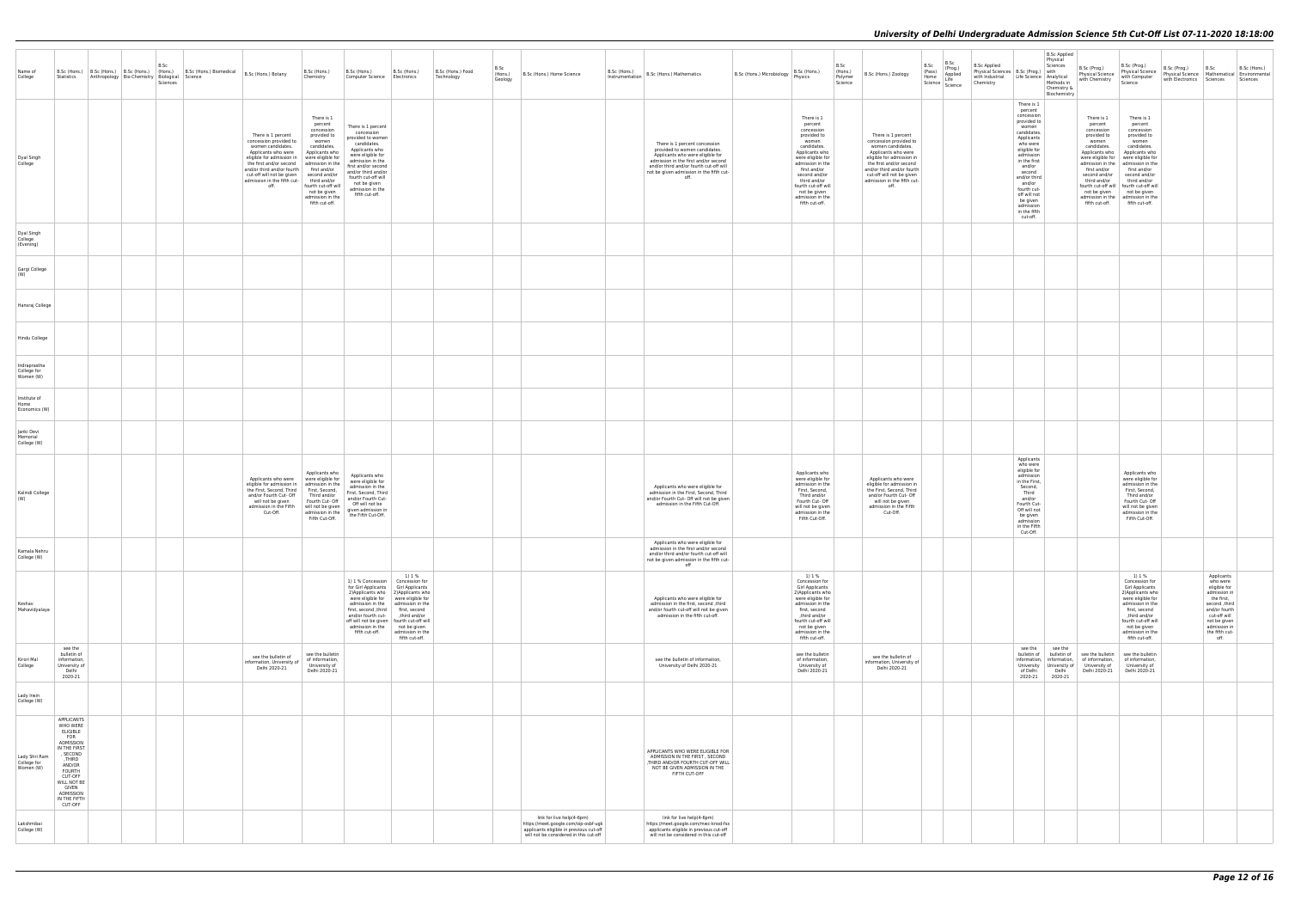| Name of<br>College                        | Statistics                                                                                                                                                                                                       | Anthropology Bio-Chemistry Biological Science | B.Sc<br>Sciences | B.Sc (Hons.) B.Sc (Hons.) B.Sc (Hons.) (Hons.) Biomedical B.Sc (Hons.) Botany |                                                                                                                                                                                                                                                                                                                                    | B.Sc (Hons.)<br>Chemistry                                                                                                                                                 | B.Sc (Hons.)<br>Computer Science   Electronics                                                                                                                                                                                                                 | B.Sc (Hons.)                                                                                                                                                     | B.Sc (Hons.) Food<br>Technology | B.Sc<br>(Hons.)<br>Geology | B.Sc (Hons.) Home Science                                                                                                                              | B.Sc (Hons.)<br>Instrumentation | B.Sc (Hons.) Mathematics                                                                                                                                                                                                                  | B.Sc (Hons.) Microbiology Physics | B.Sc (Hons.)                                                                                                                                                                                                                                                        | B.Sc<br>(Hons.)<br>Polymer<br>Science | B.Sc (Hons.) Zoology                                                                                                                                                                                                                               | B.Sc<br>(Pass)<br>Home | B.Sc<br>(Prog.)<br>Applied<br>Life<br>Science   Line | <b>B.Sc Applied</b><br>Chemistry | Physical Sciences   B.Sc (Prog.)   with<br>with Industrial   Life Science   Analytical                                                                                                                                                                                              | <b>B.Sc Applied</b><br>Physical<br>Sciences<br>Methods in<br>Chemistry &<br>Biochemistry | B.Sc (Prog.)<br>Physical Science   Physical Science   Physical Science   Physical Science   Physical Science   Physical Science<br>with Chemistry                                                                                                                                                                                                                          | B.Sc (Prog.)<br>Physical Science   B.St. (Privy.)<br>Physical Science   Mathematical   Environmental<br>Chinagen Bathematical   Environmental<br>Science                                                                 | B.Sc (Prog.) | B.Sc<br>with Electronics Sciences Sciences                                                                                                                                       | B.Sc (Hons.) |
|-------------------------------------------|------------------------------------------------------------------------------------------------------------------------------------------------------------------------------------------------------------------|-----------------------------------------------|------------------|-------------------------------------------------------------------------------|------------------------------------------------------------------------------------------------------------------------------------------------------------------------------------------------------------------------------------------------------------------------------------------------------------------------------------|---------------------------------------------------------------------------------------------------------------------------------------------------------------------------|----------------------------------------------------------------------------------------------------------------------------------------------------------------------------------------------------------------------------------------------------------------|------------------------------------------------------------------------------------------------------------------------------------------------------------------|---------------------------------|----------------------------|--------------------------------------------------------------------------------------------------------------------------------------------------------|---------------------------------|-------------------------------------------------------------------------------------------------------------------------------------------------------------------------------------------------------------------------------------------|-----------------------------------|---------------------------------------------------------------------------------------------------------------------------------------------------------------------------------------------------------------------------------------------------------------------|---------------------------------------|----------------------------------------------------------------------------------------------------------------------------------------------------------------------------------------------------------------------------------------------------|------------------------|------------------------------------------------------|----------------------------------|-------------------------------------------------------------------------------------------------------------------------------------------------------------------------------------------------------------------------------------------------------------------------------------|------------------------------------------------------------------------------------------|----------------------------------------------------------------------------------------------------------------------------------------------------------------------------------------------------------------------------------------------------------------------------------------------------------------------------------------------------------------------------|--------------------------------------------------------------------------------------------------------------------------------------------------------------------------------------------------------------------------|--------------|----------------------------------------------------------------------------------------------------------------------------------------------------------------------------------|--------------|
| Dyal Singh<br>College                     |                                                                                                                                                                                                                  |                                               |                  |                                                                               | There is 1 percent<br>concession provided to<br>women candidates.<br>Applicants who were<br>eligible for admission in   were eligible for<br>the first and/or second admission in the<br>and/or third and/or fourth first and/or<br>cut-off will not be given second and/or<br>admission in the fifth cut-<br>third and/or<br>off. | There is 1<br>percent<br>concession<br>provided to<br>women<br>candidates.<br>Applicants who<br>fourth cut-off will<br>not be given<br>admission in the<br>fifth cut-off. | There is 1 percent<br>concession<br>provided to women<br>candidates.<br>Applicants who<br>were eligible for<br>admission in the<br>first and/or second<br>and/or third and/or<br>fourth cut-off will<br>not be given<br>admission in the<br>fifth cut-off.     |                                                                                                                                                                  |                                 |                            |                                                                                                                                                        |                                 | There is 1 percent concession<br>provided to women candidates.<br>Applicants who were eligible for<br>admission in the first and/or second<br>and/or third and/or fourth cut-off will<br>not be given admission in the fifth cut-<br>off. |                                   | There is 1<br>percent<br>concession<br>provided to<br>women<br>candidates.<br>Applicants who<br>were eligible for<br>admission in the<br>first and/or<br>second and/or<br>third and/or<br>fourth cut-off will<br>not be given<br>admission in the<br>fifth cut-off. |                                       | There is 1 percent<br>concession provided to<br>women candidates.<br>Applicants who were<br>eligible for admission in<br>the first and/or second<br>and/or third and/or fourth<br>cut-off will not be given<br>admission in the fifth cut-<br>off. |                        |                                                      |                                  | There is 1<br>percent<br>concession<br>provided to<br>women<br>candidates.<br>Applicants<br>who were<br>eligible for<br>admission<br>in the first<br>and/or<br>second<br>and/or third<br>and/or<br>fourth cut-<br>off will not<br>be given<br>admission<br>in the fifth<br>cut-off. |                                                                                          | There is 1<br>percent<br>concession<br>provided to<br>women<br>candidates.<br>Applicants who<br>were eligible for were eligible for<br>admission in the   admission in the<br>first and/or<br>second and/or second and/or<br>third and/or<br>fourth cut-off will   fourth cut-off will<br>not be given not be given<br>admission in the admission in the<br>fifth cut-off. | There is 1<br>percent<br>concession<br>provided to<br>women<br>candidates.<br>Applicants who<br>first and/or<br>third and/or<br>fifth cut-off.                                                                           |              |                                                                                                                                                                                  |              |
| Dyal Singh<br>College<br>(Evening)        |                                                                                                                                                                                                                  |                                               |                  |                                                                               |                                                                                                                                                                                                                                                                                                                                    |                                                                                                                                                                           |                                                                                                                                                                                                                                                                |                                                                                                                                                                  |                                 |                            |                                                                                                                                                        |                                 |                                                                                                                                                                                                                                           |                                   |                                                                                                                                                                                                                                                                     |                                       |                                                                                                                                                                                                                                                    |                        |                                                      |                                  |                                                                                                                                                                                                                                                                                     |                                                                                          |                                                                                                                                                                                                                                                                                                                                                                            |                                                                                                                                                                                                                          |              |                                                                                                                                                                                  |              |
| Gargi College<br>(W)                      |                                                                                                                                                                                                                  |                                               |                  |                                                                               |                                                                                                                                                                                                                                                                                                                                    |                                                                                                                                                                           |                                                                                                                                                                                                                                                                |                                                                                                                                                                  |                                 |                            |                                                                                                                                                        |                                 |                                                                                                                                                                                                                                           |                                   |                                                                                                                                                                                                                                                                     |                                       |                                                                                                                                                                                                                                                    |                        |                                                      |                                  |                                                                                                                                                                                                                                                                                     |                                                                                          |                                                                                                                                                                                                                                                                                                                                                                            |                                                                                                                                                                                                                          |              |                                                                                                                                                                                  |              |
| Hansraj College                           |                                                                                                                                                                                                                  |                                               |                  |                                                                               |                                                                                                                                                                                                                                                                                                                                    |                                                                                                                                                                           |                                                                                                                                                                                                                                                                |                                                                                                                                                                  |                                 |                            |                                                                                                                                                        |                                 |                                                                                                                                                                                                                                           |                                   |                                                                                                                                                                                                                                                                     |                                       |                                                                                                                                                                                                                                                    |                        |                                                      |                                  |                                                                                                                                                                                                                                                                                     |                                                                                          |                                                                                                                                                                                                                                                                                                                                                                            |                                                                                                                                                                                                                          |              |                                                                                                                                                                                  |              |
| Hindu College                             |                                                                                                                                                                                                                  |                                               |                  |                                                                               |                                                                                                                                                                                                                                                                                                                                    |                                                                                                                                                                           |                                                                                                                                                                                                                                                                |                                                                                                                                                                  |                                 |                            |                                                                                                                                                        |                                 |                                                                                                                                                                                                                                           |                                   |                                                                                                                                                                                                                                                                     |                                       |                                                                                                                                                                                                                                                    |                        |                                                      |                                  |                                                                                                                                                                                                                                                                                     |                                                                                          |                                                                                                                                                                                                                                                                                                                                                                            |                                                                                                                                                                                                                          |              |                                                                                                                                                                                  |              |
| Indraprastha<br>College for<br>Women (W)  |                                                                                                                                                                                                                  |                                               |                  |                                                                               |                                                                                                                                                                                                                                                                                                                                    |                                                                                                                                                                           |                                                                                                                                                                                                                                                                |                                                                                                                                                                  |                                 |                            |                                                                                                                                                        |                                 |                                                                                                                                                                                                                                           |                                   |                                                                                                                                                                                                                                                                     |                                       |                                                                                                                                                                                                                                                    |                        |                                                      |                                  |                                                                                                                                                                                                                                                                                     |                                                                                          |                                                                                                                                                                                                                                                                                                                                                                            |                                                                                                                                                                                                                          |              |                                                                                                                                                                                  |              |
| Institute of<br>Home<br>Economics (W)     |                                                                                                                                                                                                                  |                                               |                  |                                                                               |                                                                                                                                                                                                                                                                                                                                    |                                                                                                                                                                           |                                                                                                                                                                                                                                                                |                                                                                                                                                                  |                                 |                            |                                                                                                                                                        |                                 |                                                                                                                                                                                                                                           |                                   |                                                                                                                                                                                                                                                                     |                                       |                                                                                                                                                                                                                                                    |                        |                                                      |                                  |                                                                                                                                                                                                                                                                                     |                                                                                          |                                                                                                                                                                                                                                                                                                                                                                            |                                                                                                                                                                                                                          |              |                                                                                                                                                                                  |              |
| Janki Devi<br>Memorial<br>College (W)     |                                                                                                                                                                                                                  |                                               |                  |                                                                               |                                                                                                                                                                                                                                                                                                                                    |                                                                                                                                                                           |                                                                                                                                                                                                                                                                |                                                                                                                                                                  |                                 |                            |                                                                                                                                                        |                                 |                                                                                                                                                                                                                                           |                                   |                                                                                                                                                                                                                                                                     |                                       |                                                                                                                                                                                                                                                    |                        |                                                      |                                  |                                                                                                                                                                                                                                                                                     |                                                                                          |                                                                                                                                                                                                                                                                                                                                                                            |                                                                                                                                                                                                                          |              |                                                                                                                                                                                  |              |
| Kalindi College<br>(W)                    |                                                                                                                                                                                                                  |                                               |                  |                                                                               | Applicants who were<br>eligible for admission in $ $ admission in the<br>the First, Second, Third<br>and/or Fourth Cut- Off<br>will not be given<br>admission in the Fifth<br>Cut-Off.                                                                                                                                             | Applicants who<br>were eligible for<br>First, Second,<br>Third and/or<br>Fourth Cut- Off<br>will not be given<br>admission in the<br>Fifth Cut-Off.                       | Applicants who<br>were eligible for<br>admission in the<br>First, Second, Third<br>and/or Fourth Cut-<br>Off will not be<br>given admission in<br>the Fifth Cut-Off.                                                                                           |                                                                                                                                                                  |                                 |                            |                                                                                                                                                        |                                 | Applicants who were eligible for<br>admission in the First, Second, Third<br>and/or Fourth Cut- Off will not be given<br>admission in the Fifth Cut-Off.                                                                                  |                                   | Applicants who<br>were eligible for<br>admission in the<br>First, Second,<br>Third and/or<br>Fourth Cut- Off<br>will not be given<br>admission in the<br>Fifth Cut-Off.                                                                                             |                                       | Applicants who were<br>eligible for admission in<br>the First, Second, Third<br>and/or Fourth Cut- Off<br>will not be given<br>admission in the Fifth<br>Cut-Off.                                                                                  |                        |                                                      |                                  | Applicants<br>who were<br>eligible for<br>admission<br>in the First,<br>Second,<br>Third<br>and/or<br>Fourth Cut-<br>Off will not<br>be given<br>admission<br>in the Fifth<br>Cut-Off.                                                                                              |                                                                                          |                                                                                                                                                                                                                                                                                                                                                                            | Applicants who<br>were eligible for<br>admission in the<br>First, Second,<br>Third and/or<br>Fourth Cut- Off<br>will not be given<br>admission in the<br>Fifth Cut-Off.                                                  |              |                                                                                                                                                                                  |              |
| Kamala Nehru<br>College (W)               |                                                                                                                                                                                                                  |                                               |                  |                                                                               |                                                                                                                                                                                                                                                                                                                                    |                                                                                                                                                                           |                                                                                                                                                                                                                                                                |                                                                                                                                                                  |                                 |                            |                                                                                                                                                        |                                 | Applicants who were eligible for<br>admission in the first and/or second<br>and/or third and/or fourth cut-off will<br>not be given admission in the fifth cut-<br>off                                                                    |                                   |                                                                                                                                                                                                                                                                     |                                       |                                                                                                                                                                                                                                                    |                        |                                                      |                                  |                                                                                                                                                                                                                                                                                     |                                                                                          |                                                                                                                                                                                                                                                                                                                                                                            |                                                                                                                                                                                                                          |              |                                                                                                                                                                                  |              |
| Keshav<br>Mahavidyalaya                   |                                                                                                                                                                                                                  |                                               |                  |                                                                               |                                                                                                                                                                                                                                                                                                                                    |                                                                                                                                                                           | 1) 1 % Concession<br>for Girl Applicants Girl Applicants<br>2) Applicants who 2) Applicants who<br>were eligible for<br>first, second ,third   first, second<br>and/or fourth cut-<br>off will not be given<br>admission in the not be given<br>fifth cut-off. | 1) 1 %<br>Concession for<br>were eligible for<br>admission in the admission in the<br>third and/or,<br>fourth cut-off will<br>admission in the<br>fifth cut-off. |                                 |                            |                                                                                                                                                        |                                 | Applicants who were eligible for<br>admission in the first, second ,third<br>and/or fourth cut-off will not be given<br>admission in the fifth cut-off.                                                                                   |                                   | 1) 1 %<br>Concession for<br>Girl Applicants<br>2) Applicants who<br>were eligible for<br>admission in the<br>first, second<br>third and/or,<br>fourth cut-off will<br>not be given<br>admission in the<br>fifth cut-off.                                            |                                       |                                                                                                                                                                                                                                                    |                        |                                                      |                                  |                                                                                                                                                                                                                                                                                     |                                                                                          |                                                                                                                                                                                                                                                                                                                                                                            | 1) 1 %<br>Concession for<br>Girl Applicants<br>2) Applicants who<br>were eligible for<br>admission in the<br>first, second<br>third and/or,<br>fourth cut-off will<br>not be given<br>admission in the<br>fifth cut-off. |              | Applicants<br>who were<br>eligible for<br>admission in<br>the first,<br>second ,third<br>and/or fourth<br>cut-off will<br>not be given<br>admission in<br>the fifth cut-<br>off. |              |
| Kirori Mal<br>College                     | see the<br>bulletin of<br>information,<br>University of<br>Delhi<br>2020-21                                                                                                                                      |                                               |                  |                                                                               | see the bulletin of<br>information, University of<br>Delhi 2020-21                                                                                                                                                                                                                                                                 | see the bulletin<br>of information,<br>University of<br>Delhi 2020-21                                                                                                     |                                                                                                                                                                                                                                                                |                                                                                                                                                                  |                                 |                            |                                                                                                                                                        |                                 | see the bulletin of information,<br>University of Delhi 2020-21                                                                                                                                                                           |                                   | see the bulletin<br>of information,<br>University of<br>Delhi 2020-21                                                                                                                                                                                               |                                       | see the bulletin of<br>information, University of<br>Delhi 2020-21                                                                                                                                                                                 |                        |                                                      |                                  | see the<br>bulletin of bulletin of<br>information, information,<br>University University of University of<br>of Delhi<br>2020-21                                                                                                                                                    | see the<br>Delhi<br>2020-21                                                              | see the bulletin<br>of information,<br>Delhi 2020-21 Delhi 2020-21                                                                                                                                                                                                                                                                                                         | see the bulletin<br>of information,<br>University of                                                                                                                                                                     |              |                                                                                                                                                                                  |              |
| Lady Irwin<br>College (W)                 |                                                                                                                                                                                                                  |                                               |                  |                                                                               |                                                                                                                                                                                                                                                                                                                                    |                                                                                                                                                                           |                                                                                                                                                                                                                                                                |                                                                                                                                                                  |                                 |                            |                                                                                                                                                        |                                 |                                                                                                                                                                                                                                           |                                   |                                                                                                                                                                                                                                                                     |                                       |                                                                                                                                                                                                                                                    |                        |                                                      |                                  |                                                                                                                                                                                                                                                                                     |                                                                                          |                                                                                                                                                                                                                                                                                                                                                                            |                                                                                                                                                                                                                          |              |                                                                                                                                                                                  |              |
| Lady Shri Ram<br>College for<br>Women (W) | APPLICANTS<br>WHO WERE<br>ELIGIBLE<br><b>FOR</b><br>ADMISSION<br>IN THE FIRST<br>, SECOND<br>THIRD.<br>AND/OR<br><b>FOURTH</b><br>CUT-OFF<br>WILL NOT BE<br><b>GIVEN</b><br>ADMISSION<br>IN THE FIFTH<br>CUT-OFF |                                               |                  |                                                                               |                                                                                                                                                                                                                                                                                                                                    |                                                                                                                                                                           |                                                                                                                                                                                                                                                                |                                                                                                                                                                  |                                 |                            |                                                                                                                                                        |                                 | APPLICANTS WHO WERE ELIGIBLE FOR<br>ADMISSION IN THE FIRST, SECOND<br>,THIRD AND/OR FOURTH CUT-OFF WILL<br>NOT BE GIVEN ADMISSION IN THE<br>FIFTH CUT-OFF                                                                                 |                                   |                                                                                                                                                                                                                                                                     |                                       |                                                                                                                                                                                                                                                    |                        |                                                      |                                  |                                                                                                                                                                                                                                                                                     |                                                                                          |                                                                                                                                                                                                                                                                                                                                                                            |                                                                                                                                                                                                                          |              |                                                                                                                                                                                  |              |
| Lakshmibai<br>College (W)                 |                                                                                                                                                                                                                  |                                               |                  |                                                                               |                                                                                                                                                                                                                                                                                                                                    |                                                                                                                                                                           |                                                                                                                                                                                                                                                                |                                                                                                                                                                  |                                 |                            | link for live help(4-6pm)<br>https://meet.google.com/oip-osbf-ugk<br>applicants eligible in previous cut-off<br>will not be considered in this cut-off |                                 | link for live help(4-6pm)<br>https://meet.google.com/mwc-knod-fsx<br>applicants eligible in previous cut-off<br>will not be considered in this cut-off                                                                                    |                                   |                                                                                                                                                                                                                                                                     |                                       |                                                                                                                                                                                                                                                    |                        |                                                      |                                  |                                                                                                                                                                                                                                                                                     |                                                                                          |                                                                                                                                                                                                                                                                                                                                                                            |                                                                                                                                                                                                                          |              |                                                                                                                                                                                  |              |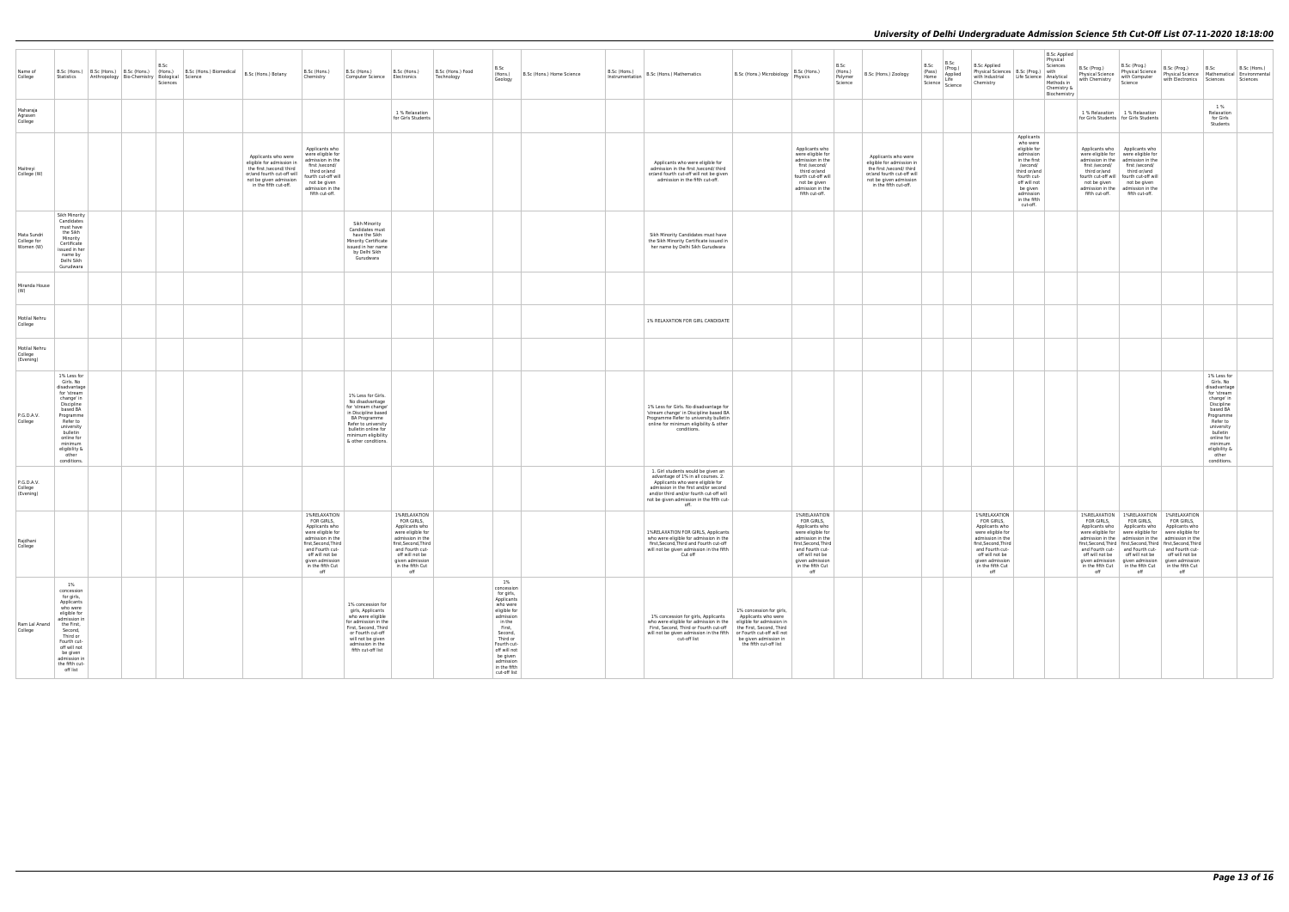| Name of<br>College                      | Statistics                                                                                                                                                                                                             | Anthropology Bio-Chemistry Biological Science | B.Sc<br>Sciences | B.Sc (Hons.) B.Sc (Hons.) B.Sc (Hons.) B.Sc (Hons.) B.Sc (Hons.) Biomedical B.Sc (Hons.) Botany |                                                                                                                                                               | B.Sc (Hons.)<br>Chemistry                                                                                                                                                                         | B.Sc (Hons.)<br>Computer Science   Electronics                                                                                                                                                  | B.Sc (Hons.)                                                                                                                                                                                      | B.Sc (Hons.) Food<br>Technology | B.Sc<br>$ $ (Hons.)<br>Geology                                                                                                                                                                                           | B.Sc (Hons.) Home Science | $\vert$ $\frac{D \cdot J L}{D} \cdot \frac{(P10715.7)}{P10075.7}$ B.Sc (Hons.) Mathematics                                                                                                                                                                        | B.Sc (Hons.) Microbiology                                                                                | B.Sc (Hons.)<br>Physics                                                                                                                                                                           | B.Sc<br>(Hons.)<br>Polymer<br>Science | B.Sc (Hons.) Zoology                                                                                                                                          | B.Sc<br>(Pass)<br>Home<br>Science | B.Sc<br>(Prog.)<br>Applied<br>Life<br>Science | <b>B.Sc Applied</b><br>Physical Sciences   B.Sc (Prog.)   with<br>with Industrial Life Science Analytical<br>Chemistry                                                                            |                                                                                                                                                                                     | <b>B.Sc Applied</b><br>Physical<br>Sciences<br>Methods in<br>Chemistry &<br>Biochemistry | B.Sc (Prog.)<br>Physical Science<br>with Chemistry | B.Sc (Prog.)<br>Science                                                                                                                                                                                                                                                                                                                                                | B.Sc (Prog.)<br>Physical Science Physical Science   Mathematical   Environmental<br>with Electronics Sciences                                                                          | B.Sc                                                                                                                                                                                                                 | B.Sc (Hons.)<br>Sciences |
|-----------------------------------------|------------------------------------------------------------------------------------------------------------------------------------------------------------------------------------------------------------------------|-----------------------------------------------|------------------|-------------------------------------------------------------------------------------------------|---------------------------------------------------------------------------------------------------------------------------------------------------------------|---------------------------------------------------------------------------------------------------------------------------------------------------------------------------------------------------|-------------------------------------------------------------------------------------------------------------------------------------------------------------------------------------------------|---------------------------------------------------------------------------------------------------------------------------------------------------------------------------------------------------|---------------------------------|--------------------------------------------------------------------------------------------------------------------------------------------------------------------------------------------------------------------------|---------------------------|-------------------------------------------------------------------------------------------------------------------------------------------------------------------------------------------------------------------------------------------------------------------|----------------------------------------------------------------------------------------------------------|---------------------------------------------------------------------------------------------------------------------------------------------------------------------------------------------------|---------------------------------------|---------------------------------------------------------------------------------------------------------------------------------------------------------------|-----------------------------------|-----------------------------------------------|---------------------------------------------------------------------------------------------------------------------------------------------------------------------------------------------------|-------------------------------------------------------------------------------------------------------------------------------------------------------------------------------------|------------------------------------------------------------------------------------------|----------------------------------------------------|------------------------------------------------------------------------------------------------------------------------------------------------------------------------------------------------------------------------------------------------------------------------------------------------------------------------------------------------------------------------|----------------------------------------------------------------------------------------------------------------------------------------------------------------------------------------|----------------------------------------------------------------------------------------------------------------------------------------------------------------------------------------------------------------------|--------------------------|
| Maharaia<br>Agrasen<br>College          |                                                                                                                                                                                                                        |                                               |                  |                                                                                                 |                                                                                                                                                               |                                                                                                                                                                                                   |                                                                                                                                                                                                 | 1 % Relaxation<br>for Girls Students                                                                                                                                                              |                                 |                                                                                                                                                                                                                          |                           |                                                                                                                                                                                                                                                                   |                                                                                                          |                                                                                                                                                                                                   |                                       |                                                                                                                                                               |                                   |                                               |                                                                                                                                                                                                   |                                                                                                                                                                                     |                                                                                          |                                                    | 1 % Relaxation 1 % Relaxation<br>for Girls Students   for Girls Students                                                                                                                                                                                                                                                                                               |                                                                                                                                                                                        | 1 %<br>Relaxation<br>for Girls<br>Students                                                                                                                                                                           |                          |
| Maitreyi<br>College (W)                 |                                                                                                                                                                                                                        |                                               |                  |                                                                                                 | Applicants who were<br>eligible for admission in<br>the first /second/ third<br>or/and fourth cut-off will<br>not be given admission<br>in the fifth cut-off. | Applicants who<br>were eligible for<br>admission in the<br>first /second/<br>third or/and<br>fourth cut-off will<br>not be given<br>admission in the<br>fifth cut-off.                            |                                                                                                                                                                                                 |                                                                                                                                                                                                   |                                 |                                                                                                                                                                                                                          |                           | Applicants who were eligible for<br>admission in the first /second/ third<br>or/and fourth cut-off will not be given<br>admission in the fifth cut-off.                                                                                                           |                                                                                                          | Applicants who<br>were eligible for<br>admission in the<br>first /second/<br>third or/and<br>fourth cut-off will<br>not be given<br>admission in the<br>fifth cut-off.                            |                                       | Applicants who were<br>eligible for admission in<br>the first /second/ third<br>or/and fourth cut-off will<br>not be given admission<br>in the fifth cut-off. |                                   |                                               |                                                                                                                                                                                                   | Applicants<br>who were<br>eligible for<br>admission<br>in the first<br>/second/<br>third or/and<br>fourth cut-<br>off will not<br>be given<br>admission<br>in the fifth<br>cut-off. |                                                                                          | first /second/<br>third or/and<br>fifth cut-off.   | Applicants who Applicants who<br>were eligible for were eligible for<br>admission in the $\parallel$ admission in the<br>first /second/<br>third or/and<br>fourth cut-off will   fourth cut-off will<br>not be given not be given<br>admission in the admission in the<br>fifth cut-off.                                                                               |                                                                                                                                                                                        |                                                                                                                                                                                                                      |                          |
| Mata Sundri<br>College for<br>Women (W) | Sikh Minority<br>Candidates<br>must have<br>the Sikh<br>Minority<br>Certificate<br>issued in her<br>name by<br>Delhi Sikh<br>Gurudwara                                                                                 |                                               |                  |                                                                                                 |                                                                                                                                                               |                                                                                                                                                                                                   | Sikh Minority<br>Candidates must<br>have the Sikh<br>Minority Certificate<br>issued in her name<br>by Delhi Sikh<br>Gurudwara                                                                   |                                                                                                                                                                                                   |                                 |                                                                                                                                                                                                                          |                           | Sikh Minority Candidates must have<br>the Sikh Minority Certificate issued in<br>her name by Delhi Sikh Gurudwara                                                                                                                                                 |                                                                                                          |                                                                                                                                                                                                   |                                       |                                                                                                                                                               |                                   |                                               |                                                                                                                                                                                                   |                                                                                                                                                                                     |                                                                                          |                                                    |                                                                                                                                                                                                                                                                                                                                                                        |                                                                                                                                                                                        |                                                                                                                                                                                                                      |                          |
| Miranda House<br>(W)                    |                                                                                                                                                                                                                        |                                               |                  |                                                                                                 |                                                                                                                                                               |                                                                                                                                                                                                   |                                                                                                                                                                                                 |                                                                                                                                                                                                   |                                 |                                                                                                                                                                                                                          |                           |                                                                                                                                                                                                                                                                   |                                                                                                          |                                                                                                                                                                                                   |                                       |                                                                                                                                                               |                                   |                                               |                                                                                                                                                                                                   |                                                                                                                                                                                     |                                                                                          |                                                    |                                                                                                                                                                                                                                                                                                                                                                        |                                                                                                                                                                                        |                                                                                                                                                                                                                      |                          |
| Motilal Nehru<br>College                |                                                                                                                                                                                                                        |                                               |                  |                                                                                                 |                                                                                                                                                               |                                                                                                                                                                                                   |                                                                                                                                                                                                 |                                                                                                                                                                                                   |                                 |                                                                                                                                                                                                                          |                           | 1% RELAXATION FOR GIRL CANDIDATE                                                                                                                                                                                                                                  |                                                                                                          |                                                                                                                                                                                                   |                                       |                                                                                                                                                               |                                   |                                               |                                                                                                                                                                                                   |                                                                                                                                                                                     |                                                                                          |                                                    |                                                                                                                                                                                                                                                                                                                                                                        |                                                                                                                                                                                        |                                                                                                                                                                                                                      |                          |
| Motilal Nehru<br>College<br>(Evening)   |                                                                                                                                                                                                                        |                                               |                  |                                                                                                 |                                                                                                                                                               |                                                                                                                                                                                                   |                                                                                                                                                                                                 |                                                                                                                                                                                                   |                                 |                                                                                                                                                                                                                          |                           |                                                                                                                                                                                                                                                                   |                                                                                                          |                                                                                                                                                                                                   |                                       |                                                                                                                                                               |                                   |                                               |                                                                                                                                                                                                   |                                                                                                                                                                                     |                                                                                          |                                                    |                                                                                                                                                                                                                                                                                                                                                                        |                                                                                                                                                                                        |                                                                                                                                                                                                                      |                          |
| P.G.D.A.V.<br>College                   | 1% Less for<br>Girls. No<br>disadvantage<br>for 'stream<br>change' in<br>Discipline<br>based BA<br>Programme<br>Refer to<br>university<br>bulletin<br>online for<br>minimum<br>eligibility &<br>other<br>conditions.   |                                               |                  |                                                                                                 |                                                                                                                                                               |                                                                                                                                                                                                   | 1% Less for Girls.<br>No disadvantage<br>for 'stream change'<br>in Discipline based<br>BA Programme<br>Refer to university<br>bulletin online for<br>minimum eligibility<br>& other conditions. |                                                                                                                                                                                                   |                                 |                                                                                                                                                                                                                          |                           | 1% Less for Girls. No disadvantage for<br>'stream change' in Discipline based BA<br>Programme Refer to university bulletin<br>online for minimum eligibility & other<br>conditions.                                                                               |                                                                                                          |                                                                                                                                                                                                   |                                       |                                                                                                                                                               |                                   |                                               |                                                                                                                                                                                                   |                                                                                                                                                                                     |                                                                                          |                                                    |                                                                                                                                                                                                                                                                                                                                                                        |                                                                                                                                                                                        | 1% Less for<br>Girls. No<br>disadvantage<br>for 'stream<br>change' in<br>Discipline<br>based BA<br>Programme<br>Refer to<br>university<br>bulletin<br>online for<br>minimum<br>eligibility &<br>other<br>conditions. |                          |
| P.G.D.A.V.<br>College<br>(Evening)      |                                                                                                                                                                                                                        |                                               |                  |                                                                                                 |                                                                                                                                                               |                                                                                                                                                                                                   |                                                                                                                                                                                                 |                                                                                                                                                                                                   |                                 |                                                                                                                                                                                                                          |                           | 1. Girl students would be given an<br>advantage of 1% in all courses. 2.<br>Applicants who were eligible for<br>admission in the first and/or second<br>and/or third and/or fourth cut-off will<br>not be given admission in the fifth cut-<br>off.               |                                                                                                          |                                                                                                                                                                                                   |                                       |                                                                                                                                                               |                                   |                                               |                                                                                                                                                                                                   |                                                                                                                                                                                     |                                                                                          |                                                    |                                                                                                                                                                                                                                                                                                                                                                        |                                                                                                                                                                                        |                                                                                                                                                                                                                      |                          |
| Rajdhani<br>College                     |                                                                                                                                                                                                                        |                                               |                  |                                                                                                 |                                                                                                                                                               | 1%RELAXATION<br>FOR GIRLS,<br>Applicants who<br>were eligible for<br>admission in the<br>first, Second, Third<br>and Fourth cut-<br>off will not be<br>given admission<br>in the fifth Cut<br>off |                                                                                                                                                                                                 | 1%RELAXATION<br>FOR GIRLS,<br>Applicants who<br>were eligible for<br>admission in the<br>first, Second, Third<br>and Fourth cut-<br>off will not be<br>given admission<br>in the fifth Cut<br>off |                                 |                                                                                                                                                                                                                          |                           | 1%RELAXATION FOR GIRLS, Applicants<br>who were eligible for admission in the<br>first, Second, Third and Fourth cut-off<br>will not be given admission in the fifth<br>Cut off                                                                                    |                                                                                                          | 1%RELAXATION<br>FOR GIRLS,<br>Applicants who<br>were eligible for<br>admission in the<br>first, Second, Third<br>and Fourth cut-<br>off will not be<br>given admission<br>in the fifth Cut<br>off |                                       |                                                                                                                                                               |                                   |                                               | 1%RELAXATION<br>FOR GIRLS,<br>Applicants who<br>were eligible for<br>admission in the<br>first, Second, Third<br>and Fourth cut-<br>off will not be<br>given admission<br>in the fifth Cut<br>off |                                                                                                                                                                                     |                                                                                          | off                                                | 1%RELAXATION 1%RELAXATION 1%RELAXATION<br>FOR GIRLS, FOR GIRLS, FOR GIRLS,<br>Applicants who   Applicants who   Applicants who<br>were eligible for   were eligible for   were eligible for<br>and Fourth cut- and Fourth cut- and Fourth cut-<br>off will not be   off will not be   off will not be<br>in the fifth Cut   in the fifth Cut   in the fifth Cut<br>off | admission in the admission in the admission in the<br>first, Second, Third   first, Second, Third   first, Second, Third<br>given admission   given admission   given admission<br>off |                                                                                                                                                                                                                      |                          |
| Ram Lal Anand<br>College                | 1%<br>concession<br>for girls,<br>Applicants<br>who were<br>eligible for<br>admission in<br>the First,<br>Second,<br>Third or<br>Fourth cut-<br>off will not<br>be given<br>admission in<br>the fifth cut-<br>off list |                                               |                  |                                                                                                 |                                                                                                                                                               |                                                                                                                                                                                                   | 1% concession for<br>girls, Applicants<br>who were eligible<br>for admission in the<br>First, Second, Third<br>or Fourth cut-off<br>will not be given<br>admission in the<br>fifth cut-off list |                                                                                                                                                                                                   |                                 | 1%<br>concession<br>for girls,<br>Applicants<br>who were<br>eligible for<br>admission<br>in the<br>First,<br>Second,<br>Third or<br>Fourth cut-<br>off will not<br>be given<br>admission<br>in the fifth<br>cut-off list |                           | 1% concession for girls, Applicants   Applicants who were<br>who were eligible for admission in the<br>First, Second, Third or Fourth cut-off   the First, Second, Third<br>will not be given admission in the fifth   or Fourth cut-off will not<br>cut-off list | 1% concession for girls,<br>eligible for admission in<br>be given admission in<br>the fifth cut-off list |                                                                                                                                                                                                   |                                       |                                                                                                                                                               |                                   |                                               |                                                                                                                                                                                                   |                                                                                                                                                                                     |                                                                                          |                                                    |                                                                                                                                                                                                                                                                                                                                                                        |                                                                                                                                                                                        |                                                                                                                                                                                                                      |                          |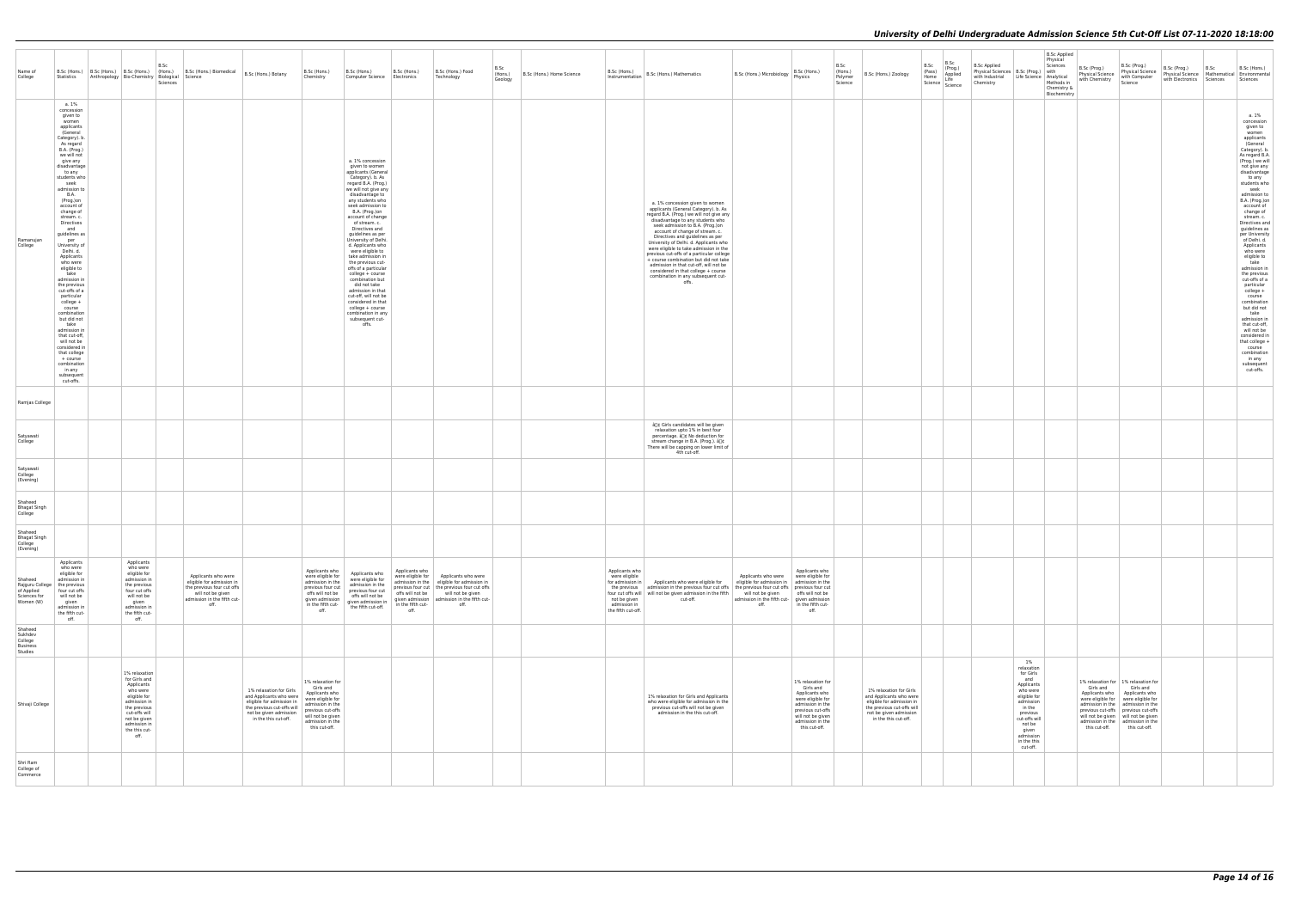| Name of<br>College                                     | Statistics                                                                                                                                                                                                                                                                                                                                                                                                                                                                                                                                                                                                                                                                                  | B.Sc<br>B.Sc (Hons.) B.Sc (Hons.) B.Sc (Hons.) $\left  \begin{array}{c} B. \text{SC} \\ \text{B.} \text{SC} \end{array} \right $ B.Sc (Hons.) Biomedical $\left  \begin{array}{c} B. \text{SC} \\ \text{B.} \text{SC} \end{array} \right $<br>Anthropology Bio-Chemistry Biological Science | Sciences                                                                                                                                   |                                                                                                                                                                 | B.Sc (Hons.)<br>Chemistry                                                                                                                                                | B.Sc (Hons.)<br>Computer Science   Electronics                                                                                                                                                                                                                                                                                                                                                                                                                                                                                                                                                                             | B.Sc (Hons.)                                | B.Sc (Hons.) Food<br>Technology                                                                                                                                                                                                        | B.Sc<br>(Hons.)<br>Geology | B.Sc (Hons.) Home Science                                                             | $\left  \right. \frac{\text{max (mons.)}}{\text{Instrumentation}} \right $ B.Sc (Hons.) Mathematics                                                                                                                                                                                                                                                                                                                                                                                                                                                                          | B.Sc (Hons.) Microbiology P.SC (Hons.)                                                       | B.Sc (Hons.)                                                                                                                                                             | B.Sc<br>(Hons.)<br>Polymer<br>Science | B.Sc (Hons.) Zoology                                                                                                                                            | B.Sc<br>(Pass)<br>Home | B.Sc<br>(Prog.)<br>Applied<br>Life<br>Science Science | <b>B.Sc Applied</b><br>Physical Sciences   B.Sc (Prog.)   with<br>with Industrial Life Science Analytical<br>Chemistry                                                                        | <b>B.Sc Applied</b><br>Physical<br>Sciences<br>Methods in<br>Chemistry &<br>Biochemistry | B.Sc (Prog.)<br>with Chemistry | B.Sc (Prog.)<br>Physical Science   Physical Science<br>  with Computer<br>Science                                                                                                                                                                                                                                     | B.Sc (Prog.)<br>with Electronics Sciences | B.Sc<br>B.Sc (Hons.)<br>Physical Science   B.St. (1109.)<br>Physical Science   Mathematical   Environmental<br>Science   Mathematical   Environmental<br>Sciences                                                                                                                                                                                                                                                                                                                                                                                                                                                                                                        |
|--------------------------------------------------------|---------------------------------------------------------------------------------------------------------------------------------------------------------------------------------------------------------------------------------------------------------------------------------------------------------------------------------------------------------------------------------------------------------------------------------------------------------------------------------------------------------------------------------------------------------------------------------------------------------------------------------------------------------------------------------------------|---------------------------------------------------------------------------------------------------------------------------------------------------------------------------------------------------------------------------------------------------------------------------------------------|--------------------------------------------------------------------------------------------------------------------------------------------|-----------------------------------------------------------------------------------------------------------------------------------------------------------------|--------------------------------------------------------------------------------------------------------------------------------------------------------------------------|----------------------------------------------------------------------------------------------------------------------------------------------------------------------------------------------------------------------------------------------------------------------------------------------------------------------------------------------------------------------------------------------------------------------------------------------------------------------------------------------------------------------------------------------------------------------------------------------------------------------------|---------------------------------------------|----------------------------------------------------------------------------------------------------------------------------------------------------------------------------------------------------------------------------------------|----------------------------|---------------------------------------------------------------------------------------|------------------------------------------------------------------------------------------------------------------------------------------------------------------------------------------------------------------------------------------------------------------------------------------------------------------------------------------------------------------------------------------------------------------------------------------------------------------------------------------------------------------------------------------------------------------------------|----------------------------------------------------------------------------------------------|--------------------------------------------------------------------------------------------------------------------------------------------------------------------------|---------------------------------------|-----------------------------------------------------------------------------------------------------------------------------------------------------------------|------------------------|-------------------------------------------------------|-----------------------------------------------------------------------------------------------------------------------------------------------------------------------------------------------|------------------------------------------------------------------------------------------|--------------------------------|-----------------------------------------------------------------------------------------------------------------------------------------------------------------------------------------------------------------------------------------------------------------------------------------------------------------------|-------------------------------------------|--------------------------------------------------------------------------------------------------------------------------------------------------------------------------------------------------------------------------------------------------------------------------------------------------------------------------------------------------------------------------------------------------------------------------------------------------------------------------------------------------------------------------------------------------------------------------------------------------------------------------------------------------------------------------|
| Ramanujan<br>College                                   | a. 1%<br>concession<br>given to<br>women<br>applicants<br>(General<br>Category). b.<br>As regard<br>B.A. (Prog.)<br>we will not<br>give any<br>disadvantage<br>to any<br>students who<br>seek<br>admission to<br><b>B.A.</b><br>(Prog.)on<br>account of<br>change of<br>stream. c.<br>Directives<br>and<br>guidelines as<br>per<br>University of<br>Delhi. d.<br>Applicants<br>who were<br>eligible to<br>take<br>admission in<br>the previous<br>cut-offs of a<br>particular<br>college +<br>course<br>combination<br>but did not<br>take<br>admission in<br>that cut-off,<br>will not be<br>considered in<br>that college<br>+ course<br>combination<br>in any<br>subsequent<br>cut-offs. |                                                                                                                                                                                                                                                                                             |                                                                                                                                            |                                                                                                                                                                 |                                                                                                                                                                          | a. 1% concession<br>given to women<br>applicants (General<br>Category). b. As<br>regard B.A. (Prog.)<br>we will not give any<br>disadvantage to<br>any students who<br>seek admission to<br>B.A. (Prog.)on<br>account of change<br>of stream. c.<br>Directives and<br>guidelines as per<br>University of Delhi.<br>d. Applicants who<br>were eligible to<br>take admission in<br>the previous cut-<br>offs of a particular<br>college + course<br>combination but<br>did not take<br>admission in that<br>cut-off, will not be<br>considered in that<br>college + course<br>combination in any<br>subsequent cut-<br>offs. |                                             |                                                                                                                                                                                                                                        |                            |                                                                                       | a. 1% concession given to women<br>applicants (General Category). b. As<br>regard B.A. (Prog.) we will not give any<br>disadvantage to any students who<br>seek admission to B.A. (Prog.)on<br>account of change of stream. c.<br>Directives and guidelines as per<br>University of Delhi. d. Applicants who<br>were eligible to take admission in the<br>previous cut-offs of a particular college<br>+ course combination but did not take<br>admission in that cut-off, will not be<br>considered in that college + course<br>combination in any subsequent cut-<br>offs. |                                                                                              |                                                                                                                                                                          |                                       |                                                                                                                                                                 |                        |                                                       |                                                                                                                                                                                               |                                                                                          |                                |                                                                                                                                                                                                                                                                                                                       |                                           | a. 1%<br>concession<br>given to<br>women<br>applicants<br>(General<br>Category). b.<br>As regard B.A.<br>(Prog.) we will<br>not give any<br>disadvantage<br>to any<br>students who<br>seek<br>admission to<br>B.A. (Prog.)on<br>account of<br>change of<br>stream. c.<br>Directives and<br>quidelines as<br>per University<br>of Delhi. d.<br>Applicants<br>who were<br>eligible to<br>take<br>admission in<br>the previous<br>cut-offs of a<br>particular<br>college +<br>course<br>combination<br>but did not<br>take<br>admission in<br>that cut-off,<br>will not be<br>considered in<br>that college +<br>course<br>combination<br>in any<br>subsequent<br>cut-offs. |
| Ramjas College                                         |                                                                                                                                                                                                                                                                                                                                                                                                                                                                                                                                                                                                                                                                                             |                                                                                                                                                                                                                                                                                             |                                                                                                                                            |                                                                                                                                                                 |                                                                                                                                                                          |                                                                                                                                                                                                                                                                                                                                                                                                                                                                                                                                                                                                                            |                                             |                                                                                                                                                                                                                                        |                            |                                                                                       |                                                                                                                                                                                                                                                                                                                                                                                                                                                                                                                                                                              |                                                                                              |                                                                                                                                                                          |                                       |                                                                                                                                                                 |                        |                                                       |                                                                                                                                                                                               |                                                                                          |                                |                                                                                                                                                                                                                                                                                                                       |                                           |                                                                                                                                                                                                                                                                                                                                                                                                                                                                                                                                                                                                                                                                          |
| Satyawati<br>College                                   |                                                                                                                                                                                                                                                                                                                                                                                                                                                                                                                                                                                                                                                                                             |                                                                                                                                                                                                                                                                                             |                                                                                                                                            |                                                                                                                                                                 |                                                                                                                                                                          |                                                                                                                                                                                                                                                                                                                                                                                                                                                                                                                                                                                                                            |                                             |                                                                                                                                                                                                                                        |                            |                                                                                       | â[]¢ Girls candidates will be given<br>relaxation upto 1% in best four<br>percentage. â[]¢ No deduction for<br>stream change in B.A. (Prog.). â[]¢<br>There will be capping on lower limit of<br>4th cut-off.                                                                                                                                                                                                                                                                                                                                                                |                                                                                              |                                                                                                                                                                          |                                       |                                                                                                                                                                 |                        |                                                       |                                                                                                                                                                                               |                                                                                          |                                |                                                                                                                                                                                                                                                                                                                       |                                           |                                                                                                                                                                                                                                                                                                                                                                                                                                                                                                                                                                                                                                                                          |
| Satyawati<br>College<br>(Evening)                      |                                                                                                                                                                                                                                                                                                                                                                                                                                                                                                                                                                                                                                                                                             |                                                                                                                                                                                                                                                                                             |                                                                                                                                            |                                                                                                                                                                 |                                                                                                                                                                          |                                                                                                                                                                                                                                                                                                                                                                                                                                                                                                                                                                                                                            |                                             |                                                                                                                                                                                                                                        |                            |                                                                                       |                                                                                                                                                                                                                                                                                                                                                                                                                                                                                                                                                                              |                                                                                              |                                                                                                                                                                          |                                       |                                                                                                                                                                 |                        |                                                       |                                                                                                                                                                                               |                                                                                          |                                |                                                                                                                                                                                                                                                                                                                       |                                           |                                                                                                                                                                                                                                                                                                                                                                                                                                                                                                                                                                                                                                                                          |
| Shaheed<br><b>Bhagat Singh</b><br>College              |                                                                                                                                                                                                                                                                                                                                                                                                                                                                                                                                                                                                                                                                                             |                                                                                                                                                                                                                                                                                             |                                                                                                                                            |                                                                                                                                                                 |                                                                                                                                                                          |                                                                                                                                                                                                                                                                                                                                                                                                                                                                                                                                                                                                                            |                                             |                                                                                                                                                                                                                                        |                            |                                                                                       |                                                                                                                                                                                                                                                                                                                                                                                                                                                                                                                                                                              |                                                                                              |                                                                                                                                                                          |                                       |                                                                                                                                                                 |                        |                                                       |                                                                                                                                                                                               |                                                                                          |                                |                                                                                                                                                                                                                                                                                                                       |                                           |                                                                                                                                                                                                                                                                                                                                                                                                                                                                                                                                                                                                                                                                          |
| Shaheed<br><b>Bhagat Singh</b><br>College<br>(Evening) |                                                                                                                                                                                                                                                                                                                                                                                                                                                                                                                                                                                                                                                                                             |                                                                                                                                                                                                                                                                                             |                                                                                                                                            |                                                                                                                                                                 |                                                                                                                                                                          |                                                                                                                                                                                                                                                                                                                                                                                                                                                                                                                                                                                                                            |                                             |                                                                                                                                                                                                                                        |                            |                                                                                       |                                                                                                                                                                                                                                                                                                                                                                                                                                                                                                                                                                              |                                                                                              |                                                                                                                                                                          |                                       |                                                                                                                                                                 |                        |                                                       |                                                                                                                                                                                               |                                                                                          |                                |                                                                                                                                                                                                                                                                                                                       |                                           |                                                                                                                                                                                                                                                                                                                                                                                                                                                                                                                                                                                                                                                                          |
| Shaheed<br>of Applied<br>Sciences for<br>Women (W)     | Applicants<br>who were<br>eligible for<br>admission in<br>Rajguru College   the previous<br>four cut offs<br>will not be<br>given<br>admission in<br>the fifth cut-<br>off.                                                                                                                                                                                                                                                                                                                                                                                                                                                                                                                 | Applicants<br>who were<br>eligible for<br>admission in<br>the previous<br>four cut offs<br>will not be<br>given<br>admission in<br>the fifth cut-<br>off.                                                                                                                                   | Applicants who were<br>eligible for admission in<br>the previous four cut offs<br>will not be given<br>admission in the fifth cut-<br>off. |                                                                                                                                                                 | Applicants who<br>were eligible for<br>admission in the<br>previous four cut<br>offs will not be<br>given admission<br>in the fifth cut-<br>off.                         | Applicants who<br>were eligible for<br>admission in the<br>previous four cut<br>offs will not be<br>given admission in<br>the fifth cut-off.                                                                                                                                                                                                                                                                                                                                                                                                                                                                               | Applicants who<br>in the fifth cut-<br>off. | were eligible for   Applicants who were<br>admission in the eligible for admission in<br>previous four cut   the previous four cut offs<br>offs will not be will not be given<br>given admission   admission in the fifth cut-<br>off. |                            | Applicants who<br>were eligible<br>not be given<br>admission in<br>the fifth cut-off. | for admission in   Applicants who were eligible for   eligible for admission in   admission in the<br>the previous admission in the previous four cut offs the previous four cut offs previous four cut<br>four cut offs will will not be given admission in the fifth will not be given<br>cut-off.                                                                                                                                                                                                                                                                         | Applicants who were were eligible for<br>admission in the fifth cut- given admission<br>off. | Applicants who<br>offs will not be<br>in the fifth cut-<br>off.                                                                                                          |                                       |                                                                                                                                                                 |                        |                                                       |                                                                                                                                                                                               |                                                                                          |                                |                                                                                                                                                                                                                                                                                                                       |                                           |                                                                                                                                                                                                                                                                                                                                                                                                                                                                                                                                                                                                                                                                          |
| Shaheed<br>Sukhdev<br>College<br>Business<br>Studies   |                                                                                                                                                                                                                                                                                                                                                                                                                                                                                                                                                                                                                                                                                             |                                                                                                                                                                                                                                                                                             |                                                                                                                                            |                                                                                                                                                                 |                                                                                                                                                                          |                                                                                                                                                                                                                                                                                                                                                                                                                                                                                                                                                                                                                            |                                             |                                                                                                                                                                                                                                        |                            |                                                                                       |                                                                                                                                                                                                                                                                                                                                                                                                                                                                                                                                                                              |                                                                                              |                                                                                                                                                                          |                                       |                                                                                                                                                                 |                        |                                                       |                                                                                                                                                                                               |                                                                                          |                                |                                                                                                                                                                                                                                                                                                                       |                                           |                                                                                                                                                                                                                                                                                                                                                                                                                                                                                                                                                                                                                                                                          |
| Shivaji College                                        |                                                                                                                                                                                                                                                                                                                                                                                                                                                                                                                                                                                                                                                                                             | 1% relaxation<br>for Girls and<br>Applicants<br>who were<br>eligible for<br>admission in<br>the previous<br>cut-offs will<br>not be given<br>admission in<br>the this cut-<br>off.                                                                                                          |                                                                                                                                            | 1% relaxation for Girls<br>and Applicants who were<br>eligible for admission in<br>the previous cut-offs will<br>not be given admission<br>in the this cut-off. | 1% relaxation for<br>Girls and<br>Applicants who<br>were eligible for<br>admission in the<br>previous cut-offs<br>will not be given<br>admission in the<br>this cut-off. |                                                                                                                                                                                                                                                                                                                                                                                                                                                                                                                                                                                                                            |                                             |                                                                                                                                                                                                                                        |                            |                                                                                       | 1% relaxation for Girls and Applicants<br>who were eligible for admission in the<br>previous cut-offs will not be given<br>admission in the this cut-off.                                                                                                                                                                                                                                                                                                                                                                                                                    |                                                                                              | 1% relaxation for<br>Girls and<br>Applicants who<br>were eligible for<br>admission in the<br>previous cut-offs<br>will not be given<br>admission in the<br>this cut-off. |                                       | 1% relaxation for Girls<br>and Applicants who were<br>eligible for admission in<br>the previous cut-offs will<br>not be given admission<br>in the this cut-off. |                        |                                                       | 1%<br>relaxation<br>for Girls<br>and<br>Applicants<br>who were<br>eligible for<br>admission<br>in the<br>previous<br>cut-offs will<br>not be<br>given<br>admission<br>in the this<br>cut-off. |                                                                                          | Girls and                      | 1% relaxation for 1% relaxation for<br>Girls and<br>Applicants who   Applicants who<br>were eligible for   were eligible for<br>admission in the admission in the<br>previous cut-offs previous cut-offs<br>will not be given   will not be given<br>admission in the admission in the<br>this cut-off. this cut-off. |                                           |                                                                                                                                                                                                                                                                                                                                                                                                                                                                                                                                                                                                                                                                          |
| Shri Ram<br>College of<br>Commerce                     |                                                                                                                                                                                                                                                                                                                                                                                                                                                                                                                                                                                                                                                                                             |                                                                                                                                                                                                                                                                                             |                                                                                                                                            |                                                                                                                                                                 |                                                                                                                                                                          |                                                                                                                                                                                                                                                                                                                                                                                                                                                                                                                                                                                                                            |                                             |                                                                                                                                                                                                                                        |                            |                                                                                       |                                                                                                                                                                                                                                                                                                                                                                                                                                                                                                                                                                              |                                                                                              |                                                                                                                                                                          |                                       |                                                                                                                                                                 |                        |                                                       |                                                                                                                                                                                               |                                                                                          |                                |                                                                                                                                                                                                                                                                                                                       |                                           |                                                                                                                                                                                                                                                                                                                                                                                                                                                                                                                                                                                                                                                                          |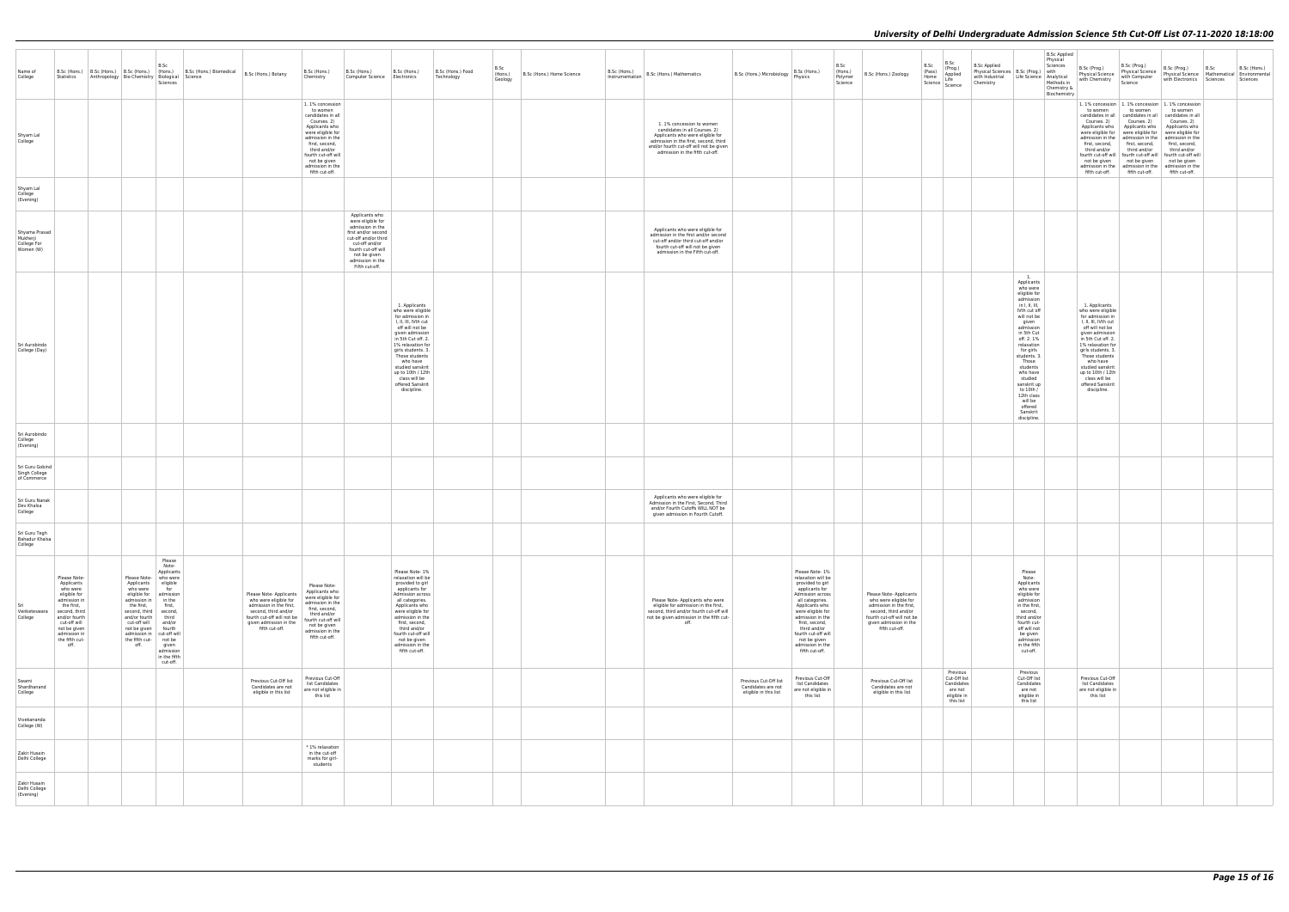|                                                       |                                                                                                                                                                                                  |                                                                                                                                                                                                                                                                                                                                                                                                                   |                                                                                                                                                                               |                                                                                                                                                                                                                                           |                                                                                                                                                                                                                                                                                                                  |                                 |                                                         |                                                                                                                                                                                                                      |                                                                                                                                                                                                                                                                                             |                                       |                                                                                                                                                                               |                                                                               |                                                                                                                        | B.Sc Applied<br>Physical                                                                                                                                                                                                                                                                                                                           |                                                                                                                                                                                                                                                                                                                  |                                                                                                                                                                                                                                                                                                                                                                                                                                                                                                                                                                    |                                                                           |      |              |
|-------------------------------------------------------|--------------------------------------------------------------------------------------------------------------------------------------------------------------------------------------------------|-------------------------------------------------------------------------------------------------------------------------------------------------------------------------------------------------------------------------------------------------------------------------------------------------------------------------------------------------------------------------------------------------------------------|-------------------------------------------------------------------------------------------------------------------------------------------------------------------------------|-------------------------------------------------------------------------------------------------------------------------------------------------------------------------------------------------------------------------------------------|------------------------------------------------------------------------------------------------------------------------------------------------------------------------------------------------------------------------------------------------------------------------------------------------------------------|---------------------------------|---------------------------------------------------------|----------------------------------------------------------------------------------------------------------------------------------------------------------------------------------------------------------------------|---------------------------------------------------------------------------------------------------------------------------------------------------------------------------------------------------------------------------------------------------------------------------------------------|---------------------------------------|-------------------------------------------------------------------------------------------------------------------------------------------------------------------------------|-------------------------------------------------------------------------------|------------------------------------------------------------------------------------------------------------------------|----------------------------------------------------------------------------------------------------------------------------------------------------------------------------------------------------------------------------------------------------------------------------------------------------------------------------------------------------|------------------------------------------------------------------------------------------------------------------------------------------------------------------------------------------------------------------------------------------------------------------------------------------------------------------|--------------------------------------------------------------------------------------------------------------------------------------------------------------------------------------------------------------------------------------------------------------------------------------------------------------------------------------------------------------------------------------------------------------------------------------------------------------------------------------------------------------------------------------------------------------------|---------------------------------------------------------------------------|------|--------------|
| Name of<br>College                                    |                                                                                                                                                                                                  | B.Sc<br>B.Sc (Hons.) B.Sc (Hons.) B.Sc (Hons.) $\left  \begin{array}{c} \text{B.Sc} \\ \text{B.Sc} \end{array} \right $ B.Sc (Hons.) Botany<br>Statistics Anthropology Bio-Chemistry Biological Science<br>Sciences                                                                                                                                                                                               |                                                                                                                                                                               | B.Sc (Hons.)<br>Chemistry                                                                                                                                                                                                                 | B.Sc (Hons.)<br>B.Sc (Hons.)<br>Computer Science Electronics                                                                                                                                                                                                                                                     | B.Sc (Hons.) Food<br>Technology | B.Sc<br>(Hons.)<br>B.Sc (Hons.) Home Science<br>Geology | $\Big \!\!\Big $ D.St. (HONS.)<br>Instrumentation B.Sc (Hons.) Mathematics                                                                                                                                           | B.Sc (Hons.)<br>B.Sc (Hons.) Microbiology   B.Sc (Hon                                                                                                                                                                                                                                       | B.Sc<br>(Hons.)<br>Polymer<br>Science | B.Sc (Hons.) Zoology                                                                                                                                                          | B.Sc<br>B.Sc<br>(Prog.)<br>(Pass)<br>Applied<br>Home<br>Science Science       | <b>B.Sc Applied</b><br>Physical Sciences   B.Sc (Prog.)   with<br>with Industrial Life Science Analytical<br>Chemistry | Sciences<br>Methods in<br>Chemistry &<br>Biochemistry                                                                                                                                                                                                                                                                                              | B.Sc (Prog.)<br>Physical Science   Frigance Science<br>with Chemistry                                                                                                                                                                                                                                            | B.Sc (Prog.)<br>Physical Science   Physical Science   Mathematical   Environmental<br>Science                                                                                                                                                                                                                                                                                                                                                                                                                                                                      | B.Sc (Prog.)<br>with Electronics Sciences Sciences                        | B.Sc | B.Sc (Hons.) |
| Shyam Lal<br>College                                  |                                                                                                                                                                                                  |                                                                                                                                                                                                                                                                                                                                                                                                                   |                                                                                                                                                                               | 1.1% concession<br>to women<br>candidates in all<br>Courses. 2)<br>Applicants who<br>were eligible for<br>admission in the<br>first, second,<br>third and/or<br>fourth cut-off will<br>not be given<br>admission in the<br>fifth cut-off. |                                                                                                                                                                                                                                                                                                                  |                                 |                                                         | 1.1% concession to women<br>candidates in all Courses. 2)<br>Applicants who were eligible for<br>admission in the first, second, third<br>and/or fourth cut-off will not be given<br>admission in the fifth cut-off. |                                                                                                                                                                                                                                                                                             |                                       |                                                                                                                                                                               |                                                                               |                                                                                                                        |                                                                                                                                                                                                                                                                                                                                                    | to women<br>third and/or<br>fifth cut-off.                                                                                                                                                                                                                                                                       | 1.1% concession 1.1% concession 1.1% concession<br>to women<br>candidates in all candidates in all candidates in all<br>Courses. 2) Courses. 2)<br>Applicants who   Applicants who   Applicants who<br>were eligible for   were eligible for   were eligible for<br>admission in the admission in the admission in the<br>first, second, first, second, first, second,<br>third and/or<br>fourth cut-off will   fourth cut-off will   fourth cut-off will<br>not be given not be given<br>admission in the   admission in the   admission in the<br>fifth cut-off. | to women<br>Courses. 2)<br>third and/or<br>not be given<br>fifth cut-off. |      |              |
| Shyam Lal<br>College<br>(Evening)                     |                                                                                                                                                                                                  |                                                                                                                                                                                                                                                                                                                                                                                                                   |                                                                                                                                                                               |                                                                                                                                                                                                                                           |                                                                                                                                                                                                                                                                                                                  |                                 |                                                         |                                                                                                                                                                                                                      |                                                                                                                                                                                                                                                                                             |                                       |                                                                                                                                                                               |                                                                               |                                                                                                                        |                                                                                                                                                                                                                                                                                                                                                    |                                                                                                                                                                                                                                                                                                                  |                                                                                                                                                                                                                                                                                                                                                                                                                                                                                                                                                                    |                                                                           |      |              |
| Shyama Prasad<br>Mukherji<br>College For<br>Women (W) |                                                                                                                                                                                                  |                                                                                                                                                                                                                                                                                                                                                                                                                   |                                                                                                                                                                               |                                                                                                                                                                                                                                           | Applicants who<br>were eligible for<br>admission in the<br>first and/or second<br>cut-off and/or third<br>cut-off and/or<br>fourth cut-off will<br>not be given<br>admission in the<br>Fifth cut-off.                                                                                                            |                                 |                                                         | Applicants who were eligible for<br>admission in the first and/or second<br>cut-off and/or third cut-off and/or<br>fourth cut-off will not be given<br>admission in the Fifth cut-off.                               |                                                                                                                                                                                                                                                                                             |                                       |                                                                                                                                                                               |                                                                               |                                                                                                                        |                                                                                                                                                                                                                                                                                                                                                    |                                                                                                                                                                                                                                                                                                                  |                                                                                                                                                                                                                                                                                                                                                                                                                                                                                                                                                                    |                                                                           |      |              |
| Sri Aurobindo<br>College (Day)                        |                                                                                                                                                                                                  |                                                                                                                                                                                                                                                                                                                                                                                                                   |                                                                                                                                                                               |                                                                                                                                                                                                                                           | 1. Applicants<br>who were eligible<br>for admission in<br>I, II, III, IVth cut<br>off will not be<br>given admission<br>in 5th Cut off. 2.<br>1% relaxation for<br>girls students. 3.<br>Those students<br>who have<br>studied sanskrit<br>up to 10th / 12th<br>class will be<br>offered Sanskrit<br>discipline. |                                 |                                                         |                                                                                                                                                                                                                      |                                                                                                                                                                                                                                                                                             |                                       |                                                                                                                                                                               |                                                                               |                                                                                                                        | $-1$ .<br>Applicants<br>who were<br>eligible for<br>admission<br>in I, II, III,<br>IVth cut off<br>will not be<br>given<br>admission<br>in 5th Cut<br>off. 2. 1%<br>relaxation<br>for girls<br>students. 3.<br>Those<br>students<br>who have<br>studied<br>sanskrit up<br>to 10th /<br>12th class<br>will be<br>offered<br>Sanskrit<br>discipline. | 1. Applicants<br>who were eligible<br>for admission in<br>I, II, III, IVth cut<br>off will not be<br>given admission<br>in 5th Cut off. 2.<br>1% relaxation for<br>girls students. 3.<br>Those students<br>who have<br>studied sanskrit<br>up to 10th / 12th<br>class will be<br>offered Sanskrit<br>discipline. |                                                                                                                                                                                                                                                                                                                                                                                                                                                                                                                                                                    |                                                                           |      |              |
| Sri Aurobindo<br>College<br>(Evening)                 |                                                                                                                                                                                                  |                                                                                                                                                                                                                                                                                                                                                                                                                   |                                                                                                                                                                               |                                                                                                                                                                                                                                           |                                                                                                                                                                                                                                                                                                                  |                                 |                                                         |                                                                                                                                                                                                                      |                                                                                                                                                                                                                                                                                             |                                       |                                                                                                                                                                               |                                                                               |                                                                                                                        |                                                                                                                                                                                                                                                                                                                                                    |                                                                                                                                                                                                                                                                                                                  |                                                                                                                                                                                                                                                                                                                                                                                                                                                                                                                                                                    |                                                                           |      |              |
| Sri Guru Gobind<br>Singh College<br>of Commerce       |                                                                                                                                                                                                  |                                                                                                                                                                                                                                                                                                                                                                                                                   |                                                                                                                                                                               |                                                                                                                                                                                                                                           |                                                                                                                                                                                                                                                                                                                  |                                 |                                                         |                                                                                                                                                                                                                      |                                                                                                                                                                                                                                                                                             |                                       |                                                                                                                                                                               |                                                                               |                                                                                                                        |                                                                                                                                                                                                                                                                                                                                                    |                                                                                                                                                                                                                                                                                                                  |                                                                                                                                                                                                                                                                                                                                                                                                                                                                                                                                                                    |                                                                           |      |              |
| Sri Guru Nanak<br>Dev Khalsa<br>College               |                                                                                                                                                                                                  |                                                                                                                                                                                                                                                                                                                                                                                                                   |                                                                                                                                                                               |                                                                                                                                                                                                                                           |                                                                                                                                                                                                                                                                                                                  |                                 |                                                         | Applicants who were eligible for<br>Admission in the First, Second, Third<br>and/or Fourth Cutoffs WILL NOT be<br>given admission in Fourth Cutoff.                                                                  |                                                                                                                                                                                                                                                                                             |                                       |                                                                                                                                                                               |                                                                               |                                                                                                                        |                                                                                                                                                                                                                                                                                                                                                    |                                                                                                                                                                                                                                                                                                                  |                                                                                                                                                                                                                                                                                                                                                                                                                                                                                                                                                                    |                                                                           |      |              |
| Sri Guru Tegh<br>Bahadur Khalsa<br>College            |                                                                                                                                                                                                  |                                                                                                                                                                                                                                                                                                                                                                                                                   |                                                                                                                                                                               |                                                                                                                                                                                                                                           |                                                                                                                                                                                                                                                                                                                  |                                 |                                                         |                                                                                                                                                                                                                      |                                                                                                                                                                                                                                                                                             |                                       |                                                                                                                                                                               |                                                                               |                                                                                                                        |                                                                                                                                                                                                                                                                                                                                                    |                                                                                                                                                                                                                                                                                                                  |                                                                                                                                                                                                                                                                                                                                                                                                                                                                                                                                                                    |                                                                           |      |              |
| Sri<br>Venketeswara<br>College                        | Please Note-<br>Applicants<br>who were<br>eligible for<br>admission in<br>the first,<br>second, third<br>and/or fourth<br>cut-off will<br>not be given<br>admission in<br>the fifth cut-<br>off. | Please<br>Note-<br>Applicants<br>Please Note-   who were<br>Applicants<br>$e^{lighte}$<br>for<br>who were<br>eligible for<br>admission<br>admission in   in the<br>the first,<br>first,<br>second, third<br>second,<br>and/or fourth<br>third<br>cut-off will<br>and/or<br>not be given fourth<br>admission in cut-off will<br>the fifth cut-<br>not be<br>off.<br>given<br>admission<br>in the fifth<br>cut-off. | Please Note- Applicants<br>who were eligible for<br>admission in the first,<br>second, third and/or<br>fourth cut-off will not be<br>given admission in the<br>fifth cut-off. | Please Note-<br>Applicants who<br>were eligible for<br>admission in the<br>first, second,<br>third and/or<br>fourth cut-off will<br>not be given<br>admission in the<br>fifth cut-off.                                                    | Please Note- 1%<br>relaxation will be<br>provided to girl<br>applicants for<br>Admission across<br>all categories.<br>Applicants who<br>were eligible for<br>admission in the<br>first, second,<br>third and/or<br>fourth cut-off will<br>not be given<br>admission in the<br>fifth cut-off.                     |                                 |                                                         | Please Note- Applicants who were<br>eligible for admission in the first,<br>second, third and/or fourth cut-off will<br>not be given admission in the fifth cut-<br>off.                                             | Please Note-1%<br>relaxation will be<br>provided to girl<br>applicants for<br>Admission across<br>all categories.<br>Applicants who<br>were eligible for<br>admission in the<br>first, second,<br>third and/or<br>fourth cut-off will<br>not be given<br>admission in the<br>fifth cut-off. |                                       | Please Note- Applicants<br>who were eligible for<br>admission in the first,<br>second, third and/or<br>fourth cut-off will not be<br>given admission in the<br>fifth cut-off. |                                                                               |                                                                                                                        | Please<br>Note-<br>Applicants<br>who were<br>eligible for<br>admission<br>in the first,<br>second,<br>third and/or<br>fourth cut-<br>off will not<br>be given<br>admission<br>in the fifth<br>cut-off.                                                                                                                                             |                                                                                                                                                                                                                                                                                                                  |                                                                                                                                                                                                                                                                                                                                                                                                                                                                                                                                                                    |                                                                           |      |              |
| Swami<br>Shardhanand<br>College                       |                                                                                                                                                                                                  |                                                                                                                                                                                                                                                                                                                                                                                                                   | Previous Cut-Off list<br>Candidates are not<br>eligible in this list                                                                                                          | Previous Cut-Off<br>list Candidates<br>are not eligible in<br>this list                                                                                                                                                                   |                                                                                                                                                                                                                                                                                                                  |                                 |                                                         |                                                                                                                                                                                                                      | Previous Cut-Off<br>Previous Cut-Off list<br>list Candidates<br>Candidates are not<br>are not eligible in<br>eligible in this list<br>this list                                                                                                                                             |                                       | Previous Cut-Off list<br>Candidates are not<br>eligible in this list                                                                                                          | Previous<br>Cut-Off list<br>Candidates<br>are not<br>eligible in<br>this list |                                                                                                                        | Previous<br>Cut-Off list<br>Candidates<br>are not<br>eligible in<br>this list                                                                                                                                                                                                                                                                      | Previous Cut-Off<br>list Candidates<br>are not eligible in<br>this list                                                                                                                                                                                                                                          |                                                                                                                                                                                                                                                                                                                                                                                                                                                                                                                                                                    |                                                                           |      |              |
| Vivekananda<br>College (W)                            |                                                                                                                                                                                                  |                                                                                                                                                                                                                                                                                                                                                                                                                   |                                                                                                                                                                               |                                                                                                                                                                                                                                           |                                                                                                                                                                                                                                                                                                                  |                                 |                                                         |                                                                                                                                                                                                                      |                                                                                                                                                                                                                                                                                             |                                       |                                                                                                                                                                               |                                                                               |                                                                                                                        |                                                                                                                                                                                                                                                                                                                                                    |                                                                                                                                                                                                                                                                                                                  |                                                                                                                                                                                                                                                                                                                                                                                                                                                                                                                                                                    |                                                                           |      |              |
| Zakir Husain<br>Delhi College                         |                                                                                                                                                                                                  |                                                                                                                                                                                                                                                                                                                                                                                                                   |                                                                                                                                                                               | * 1% relaxation<br>in the cut-off<br>marks for girl-<br>students                                                                                                                                                                          |                                                                                                                                                                                                                                                                                                                  |                                 |                                                         |                                                                                                                                                                                                                      |                                                                                                                                                                                                                                                                                             |                                       |                                                                                                                                                                               |                                                                               |                                                                                                                        |                                                                                                                                                                                                                                                                                                                                                    |                                                                                                                                                                                                                                                                                                                  |                                                                                                                                                                                                                                                                                                                                                                                                                                                                                                                                                                    |                                                                           |      |              |
| Zakir Husain<br>Delhi College<br>(Evening)            |                                                                                                                                                                                                  |                                                                                                                                                                                                                                                                                                                                                                                                                   |                                                                                                                                                                               |                                                                                                                                                                                                                                           |                                                                                                                                                                                                                                                                                                                  |                                 |                                                         |                                                                                                                                                                                                                      |                                                                                                                                                                                                                                                                                             |                                       |                                                                                                                                                                               |                                                                               |                                                                                                                        |                                                                                                                                                                                                                                                                                                                                                    |                                                                                                                                                                                                                                                                                                                  |                                                                                                                                                                                                                                                                                                                                                                                                                                                                                                                                                                    |                                                                           |      |              |